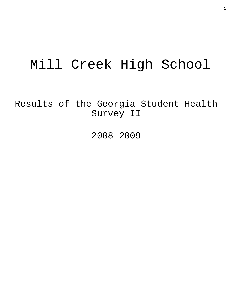# Mill Creek High School

Results of the Georgia Student Health Survey II

2008-2009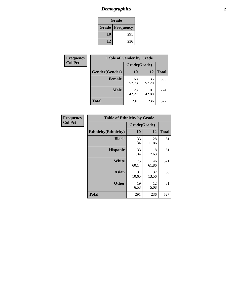# *Demographics* **2**

| Grade                  |     |  |  |  |
|------------------------|-----|--|--|--|
| <b>Grade Frequency</b> |     |  |  |  |
| 10                     | 291 |  |  |  |
| 12                     | 236 |  |  |  |

| Frequency      | <b>Table of Gender by Grade</b> |              |              |              |  |  |
|----------------|---------------------------------|--------------|--------------|--------------|--|--|
| <b>Col Pct</b> |                                 | Grade(Grade) |              |              |  |  |
|                | Gender(Gender)                  | 10           | 12           | <b>Total</b> |  |  |
|                | <b>Female</b>                   | 168<br>57.73 | 135<br>57.20 | 303          |  |  |
|                | <b>Male</b>                     | 123<br>42.27 | 101<br>42.80 | 224          |  |  |
|                | <b>Total</b>                    | 291          | 236          | 527          |  |  |

| Frequency<br>Col Pct |
|----------------------|
|                      |

| <b>Table of Ethnicity by Grade</b> |              |              |              |  |  |
|------------------------------------|--------------|--------------|--------------|--|--|
|                                    | Grade(Grade) |              |              |  |  |
| <b>Ethnicity</b> (Ethnicity)       | 10           | 12           | <b>Total</b> |  |  |
| <b>Black</b>                       | 33<br>11.34  | 28<br>11.86  | 61           |  |  |
| <b>Hispanic</b>                    | 33<br>11.34  | 18<br>7.63   | 51           |  |  |
| White                              | 175<br>60.14 | 146<br>61.86 | 321          |  |  |
| <b>Asian</b>                       | 31<br>10.65  | 32<br>13.56  | 63           |  |  |
| <b>Other</b>                       | 19<br>6.53   | 12<br>5.08   | 31           |  |  |
| <b>Total</b>                       | 291          | 236          | 527          |  |  |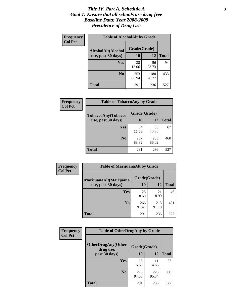#### *Title IV, Part A, Schedule A* **3** *Goal 1: Ensure that all schools are drug-free Baseline Data: Year 2008-2009 Prevalence of Drug Use*

| Frequency<br><b>Col Pct</b> | <b>Table of AlcoholAlt by Grade</b> |              |              |              |  |
|-----------------------------|-------------------------------------|--------------|--------------|--------------|--|
|                             | AlcoholAlt(Alcohol                  | Grade(Grade) |              |              |  |
|                             | use, past 30 days)                  | <b>10</b>    | 12           | <b>Total</b> |  |
|                             | <b>Yes</b>                          | 38<br>13.06  | 56<br>23.73  | 94           |  |
|                             | N <sub>0</sub>                      | 253<br>86.94 | 180<br>76.27 | 433          |  |
|                             | Total                               | 291          | 236          | 527          |  |

| Frequency<br><b>Col Pct</b> | <b>Table of TobaccoAny by Grade</b> |              |              |              |  |  |
|-----------------------------|-------------------------------------|--------------|--------------|--------------|--|--|
|                             | TobaccoAny(Tobacco                  | Grade(Grade) |              |              |  |  |
|                             | use, past 30 days)                  | 10           | 12           | <b>Total</b> |  |  |
|                             | <b>Yes</b>                          | 34<br>11.68  | 33<br>13.98  | 67           |  |  |
|                             | N <sub>0</sub>                      | 257<br>88.32 | 203<br>86.02 | 460          |  |  |
|                             | <b>Total</b>                        | 291          | 236          | 527          |  |  |

| Frequency<br><b>Col Pct</b> | <b>Table of MarijuanaAlt by Grade</b>        |              |              |              |  |
|-----------------------------|----------------------------------------------|--------------|--------------|--------------|--|
|                             | MarijuanaAlt(Marijuana<br>use, past 30 days) | Grade(Grade) |              |              |  |
|                             |                                              | 10           | 12           | <b>Total</b> |  |
|                             | <b>Yes</b>                                   | 25<br>8.59   | 21<br>8.90   | 46           |  |
|                             | N <sub>0</sub>                               | 266<br>91.41 | 215<br>91.10 | 481          |  |
|                             | <b>Total</b>                                 | 291          | 236          | 527          |  |

| Frequency<br><b>Col Pct</b> | <b>Table of OtherDrugAny by Grade</b>  |              |              |              |  |
|-----------------------------|----------------------------------------|--------------|--------------|--------------|--|
|                             | <b>OtherDrugAny(Other</b><br>drug use, | Grade(Grade) |              |              |  |
|                             | past 30 days)                          | 10           | 12           | <b>Total</b> |  |
|                             | Yes                                    | 16<br>5.50   | 11<br>4.66   | 27           |  |
|                             | N <sub>0</sub>                         | 275<br>94.50 | 225<br>95.34 | 500          |  |
|                             | <b>Total</b>                           | 291          | 236          | 527          |  |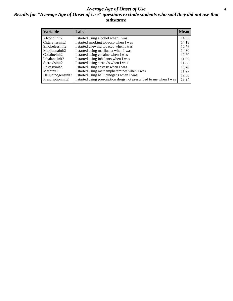#### *Average Age of Onset of Use* **4** *Results for "Average Age of Onset of Use" questions exclude students who said they did not use that substance*

| <b>Variable</b>    | Label                                                              | <b>Mean</b> |
|--------------------|--------------------------------------------------------------------|-------------|
| Alcoholinit2       | I started using alcohol when I was                                 | 14.03       |
| Cigarettesinit2    | I started smoking tobacco when I was                               | 14.13       |
| Smokelessinit2     | I started chewing tobacco when I was                               | 12.76       |
| Marijuanainit2     | I started using marijuana when I was                               | 14.30       |
| Cocaineinit2       | I started using cocaine when I was                                 | 12.60       |
| Inhalantsinit2     | I started using inhalants when I was                               | 11.00       |
| Steroidsinit2      | I started using steroids when I was                                | 11.08       |
| Ecstasyinit2       | I started using ecstasy when I was                                 | 13.48       |
| Methinit2          | I started using methamphetamines when I was                        | 11.27       |
| Hallucinogensinit2 | I started using hallucinogens when I was                           | 12.00       |
| Prescriptioninit2  | I started using prescription drugs not prescribed to me when I was | 13.94       |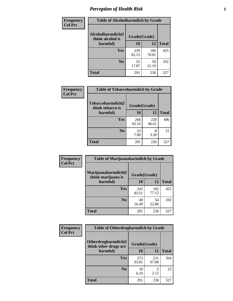# *Perception of Health Risk* **5**

| Frequency      | <b>Table of Alcoholharmdich by Grade</b> |              |              |              |  |
|----------------|------------------------------------------|--------------|--------------|--------------|--|
| <b>Col Pct</b> | Alcoholharmdich(I<br>think alcohol is    | Grade(Grade) |              |              |  |
|                | harmful)                                 | 10           | 12           | <b>Total</b> |  |
|                | Yes                                      | 239<br>82.13 | 186<br>78.81 | 425          |  |
|                | N <sub>0</sub>                           | 52<br>17.87  | 50<br>21.19  | 102          |  |
|                | <b>Total</b>                             | 291          | 236          | 527          |  |

| Frequency      | <b>Table of Tobaccoharmdich by Grade</b> |              |              |              |  |
|----------------|------------------------------------------|--------------|--------------|--------------|--|
| <b>Col Pct</b> | Tobaccoharmdich(I<br>think tobacco is    | Grade(Grade) |              |              |  |
|                | harmful)                                 | 10           | 12           | <b>Total</b> |  |
|                | Yes                                      | 268<br>92.10 | 228<br>96.61 | 496          |  |
|                | N <sub>0</sub>                           | 23<br>7.90   | 8<br>3.39    | 31           |  |
|                | <b>Total</b>                             | 291          | 236          | 527          |  |

| <b>Frequency</b> | <b>Table of Marijuanaharmdich by Grade</b> |              |              |              |  |  |
|------------------|--------------------------------------------|--------------|--------------|--------------|--|--|
| <b>Col Pct</b>   | Marijuanaharmdich(I<br>think marijuana is  | Grade(Grade) |              |              |  |  |
|                  | harmful)                                   | 10           | 12           | <b>Total</b> |  |  |
|                  | Yes                                        | 243<br>83.51 | 182<br>77.12 | 425          |  |  |
|                  | N <sub>0</sub>                             | 48<br>16.49  | 54<br>22.88  | 102          |  |  |
|                  | <b>Total</b>                               | 291          | 236          | 527          |  |  |

| Frequency      | <b>Table of Otherdrugharmdich by Grade</b>   |              |              |              |  |  |  |
|----------------|----------------------------------------------|--------------|--------------|--------------|--|--|--|
| <b>Col Pct</b> | Otherdrugharmdich(I<br>think other drugs are | Grade(Grade) |              |              |  |  |  |
|                | harmful)                                     | 10           | 12           | <b>Total</b> |  |  |  |
|                | <b>Yes</b>                                   | 273<br>93.81 | 231<br>97.88 | 504          |  |  |  |
|                | N <sub>0</sub>                               | 18<br>6.19   | 5<br>2.12    | 23           |  |  |  |
|                | <b>Total</b>                                 | 291          | 236          | 527          |  |  |  |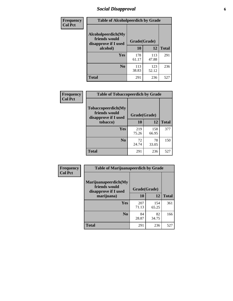# *Social Disapproval* **6**

| Frequency      | <b>Table of Alcoholpeerdich by Grade</b>                    |              |              |              |  |  |
|----------------|-------------------------------------------------------------|--------------|--------------|--------------|--|--|
| <b>Col Pct</b> | Alcoholpeerdich(My<br>friends would<br>disapprove if I used | Grade(Grade) |              |              |  |  |
|                | alcohol)                                                    | 10           | 12           | <b>Total</b> |  |  |
|                | <b>Yes</b>                                                  | 178<br>61.17 | 113<br>47.88 | 291          |  |  |
|                | N <sub>0</sub>                                              | 113<br>38.83 | 123<br>52.12 | 236          |  |  |
|                | Total                                                       | 291          | 236          | 527          |  |  |

| <b>Frequency</b> |
|------------------|
| <b>Col Pct</b>   |

| <b>Table of Tobaccopeerdich by Grade</b>                    |              |              |              |  |  |  |
|-------------------------------------------------------------|--------------|--------------|--------------|--|--|--|
| Tobaccopeerdich(My<br>friends would<br>disapprove if I used | Grade(Grade) |              |              |  |  |  |
| tobacco)                                                    | 10           | 12           | <b>Total</b> |  |  |  |
| Yes                                                         | 219<br>75.26 | 158<br>66.95 | 377          |  |  |  |
| N <sub>0</sub>                                              | 72<br>24.74  | 78<br>33.05  | 150          |  |  |  |
| <b>Total</b>                                                | 291          | 236          | 527          |  |  |  |

| <b>Frequency</b> | <b>Table of Marijuanapeerdich by Grade</b>                    |              |              |              |  |  |  |
|------------------|---------------------------------------------------------------|--------------|--------------|--------------|--|--|--|
| <b>Col Pct</b>   | Marijuanapeerdich(My<br>friends would<br>disapprove if I used | Grade(Grade) |              |              |  |  |  |
|                  | marijuana)                                                    | 10           | 12           | <b>Total</b> |  |  |  |
|                  | <b>Yes</b>                                                    | 207<br>71.13 | 154<br>65.25 | 361          |  |  |  |
|                  | N <sub>0</sub>                                                | 84<br>28.87  | 82<br>34.75  | 166          |  |  |  |
|                  | <b>Total</b>                                                  | 291          | 236          | 527          |  |  |  |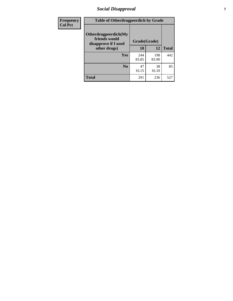# *Social Disapproval* **7**

| Frequency      | <b>Table of Otherdrugpeerdich by Grade</b>                    |              |              |              |  |  |  |
|----------------|---------------------------------------------------------------|--------------|--------------|--------------|--|--|--|
| <b>Col Pct</b> | Otherdrugpeerdich(My<br>friends would<br>disapprove if I used | Grade(Grade) |              |              |  |  |  |
|                | other drugs)                                                  | 10           | 12           | <b>Total</b> |  |  |  |
|                | Yes                                                           | 244<br>83.85 | 198<br>83.90 | 442          |  |  |  |
|                | N <sub>0</sub>                                                | 47<br>16.15  | 38<br>16.10  | 85           |  |  |  |
|                | <b>Total</b>                                                  | 291          | 236          | 527          |  |  |  |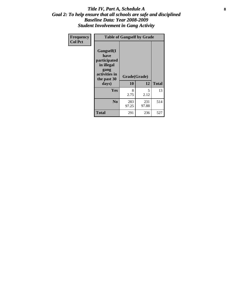#### Title IV, Part A, Schedule A **8** *Goal 2: To help ensure that all schools are safe and disciplined Baseline Data: Year 2008-2009 Student Involvement in Gang Activity*

| Frequency      | <b>Table of Gangself by Grade</b>                                                                 |                    |              |              |
|----------------|---------------------------------------------------------------------------------------------------|--------------------|--------------|--------------|
| <b>Col Pct</b> | Gangself(I<br>have<br>participated<br>in illegal<br>gang<br>activities in<br>the past 30<br>days) | Grade(Grade)<br>10 | 12           | <b>Total</b> |
|                | Yes                                                                                               | 8<br>2.75          | 5<br>2.12    | 13           |
|                | N <sub>0</sub>                                                                                    | 283<br>97.25       | 231<br>97.88 | 514          |
|                | <b>Total</b>                                                                                      | 291                | 236          | 527          |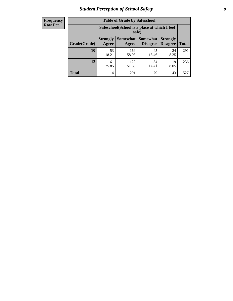# *Student Perception of School Safety* **9**

| <b>Frequency</b><br>Row Pct |
|-----------------------------|
|                             |

| <b>Table of Grade by Safeschool</b> |                                                                                                                                                  |                                                        |             |            |     |  |  |
|-------------------------------------|--------------------------------------------------------------------------------------------------------------------------------------------------|--------------------------------------------------------|-------------|------------|-----|--|--|
|                                     |                                                                                                                                                  | Safeschool (School is a place at which I feel<br>safe) |             |            |     |  |  |
| Grade(Grade)                        | <b>Somewhat</b><br><b>Somewhat</b><br><b>Strongly</b><br><b>Strongly</b><br><b>Disagree</b><br><b>Disagree</b><br><b>Total</b><br>Agree<br>Agree |                                                        |             |            |     |  |  |
| <b>10</b>                           | 53<br>18.21                                                                                                                                      | 169<br>58.08                                           | 45<br>15.46 | 24<br>8.25 | 291 |  |  |
| 12                                  | 61<br>25.85                                                                                                                                      | 122<br>51.69                                           | 34<br>14.41 | 19<br>8.05 | 236 |  |  |
| <b>Total</b>                        | 114                                                                                                                                              | 291                                                    | 79          | 43         | 527 |  |  |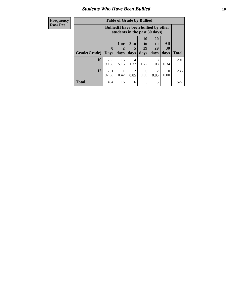### *Students Who Have Been Bullied* **10**

| <b>Frequency</b> | <b>Table of Grade by Bullied</b> |              |                               |                        |                                                             |                       |                                              |              |  |  |
|------------------|----------------------------------|--------------|-------------------------------|------------------------|-------------------------------------------------------------|-----------------------|----------------------------------------------|--------------|--|--|
| <b>Row Pct</b>   |                                  |              | students in the past 30 days) |                        |                                                             |                       | <b>Bullied</b> (I have been bullied by other |              |  |  |
|                  |                                  | $\mathbf{0}$ | 1 or<br>2                     | 3 <sub>to</sub><br>5   | 10<br>$\mathbf{t}$ <sup><math>\mathbf{0}</math></sup><br>19 | <b>20</b><br>to<br>29 | All<br>30                                    |              |  |  |
|                  | Grade(Grade)                     | <b>Days</b>  | days                          | days                   | days                                                        | days                  | days                                         | <b>Total</b> |  |  |
|                  | 10                               | 263<br>90.38 | 15<br>5.15                    | 4<br>1.37              | 5<br>1.72                                                   | $\mathcal{R}$<br>1.03 | 0.34                                         | 291          |  |  |
|                  | 12                               | 231<br>97.88 | 0.42                          | $\mathfrak{D}$<br>0.85 | $\Omega$<br>0.00                                            | 2<br>0.85             | $\Omega$<br>0.00                             | 236          |  |  |
|                  | <b>Total</b>                     | 494          | 16                            | 6                      | 5                                                           | 5                     | 1                                            | 527          |  |  |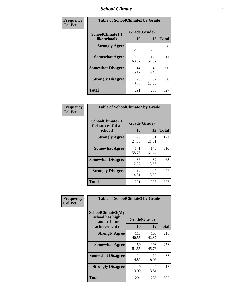#### *School Climate* **11**

| Frequency      | <b>Table of SchoolClimate1 by Grade</b> |                    |              |              |  |  |
|----------------|-----------------------------------------|--------------------|--------------|--------------|--|--|
| <b>Col Pct</b> | SchoolClimate1(I<br>like school)        | Grade(Grade)<br>10 | 12           | <b>Total</b> |  |  |
|                | <b>Strongly Agree</b>                   | 35<br>12.03        | 33<br>13.98  | 68           |  |  |
|                | <b>Somewhat Agree</b>                   | 186<br>63.92       | 125<br>52.97 | 311          |  |  |
|                | <b>Somewhat Disagree</b>                | 44<br>15.12        | 46<br>19.49  | 90           |  |  |
|                | <b>Strongly Disagree</b>                | 26<br>8.93         | 32<br>13.56  | 58           |  |  |
|                | <b>Total</b>                            | 291                | 236          | 527          |  |  |

| <b>Frequency</b> |  |
|------------------|--|
| <b>Col Pct</b>   |  |

| <b>Table of SchoolClimate2 by Grade</b>           |              |                    |              |
|---------------------------------------------------|--------------|--------------------|--------------|
| SchoolClimate2(I<br>feel successful at<br>school) | 10           | Grade(Grade)<br>12 | <b>Total</b> |
| <b>Strongly Agree</b>                             | 70<br>24.05  | 51<br>21.61        | 121          |
| <b>Somewhat Agree</b>                             | 171<br>58.76 | 145<br>61.44       | 316          |
| <b>Somewhat Disagree</b>                          | 36<br>12.37  | 32<br>13.56        | 68           |
| <b>Strongly Disagree</b>                          | 14<br>4.81   | 8<br>3.39          | 22           |
| Total                                             | 291          | 236                | 527          |

| Frequency      | <b>Table of SchoolClimate3 by Grade</b>                                      |                    |              |              |  |
|----------------|------------------------------------------------------------------------------|--------------------|--------------|--------------|--|
| <b>Col Pct</b> | <b>SchoolClimate3(My</b><br>school has high<br>standards for<br>achievement) | Grade(Grade)<br>10 | 12           | <b>Total</b> |  |
|                | <b>Strongly Agree</b>                                                        | 118                | 100          | 218          |  |
|                |                                                                              | 40.55              | 42.37        |              |  |
|                | <b>Somewhat Agree</b>                                                        | 150<br>51.55       | 108<br>45.76 | 258          |  |
|                | <b>Somewhat Disagree</b>                                                     | 14<br>4.81         | 19<br>8.05   | 33           |  |
|                | <b>Strongly Disagree</b>                                                     | 9<br>3.09          | 9<br>3.81    | 18           |  |
|                | Total                                                                        | 291                | 236          | 527          |  |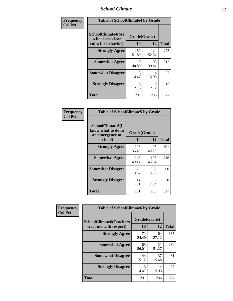#### *School Climate* **12**

| Frequency      |                                                                      | <b>Table of SchoolClimate4 by Grade</b> |              |              |  |
|----------------|----------------------------------------------------------------------|-----------------------------------------|--------------|--------------|--|
| <b>Col Pct</b> | <b>SchoolClimate4(My</b><br>school sets clear<br>rules for behavior) | Grade(Grade)<br><b>10</b>               | 12           | <b>Total</b> |  |
|                | <b>Strongly Agree</b>                                                | 151<br>51.89                            | 124<br>52.54 | 275          |  |
|                | <b>Somewhat Agree</b>                                                | 119<br>40.89                            | 93<br>39.41  | 212          |  |
|                | <b>Somewhat Disagree</b>                                             | 13<br>4.47                              | 14<br>5.93   | 27           |  |
|                | <b>Strongly Disagree</b>                                             | 8<br>2.75                               | 5<br>2.12    | 13           |  |
|                | Total                                                                | 291                                     | 236          | 527          |  |

| <b>Table of SchoolClimate5 by Grade</b>                              |                    |              |              |  |
|----------------------------------------------------------------------|--------------------|--------------|--------------|--|
| SchoolClimate5(I<br>know what to do in<br>an emergency at<br>school) | Grade(Grade)<br>10 | 12           | <b>Total</b> |  |
| <b>Strongly Agree</b>                                                | 106                | 95           | 201          |  |
|                                                                      | 36.43              | 40.25        |              |  |
| <b>Somewhat Agree</b>                                                | 143<br>49.14       | 103<br>43.64 | 246          |  |
|                                                                      |                    |              |              |  |
| <b>Somewhat Disagree</b>                                             | 28                 | 32           | 60           |  |
|                                                                      | 9.62               | 13.56        |              |  |
| <b>Strongly Disagree</b>                                             | 14                 | 6            | 20           |  |
|                                                                      | 4.81               | 2.54         |              |  |
| Total                                                                | 291                | 236          | 527          |  |

| <b>Frequency</b> | <b>Table of SchoolClimate6 by Grade</b>                  |                    |              |              |
|------------------|----------------------------------------------------------|--------------------|--------------|--------------|
| <b>Col Pct</b>   | <b>SchoolClimate6(Teachers</b><br>treat me with respect) | Grade(Grade)<br>10 | 12           | <b>Total</b> |
|                  | <b>Strongly Agree</b>                                    | 71<br>24.40        | 64<br>27.12  | 135          |
|                  | <b>Somewhat Agree</b>                                    | 163<br>56.01       | 121<br>51.27 | 284          |
|                  | <b>Somewhat Disagree</b>                                 | 44<br>15.12        | 37<br>15.68  | 81           |
|                  | <b>Strongly Disagree</b>                                 | 13<br>4.47         | 14<br>5.93   | 27           |
|                  | <b>Total</b>                                             | 291                | 236          | 527          |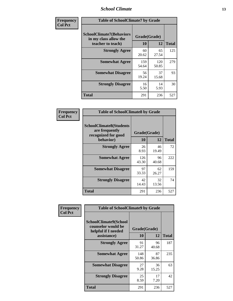#### *School Climate* **13**

| Frequency      | <b>Table of SchoolClimate7 by Grade</b>                                       |                    |              |              |
|----------------|-------------------------------------------------------------------------------|--------------------|--------------|--------------|
| <b>Col Pct</b> | <b>SchoolClimate7(Behaviors</b><br>in my class allow the<br>teacher to teach) | Grade(Grade)<br>10 | 12           | <b>Total</b> |
|                | <b>Strongly Agree</b>                                                         | 60<br>20.62        | 65<br>27.54  | 125          |
|                | <b>Somewhat Agree</b>                                                         | 159<br>54.64       | 120<br>50.85 | 279          |
|                | <b>Somewhat Disagree</b>                                                      | 56<br>19.24        | 37<br>15.68  | 93           |
|                | <b>Strongly Disagree</b>                                                      | 16<br>5.50         | 14<br>5.93   | 30           |
|                | <b>Total</b>                                                                  | 291                | 236          | 527          |

| Frequency      | <b>Table of SchoolClimate8 by Grade</b>                                              |                    |             |              |
|----------------|--------------------------------------------------------------------------------------|--------------------|-------------|--------------|
| <b>Col Pct</b> | <b>SchoolClimate8(Students</b><br>are frequently<br>recognized for good<br>behavior) | Grade(Grade)<br>10 | 12          | <b>Total</b> |
|                | <b>Strongly Agree</b>                                                                | 26                 | 46          | 72           |
|                |                                                                                      | 8.93               | 19.49       |              |
|                | <b>Somewhat Agree</b>                                                                | 126<br>43.30       | 96<br>40.68 | 222          |
|                | <b>Somewhat Disagree</b>                                                             | 97<br>33.33        | 62<br>26.27 | 159          |
|                | <b>Strongly Disagree</b>                                                             | 42<br>14.43        | 32<br>13.56 | 74           |
|                | <b>Total</b>                                                                         | 291                | 236         | 527          |

| Frequency      | <b>Table of SchoolClimate9 by Grade</b>                                           |                    |             |              |
|----------------|-----------------------------------------------------------------------------------|--------------------|-------------|--------------|
| <b>Col Pct</b> | SchoolClimate9(School<br>counselor would be<br>helpful if I needed<br>assistance) | Grade(Grade)<br>10 | 12          | <b>Total</b> |
|                | <b>Strongly Agree</b>                                                             | 91<br>31.27        | 96<br>40.68 | 187          |
|                | <b>Somewhat Agree</b>                                                             | 148<br>50.86       | 87<br>36.86 | 235          |
|                | <b>Somewhat Disagree</b>                                                          | 27<br>9.28         | 36<br>15.25 | 63           |
|                | <b>Strongly Disagree</b>                                                          | 25<br>8.59         | 17<br>7.20  | 42           |
|                | Total                                                                             | 291                | 236         | 527          |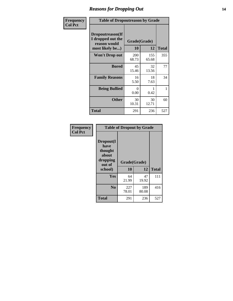### *Reasons for Dropping Out* **14**

| Frequency      | <b>Table of Dropoutreason by Grade</b>                                   |                     |              |              |
|----------------|--------------------------------------------------------------------------|---------------------|--------------|--------------|
| <b>Col Pct</b> | Dropoutreason(If<br>I dropped out the<br>reason would<br>most likely be) | Grade(Grade)<br>10  | 12           | <b>Total</b> |
|                | <b>Won't Drop out</b>                                                    | <b>200</b><br>68.73 | 155<br>65.68 | 355          |
|                | <b>Bored</b>                                                             | 45<br>15.46         | 32<br>13.56  | 77           |
|                | <b>Family Reasons</b>                                                    | 16<br>5.50          | 18<br>7.63   | 34           |
|                | <b>Being Bullied</b>                                                     | 0<br>0.00           | 0.42         | 1            |
|                | <b>Other</b>                                                             | 30<br>10.31         | 30<br>12.71  | 60           |
|                | <b>Total</b>                                                             | 291                 | 236          | 527          |

| Frequency<br><b>Col Pct</b> | <b>Table of Dropout by Grade</b>                            |              |              |              |  |
|-----------------------------|-------------------------------------------------------------|--------------|--------------|--------------|--|
|                             | Dropout(I<br>have<br>thought<br>about<br>dropping<br>out of |              | Grade(Grade) |              |  |
|                             | school)                                                     | 10           | 12           | <b>Total</b> |  |
|                             | <b>Yes</b>                                                  | 64<br>21.99  | 47<br>19.92  | 111          |  |
|                             | N <sub>0</sub>                                              | 227<br>78.01 | 189<br>80.08 | 416          |  |
|                             | <b>Total</b>                                                | 291          | 236          | 527          |  |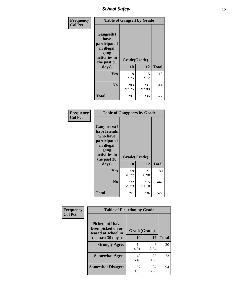*School Safety* **15**

| Frequency      | <b>Table of Gangself by Grade</b>                                                                 |                          |              |              |
|----------------|---------------------------------------------------------------------------------------------------|--------------------------|--------------|--------------|
| <b>Col Pct</b> | Gangself(I<br>have<br>participated<br>in illegal<br>gang<br>activities in<br>the past 30<br>days) | Grade(Grade)<br>10<br>12 |              | <b>Total</b> |
|                | Yes                                                                                               | 8<br>2.75                | 5<br>2.12    | 13           |
|                | N <sub>0</sub>                                                                                    | 283<br>97.25             | 231<br>97.88 | 514          |
|                | <b>Total</b>                                                                                      | 291                      | 236          | 527          |

| Frequency<br><b>Col Pct</b> | <b>Table of Gangpeers by Grade</b>                                                                                             |                    |              |              |
|-----------------------------|--------------------------------------------------------------------------------------------------------------------------------|--------------------|--------------|--------------|
|                             | <b>Gangpeers</b> (I<br>have friends<br>who have<br>participated<br>in illegal<br>gang<br>activities in<br>the past 30<br>days) | Grade(Grade)<br>10 | 12           | <b>Total</b> |
|                             | <b>Yes</b>                                                                                                                     | 59<br>20.27        | 21<br>8.90   | 80           |
|                             | N <sub>0</sub>                                                                                                                 | 232<br>79.73       | 215<br>91.10 | 447          |
|                             | <b>Total</b>                                                                                                                   | 291                | 236          | 527          |

| Frequency      |                                                                                          | <b>Table of Pickedon by Grade</b> |             |              |  |  |  |  |  |  |
|----------------|------------------------------------------------------------------------------------------|-----------------------------------|-------------|--------------|--|--|--|--|--|--|
| <b>Col Pct</b> | <b>Pickedon</b> (I have<br>been picked on or<br>teased at school in<br>the past 30 days) | Grade(Grade)<br>10                | 12          | <b>Total</b> |  |  |  |  |  |  |
|                | <b>Strongly Agree</b>                                                                    | 14<br>4.81                        | 6<br>2.54   | 20           |  |  |  |  |  |  |
|                | <b>Somewhat Agree</b>                                                                    | 48<br>16.49                       | 25<br>10.59 | 73           |  |  |  |  |  |  |
|                | <b>Somewhat Disagree</b>                                                                 | 57<br>19.59                       | 37<br>15.68 | 94           |  |  |  |  |  |  |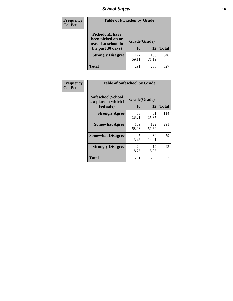# *School Safety* **16**

| Frequency      | <b>Table of Pickedon by Grade</b>                                                        |                    |              |              |
|----------------|------------------------------------------------------------------------------------------|--------------------|--------------|--------------|
| <b>Col Pct</b> | <b>Pickedon</b> (I have<br>been picked on or<br>teased at school in<br>the past 30 days) | Grade(Grade)<br>10 | 12           | <b>Total</b> |
|                | <b>Strongly Disagree</b>                                                                 | 172<br>59.11       | 168<br>71.19 | 340          |
|                | Total                                                                                    | 291                | 236          | 527          |

| Frequency      | <b>Table of Safeschool by Grade</b>                      |                    |              |              |  |  |  |  |  |  |  |
|----------------|----------------------------------------------------------|--------------------|--------------|--------------|--|--|--|--|--|--|--|
| <b>Col Pct</b> | Safeschool(School<br>is a place at which I<br>feel safe) | Grade(Grade)<br>10 | 12           | <b>Total</b> |  |  |  |  |  |  |  |
|                | <b>Strongly Agree</b>                                    | 53<br>18.21        | 61<br>25.85  | 114          |  |  |  |  |  |  |  |
|                | <b>Somewhat Agree</b>                                    | 169<br>58.08       | 122<br>51.69 | 291          |  |  |  |  |  |  |  |
|                | <b>Somewhat Disagree</b>                                 | 45<br>15.46        | 34<br>14.41  | 79           |  |  |  |  |  |  |  |
|                | <b>Strongly Disagree</b>                                 | 24<br>8.25         | 19<br>8.05   | 43           |  |  |  |  |  |  |  |
|                | <b>Total</b>                                             | 291                | 236          | 527          |  |  |  |  |  |  |  |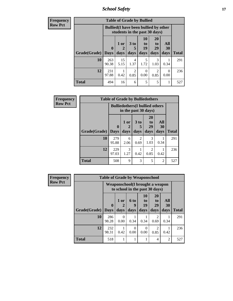*School Safety* **17**

| <b>Frequency</b> | <b>Table of Grade by Bullied</b> |                                                                               |            |                        |                  |                       |                  |              |  |  |  |
|------------------|----------------------------------|-------------------------------------------------------------------------------|------------|------------------------|------------------|-----------------------|------------------|--------------|--|--|--|
| <b>Row Pct</b>   |                                  | <b>Bullied</b> (I have been bullied by other<br>students in the past 30 days) |            |                        |                  |                       |                  |              |  |  |  |
|                  | Grade(Grade)                     | $\mathbf 0$                                                                   | 1 or       | 3 <sub>to</sub><br>5   | 10<br>to<br>19   | <b>20</b><br>to<br>29 | All<br><b>30</b> | <b>Total</b> |  |  |  |
|                  |                                  | <b>Days</b>                                                                   | days       | days                   | days             | days                  | days             |              |  |  |  |
|                  | 10                               | 263<br>90.38                                                                  | 15<br>5.15 | 4<br>1.37              | 5<br>1.72        | 3<br>1.03             | 0.34             | 291          |  |  |  |
|                  | 12                               | 231<br>97.88                                                                  | 0.42       | $\overline{2}$<br>0.85 | $\Omega$<br>0.00 | 2<br>0.85             | $\Omega$<br>0.00 | 236          |  |  |  |
|                  | <b>Total</b>                     | 494                                                                           | 16         | 6                      | 5                | 5                     | 1                | 527          |  |  |  |

| Frequency      | <b>Table of Grade by Bulliedothers</b> |                                                                |                   |                        |                        |                   |              |  |
|----------------|----------------------------------------|----------------------------------------------------------------|-------------------|------------------------|------------------------|-------------------|--------------|--|
| <b>Row Pct</b> |                                        | <b>Bulliedothers</b> (I bullied others<br>in the past 30 days) |                   |                        |                        |                   |              |  |
|                | Grade(Grade)                           | $\bf{0}$<br><b>Days</b>                                        | 1 or<br>2<br>days | 3 to<br>5<br>days      | 20<br>to<br>29<br>days | All<br>30<br>days | <b>Total</b> |  |
|                | 10                                     | 279<br>95.88                                                   | 6<br>2.06         | $\mathfrak{D}$<br>0.69 | 3<br>1.03              | 0.34              | 291          |  |
|                | 12                                     | 229<br>97.03                                                   | 3<br>1.27         | 0.42                   | $\mathcal{D}$<br>0.85  | 0.42              | 236          |  |
|                | <b>Total</b>                           | 508                                                            | 9                 | 3                      | 5                      | $\overline{2}$    | 527          |  |

| <b>Frequency</b> | <b>Table of Grade by Weaponschool</b> |              |                  |           |                       |                                                                    |                |              |  |  |  |
|------------------|---------------------------------------|--------------|------------------|-----------|-----------------------|--------------------------------------------------------------------|----------------|--------------|--|--|--|
| <b>Row Pct</b>   |                                       |              |                  |           |                       | Weaponschool (I brought a weapon<br>to school in the past 30 days) |                |              |  |  |  |
|                  |                                       | $\bf{0}$     | 1 or             | 6 to<br>9 | <b>10</b><br>to<br>19 | <b>20</b><br>t <sub>0</sub><br>29                                  | All<br>30      |              |  |  |  |
|                  | Grade(Grade)                          | <b>Days</b>  | days             | days      | days                  | days                                                               | days           | <b>Total</b> |  |  |  |
|                  | 10                                    | 286<br>98.28 | $\Omega$<br>0.00 | 0.34      | 0.34                  | 2<br>0.69                                                          | 0.34           | 291          |  |  |  |
|                  | 12                                    | 232<br>98.31 | 0.42             | 0<br>0.00 | $\Omega$<br>0.00      | 2<br>0.85                                                          | 0.42           | 236          |  |  |  |
|                  | <b>Total</b>                          | 518          |                  |           |                       | $\overline{4}$                                                     | $\overline{c}$ | 527          |  |  |  |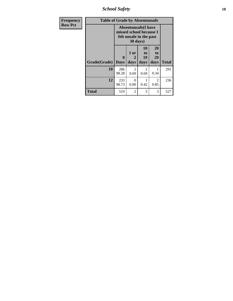*School Safety* **18**

| <b>Frequency</b> | <b>Table of Grade by Absentunsafe</b> |                             |                   |                                                                                   |                        |              |  |  |  |  |  |
|------------------|---------------------------------------|-----------------------------|-------------------|-----------------------------------------------------------------------------------|------------------------|--------------|--|--|--|--|--|
| <b>Row Pct</b>   |                                       |                             | 30 days)          | <b>Absentunsafe</b> (I have<br>missed school because I<br>felt unsafe in the past |                        |              |  |  |  |  |  |
|                  | Grade(Grade)                          | $\mathbf{0}$<br><b>Days</b> | 1 or<br>2<br>days | 10<br>to<br>19<br>days                                                            | 20<br>to<br>29<br>days | <b>Total</b> |  |  |  |  |  |
|                  | 10                                    | 286<br>98.28                | 2<br>0.69         | 2<br>0.69                                                                         | 0.34                   | 291          |  |  |  |  |  |
|                  | 12                                    | 233<br>98.73                | 0<br>0.00         | 0.42                                                                              | $\mathfrak{D}$<br>0.85 | 236          |  |  |  |  |  |
|                  | <b>Total</b>                          | 519                         | $\mathfrak{D}$    | 3                                                                                 | 3                      | 527          |  |  |  |  |  |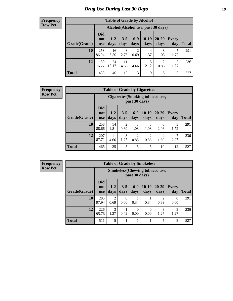# *Drug Use During Last 30 Days* **19**

#### **Frequency Row Pct**

| <b>Table of Grade by Alcohol</b> |                                 |                                     |                 |                        |                 |                        |                     |       |  |  |  |  |
|----------------------------------|---------------------------------|-------------------------------------|-----------------|------------------------|-----------------|------------------------|---------------------|-------|--|--|--|--|
|                                  |                                 | Alcohol (Alcohol use, past 30 days) |                 |                        |                 |                        |                     |       |  |  |  |  |
| Grade(Grade)                     | <b>Did</b><br>not<br><b>use</b> | $1 - 2$<br>days                     | $3 - 5$<br>days | $6 - 9$<br>days        | $10-19$<br>days | $20 - 29$<br>days      | <b>Every</b><br>day | Total |  |  |  |  |
| 10                               | 253<br>86.94                    | 16<br>5.50                          | 8<br>2.75       | $\overline{2}$<br>0.69 | 4<br>1.37       | 3<br>1.03              | 5<br>1.72           | 291   |  |  |  |  |
| 12                               | 180<br>76.27                    | 24<br>10.17                         | 11<br>4.66      | 11<br>4.66             | 5<br>2.12       | $\overline{2}$<br>0.85 | 3<br>1.27           | 236   |  |  |  |  |
| <b>Total</b>                     | 433                             | 40                                  | 19              | 13                     | 9               | 5                      | 8                   | 527   |  |  |  |  |

#### **Frequency Row Pct**

| <b>Table of Grade by Cigarettes</b> |                                 |                                                                                                                           |                        |                        |           |           |           |     |  |  |  |  |
|-------------------------------------|---------------------------------|---------------------------------------------------------------------------------------------------------------------------|------------------------|------------------------|-----------|-----------|-----------|-----|--|--|--|--|
|                                     |                                 | <b>Cigarettes</b> (Smoking tobacco use,<br>past 30 days)                                                                  |                        |                        |           |           |           |     |  |  |  |  |
| Grade(Grade)                        | <b>Did</b><br>not<br><b>use</b> | $6 - 9$<br>$10-19$<br>20-29<br>$1 - 2$<br>$3 - 5$<br>Every<br>days<br>day<br><b>Total</b><br>days<br>days<br>days<br>days |                        |                        |           |           |           |     |  |  |  |  |
| 10                                  | 258<br>88.66                    | 14<br>4.81                                                                                                                | $\mathfrak{D}$<br>0.69 | 3<br>1.03              | 3<br>1.03 | 6<br>2.06 | 5<br>1.72 | 291 |  |  |  |  |
| 12                                  | 207<br>87.71                    | 11<br>4.66                                                                                                                | 3<br>1.27              | $\overline{c}$<br>0.85 | 2<br>0.85 | 4<br>1.69 | 7<br>2.97 | 236 |  |  |  |  |
| <b>Total</b>                        | 465                             | 25                                                                                                                        | 5                      | 5                      | 5         | 10        | 12        | 527 |  |  |  |  |

| <b>Table of Grade by Smokeless</b> |                                 |                                                         |                 |                  |                 |                   |              |              |  |  |  |
|------------------------------------|---------------------------------|---------------------------------------------------------|-----------------|------------------|-----------------|-------------------|--------------|--------------|--|--|--|
|                                    |                                 | <b>Smokeless</b> (Chewing tobacco use,<br>past 30 days) |                 |                  |                 |                   |              |              |  |  |  |
| Grade(Grade)                       | <b>Did</b><br>not<br><b>use</b> | $1 - 2$<br>days                                         | $3 - 5$<br>days | $6-9$<br>days    | $10-19$<br>days | $20 - 29$<br>days | Every<br>day | <b>Total</b> |  |  |  |
| 10                                 | 285<br>97.94                    | 2<br>0.69                                               | 0<br>0.00       | 0.34             | 0.34            | 2<br>0.69         | 0<br>0.00    | 291          |  |  |  |
| 12                                 | 226<br>95.76                    | 3<br>1.27                                               | 0.42            | $\Omega$<br>0.00 | 0<br>0.00       | 1.27              | 3<br>1.27    | 236          |  |  |  |
| <b>Total</b>                       | 511                             | 5                                                       | ı               |                  | 1               | 5                 | 3            | 527          |  |  |  |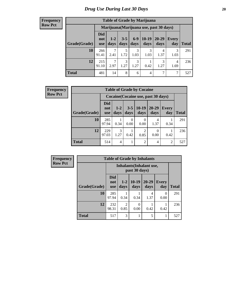| <b>Table of Grade by Marijuana</b> |                                 |                                         |                 |               |                 |                   |              |              |  |  |  |  |
|------------------------------------|---------------------------------|-----------------------------------------|-----------------|---------------|-----------------|-------------------|--------------|--------------|--|--|--|--|
|                                    |                                 | Marijuana (Marijuana use, past 30 days) |                 |               |                 |                   |              |              |  |  |  |  |
| Grade(Grade)                       | <b>Did</b><br>not<br><b>use</b> | $1 - 2$<br>days                         | $3 - 5$<br>days | $6-9$<br>days | $10-19$<br>days | $20 - 29$<br>days | Every<br>day | <b>Total</b> |  |  |  |  |
| 10                                 | 266<br>91.41                    | $\overline{7}$<br>2.41                  | 5<br>1.72       | 3<br>1.03     | 3<br>1.03       | 4<br>1.37         | 3<br>1.03    | 291          |  |  |  |  |
| 12                                 | 215<br>91.10                    | $\mathcal{I}$<br>2.97                   | 3<br>1.27       | 3<br>1.27     | 0.42            | 3<br>1.27         | 4<br>1.69    | 236          |  |  |  |  |
| <b>Total</b>                       | 481                             | 14                                      | 8               | 6             | 4               | 7                 | 7            | 527          |  |  |  |  |

| Frequency      |              | <b>Table of Grade by Cocaine</b> |                 |                 |                                     |                   |                     |              |  |  |
|----------------|--------------|----------------------------------|-----------------|-----------------|-------------------------------------|-------------------|---------------------|--------------|--|--|
| <b>Row Pct</b> |              |                                  |                 |                 | Cocaine (Cocaine use, past 30 days) |                   |                     |              |  |  |
|                | Grade(Grade) | <b>Did</b><br>not<br><b>use</b>  | $1 - 2$<br>days | $3 - 5$<br>days | $10-19$<br>days                     | $20 - 29$<br>days | <b>Every</b><br>day | <b>Total</b> |  |  |
|                | 10           | 285<br>97.94                     | 0.34            | 0<br>0.00       | 0<br>0.00                           | 4<br>1.37         | 0.34                | 291          |  |  |
|                | 12           | 229<br>97.03                     | 3<br>1.27       | 0.42            | $\overline{2}$<br>0.85              | 0.00              | 0.42                | 236          |  |  |
|                | <b>Total</b> | 514                              | 4               |                 | $\overline{2}$                      | $\overline{4}$    | $\overline{2}$      | 527          |  |  |

| <b>Frequency</b> | <b>Table of Grade by Inhalants</b> |                                 |                        |                  |                   |                     |              |  |
|------------------|------------------------------------|---------------------------------|------------------------|------------------|-------------------|---------------------|--------------|--|
| <b>Row Pct</b>   |                                    | Inhalants (Inhalant use,        |                        |                  |                   |                     |              |  |
|                  | Grade(Grade)                       | <b>Did</b><br>not<br><b>use</b> | $1 - 2$<br>days        | $10-19$<br>days  | $20 - 29$<br>days | <b>Every</b><br>day | <b>Total</b> |  |
|                  | 10                                 | 285<br>97.94                    | 0.34                   | 0.34             | 4<br>1.37         | 0<br>0.00           | 291          |  |
|                  | 12                                 | 232<br>98.31                    | $\overline{2}$<br>0.85 | $\Omega$<br>0.00 | 0.42              | 0.42                | 236          |  |
|                  | <b>Total</b>                       | 517                             | 3                      |                  | 5                 |                     | 527          |  |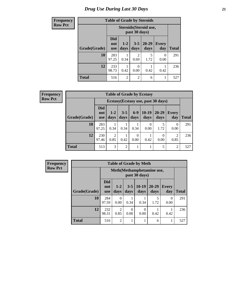# *Drug Use During Last 30 Days* **21**

| <b>Frequency</b> | <b>Table of Grade by Steroids</b> |                                 |                 |                  |                        |              |              |  |
|------------------|-----------------------------------|---------------------------------|-----------------|------------------|------------------------|--------------|--------------|--|
| <b>Row Pct</b>   |                                   |                                 |                 | past 30 days)    | Steroids (Steroid use, |              |              |  |
|                  | Grade(Grade)                      | <b>Did</b><br>not<br><b>use</b> | $1 - 2$<br>days | $3 - 5$<br>days  | $20 - 29$<br>days      | Every<br>day | <b>Total</b> |  |
|                  | 10                                | 283<br>97.25                    | 0.34            | 2<br>0.69        | 5<br>1.72              | 0<br>0.00    | 291          |  |
|                  | 12                                | 233<br>98.73                    | 0.42            | $\Omega$<br>0.00 | 0.42                   | 0.42         | 236          |  |
|                  | <b>Total</b>                      | 516                             | $\overline{2}$  | 2                | 6                      |              | 527          |  |

**Frequency Row Pct**

| <b>Table of Grade by Ecstasy</b> |                                 |                                                                                                                             |                |                  |                  |           |                  |     |  |  |
|----------------------------------|---------------------------------|-----------------------------------------------------------------------------------------------------------------------------|----------------|------------------|------------------|-----------|------------------|-----|--|--|
|                                  |                                 | Ecstasy (Ecstasy use, past 30 days)                                                                                         |                |                  |                  |           |                  |     |  |  |
| Grade(Grade)                     | <b>Did</b><br>not<br><b>use</b> | $10-19$<br>$6-9$<br>$3 - 5$<br>$20 - 29$<br>$1 - 2$<br>Every<br><b>Total</b><br>days<br>days<br>days<br>days<br>day<br>days |                |                  |                  |           |                  |     |  |  |
| 10                               | 283<br>97.25                    | 0.34                                                                                                                        | 0.34           | 0.34             | $\theta$<br>0.00 | 1.72      | $\Omega$<br>0.00 | 291 |  |  |
| 12                               | 230<br>97.46                    | 2<br>0.85                                                                                                                   | 0.42           | $\Omega$<br>0.00 | 0.42             | 0<br>0.00 | 2<br>0.85        | 236 |  |  |
| <b>Total</b>                     | 513                             | 3                                                                                                                           | $\overline{2}$ |                  | 1                | 5         | $\overline{2}$   | 527 |  |  |

| <b>Table of Grade by Meth</b> |                                 |                                            |                  |                 |                   |                     |              |  |
|-------------------------------|---------------------------------|--------------------------------------------|------------------|-----------------|-------------------|---------------------|--------------|--|
|                               |                                 | Meth(Methamphetamine use,<br>past 30 days) |                  |                 |                   |                     |              |  |
| Grade(Grade)                  | <b>Did</b><br>not<br><b>use</b> | $1-2$<br>days                              | $3 - 5$<br>days  | $10-19$<br>days | $20 - 29$<br>days | <b>Every</b><br>day | <b>Total</b> |  |
| 10                            | 284<br>97.59                    | 0<br>0.00                                  | 0.34             | 0.34            | 5<br>1.72         | 0<br>0.00           | 291          |  |
| 12                            | 232<br>98.31                    | $\mathfrak{D}$<br>0.85                     | $\theta$<br>0.00 | 0<br>0.00       | 0.42              | 0.42                | 236          |  |
| <b>Total</b>                  | 516                             | $\overline{2}$                             | 1                |                 | 6                 |                     | 527          |  |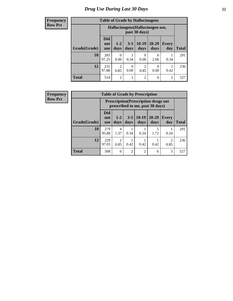# *Drug Use During Last 30 Days* **22**

#### **Frequency Row Pct**

| <b>Table of Grade by Hallucinogens</b> |                                                                                                                                                      |                                                   |      |                |           |                |     |  |
|----------------------------------------|------------------------------------------------------------------------------------------------------------------------------------------------------|---------------------------------------------------|------|----------------|-----------|----------------|-----|--|
|                                        |                                                                                                                                                      | Hallucinogens (Hallucinogen use,<br>past 30 days) |      |                |           |                |     |  |
| Grade(Grade)                           | <b>Did</b><br>$10-19$<br>$20 - 29$<br>$3 - 5$<br>$1 - 2$<br><b>Every</b><br>not<br>days<br>days<br>days<br>day<br><b>Total</b><br>days<br><b>use</b> |                                                   |      |                |           |                |     |  |
| 10                                     | 283<br>97.25                                                                                                                                         | 0<br>0.00                                         | 0.34 | 0<br>0.00      | 6<br>2.06 | 0.34           | 291 |  |
| 12                                     | $\overline{c}$<br>$\overline{2}$<br>231<br>0<br>0<br>0.85<br>97.88<br>0.85<br>0.00<br>0.00<br>0.42                                                   |                                                   |      |                |           |                |     |  |
| <b>Total</b>                           | 514                                                                                                                                                  | $\overline{c}$                                    |      | $\overline{2}$ | 6         | $\overline{c}$ | 527 |  |

| <b>Table of Grade by Prescription</b>                                                                       |                                                                                                                                                 |                                                                                |                |      |      |      |     |  |
|-------------------------------------------------------------------------------------------------------------|-------------------------------------------------------------------------------------------------------------------------------------------------|--------------------------------------------------------------------------------|----------------|------|------|------|-----|--|
|                                                                                                             |                                                                                                                                                 | <b>Prescription</b> (Prescription drugs not<br>prescribed to me, past 30 days) |                |      |      |      |     |  |
| Grade(Grade)                                                                                                | <b>Did</b><br>$3 - 5 \mid 10 - 19$<br>$20 - 29$<br>$1 - 2$<br><b>Every</b><br>not<br>days<br><b>Total</b><br>days<br>days<br>days<br>day<br>use |                                                                                |                |      |      |      |     |  |
| 10                                                                                                          | 279<br>95.88                                                                                                                                    | 4<br>1.37                                                                      | 0.34           | 0.34 | 1.72 | 0.34 | 291 |  |
| 12<br>$\mathfrak{D}$<br>229<br>$\mathcal{D}_{\mathcal{L}}$<br>0.42<br>0.42<br>97.03<br>0.42<br>0.85<br>0.85 |                                                                                                                                                 |                                                                                |                |      |      |      | 236 |  |
| <b>Total</b>                                                                                                | 508                                                                                                                                             | 6                                                                              | $\overline{2}$ | 2    | 6    | 3    | 527 |  |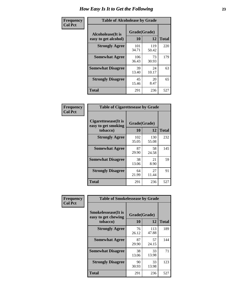| Frequency      | <b>Table of Alcoholease by Grade</b>       |                    |              |              |  |  |
|----------------|--------------------------------------------|--------------------|--------------|--------------|--|--|
| <b>Col Pct</b> | Alcoholease (It is<br>easy to get alcohol) | Grade(Grade)<br>10 | 12           | <b>Total</b> |  |  |
|                | <b>Strongly Agree</b>                      | 101<br>34.71       | 119<br>50.42 | 220          |  |  |
|                | <b>Somewhat Agree</b>                      | 106<br>36.43       | 73<br>30.93  | 179          |  |  |
|                | <b>Somewhat Disagree</b>                   | 39<br>13.40        | 24<br>10.17  | 63           |  |  |
|                | <b>Strongly Disagree</b>                   | 45<br>15.46        | 20<br>8.47   | 65           |  |  |
|                | <b>Total</b>                               | 291                | 236          | 527          |  |  |

| Frequency      |                                                          | <b>Table of Cigarettesease by Grade</b> |              |              |  |  |  |
|----------------|----------------------------------------------------------|-----------------------------------------|--------------|--------------|--|--|--|
| <b>Col Pct</b> | Cigarettesease (It is<br>easy to get smoking<br>tobacco) | Grade(Grade)<br><b>10</b>               | 12           | <b>Total</b> |  |  |  |
|                | <b>Strongly Agree</b>                                    | 102<br>35.05                            | 130<br>55.08 | 232          |  |  |  |
|                | <b>Somewhat Agree</b>                                    | 87<br>29.90                             | 58<br>24.58  | 145          |  |  |  |
|                | <b>Somewhat Disagree</b>                                 | 38<br>13.06                             | 21<br>8.90   | 59           |  |  |  |
|                | <b>Strongly Disagree</b>                                 | 64<br>21.99                             | 27<br>11.44  | 91           |  |  |  |
|                | <b>Total</b>                                             | 291                                     | 236          | 527          |  |  |  |

| Frequency      | <b>Table of Smokelessease by Grade</b>             |              |              |              |
|----------------|----------------------------------------------------|--------------|--------------|--------------|
| <b>Col Pct</b> | <b>Smokelessease</b> (It is<br>easy to get chewing | Grade(Grade) |              |              |
|                | tobacco)                                           | <b>10</b>    | 12           | <b>Total</b> |
|                | <b>Strongly Agree</b>                              | 76<br>26.12  | 113<br>47.88 | 189          |
|                | <b>Somewhat Agree</b>                              | 87<br>29.90  | 57<br>24.15  | 144          |
|                | <b>Somewhat Disagree</b>                           | 38<br>13.06  | 33<br>13.98  | 71           |
|                | <b>Strongly Disagree</b>                           | 90<br>30.93  | 33<br>13.98  | 123          |
|                | Total                                              | 291          | 236          | 527          |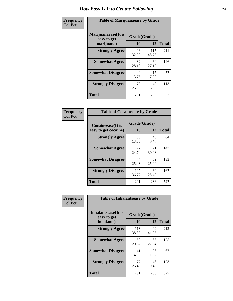| Frequency      | <b>Table of Marijuanaease by Grade</b>           |                           |              |              |  |  |  |
|----------------|--------------------------------------------------|---------------------------|--------------|--------------|--|--|--|
| <b>Col Pct</b> | Marijuanaease(It is<br>easy to get<br>marijuana) | Grade(Grade)<br><b>10</b> | 12           | <b>Total</b> |  |  |  |
|                | <b>Strongly Agree</b>                            | 96<br>32.99               | 115<br>48.73 | 211          |  |  |  |
|                | <b>Somewhat Agree</b>                            | 82<br>28.18               | 64<br>27.12  | 146          |  |  |  |
|                | <b>Somewhat Disagree</b>                         | 40<br>13.75               | 17<br>7.20   | 57           |  |  |  |
|                | <b>Strongly Disagree</b>                         | 73<br>25.09               | 40<br>16.95  | 113          |  |  |  |
|                | <b>Total</b>                                     | 291                       | 236          | 527          |  |  |  |

| <b>Table of Cocaineease by Grade</b> |              |             |              |  |  |  |  |
|--------------------------------------|--------------|-------------|--------------|--|--|--|--|
| Cocaineease(It is                    | Grade(Grade) |             |              |  |  |  |  |
| easy to get cocaine)                 | 10           | 12          | <b>Total</b> |  |  |  |  |
| <b>Strongly Agree</b>                | 38<br>13.06  | 46<br>19.49 | 84           |  |  |  |  |
| <b>Somewhat Agree</b>                | 72<br>24.74  | 71<br>30.08 | 143          |  |  |  |  |
| <b>Somewhat Disagree</b>             | 74<br>25.43  | 59<br>25.00 | 133          |  |  |  |  |
| <b>Strongly Disagree</b>             | 107<br>36.77 | 60<br>25.42 | 167          |  |  |  |  |
| <b>Total</b>                         | 291          | 236         | 527          |  |  |  |  |

| Frequency      | <b>Table of Inhalantsease by Grade</b>     |              |             |              |  |  |  |
|----------------|--------------------------------------------|--------------|-------------|--------------|--|--|--|
| <b>Col Pct</b> | <b>Inhalantsease</b> (It is<br>easy to get | Grade(Grade) |             |              |  |  |  |
|                | inhalants)                                 | 10           | 12          | <b>Total</b> |  |  |  |
|                | <b>Strongly Agree</b>                      | 113<br>38.83 | 99<br>41.95 | 212          |  |  |  |
|                | <b>Somewhat Agree</b>                      | 60<br>20.62  | 65<br>27.54 | 125          |  |  |  |
|                | <b>Somewhat Disagree</b>                   | 41<br>14.09  | 26<br>11.02 | 67           |  |  |  |
|                | <b>Strongly Disagree</b>                   | 77<br>26.46  | 46<br>19.49 | 123          |  |  |  |
|                | <b>Total</b>                               | 291          | 236         | 527          |  |  |  |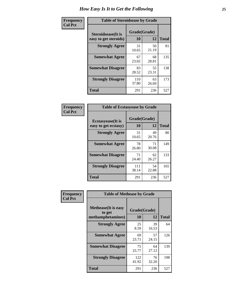| Frequency      | <b>Table of Steroidsease by Grade</b>               |                    |             |              |  |  |  |  |  |  |  |
|----------------|-----------------------------------------------------|--------------------|-------------|--------------|--|--|--|--|--|--|--|
| <b>Col Pct</b> | <b>Steroidsease</b> (It is<br>easy to get steroids) | Grade(Grade)<br>10 | 12          | <b>Total</b> |  |  |  |  |  |  |  |
|                | <b>Strongly Agree</b>                               | 31<br>10.65        | 50<br>21.19 | 81           |  |  |  |  |  |  |  |
|                | <b>Somewhat Agree</b>                               | 67<br>23.02        | 68<br>28.81 | 135          |  |  |  |  |  |  |  |
|                | <b>Somewhat Disagree</b>                            | 83<br>28.52        | 55<br>23.31 | 138          |  |  |  |  |  |  |  |
|                | <b>Strongly Disagree</b>                            | 110<br>37.80       | 63<br>26.69 | 173          |  |  |  |  |  |  |  |
|                | <b>Total</b>                                        | 291                | 236         | 527          |  |  |  |  |  |  |  |

| Frequency      | <b>Table of Ecstasyease by Grade</b>              |                    |              |     |
|----------------|---------------------------------------------------|--------------------|--------------|-----|
| <b>Col Pct</b> | <b>Ecstasyease</b> (It is<br>easy to get ecstasy) | Grade(Grade)<br>10 | <b>Total</b> |     |
|                | <b>Strongly Agree</b>                             | 31<br>10.65        | 49<br>20.76  | 80  |
|                | <b>Somewhat Agree</b>                             | 78<br>26.80        | 71<br>30.08  | 149 |
|                | <b>Somewhat Disagree</b>                          | 71<br>24.40        | 62<br>26.27  | 133 |
|                | <b>Strongly Disagree</b>                          | 111<br>38.14       | 54<br>22.88  | 165 |
|                | Total                                             | 291                | 236          | 527 |

| Frequency      | <b>Table of Methease by Grade</b>                          |                           |              |     |
|----------------|------------------------------------------------------------|---------------------------|--------------|-----|
| <b>Col Pct</b> | <b>Methease</b> (It is easy<br>to get<br>methamphetamines) | Grade(Grade)<br><b>10</b> | <b>Total</b> |     |
|                | <b>Strongly Agree</b>                                      | 25<br>8.59                | 39<br>16.53  | 64  |
|                | <b>Somewhat Agree</b>                                      | 69<br>23.71               | 57<br>24.15  | 126 |
|                | <b>Somewhat Disagree</b>                                   | 75<br>25.77               | 64<br>27.12  | 139 |
|                | <b>Strongly Disagree</b>                                   | 122<br>41.92              | 76<br>32.20  | 198 |
|                | Total                                                      | 291                       | 236          | 527 |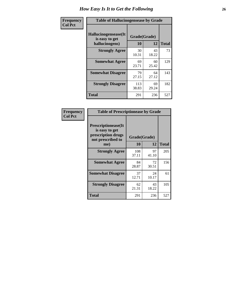| <b>Frequency</b> | <b>Table of Hallucinogensease by Grade</b>               |                    |              |     |
|------------------|----------------------------------------------------------|--------------------|--------------|-----|
| <b>Col Pct</b>   | Hallucinogensease(It<br>is easy to get<br>hallucinogens) | Grade(Grade)<br>12 | <b>Total</b> |     |
|                  | <b>Strongly Agree</b>                                    | 30<br>10.31        | 43<br>18.22  | 73  |
|                  | <b>Somewhat Agree</b>                                    | 69<br>23.71        | 60<br>25.42  | 129 |
|                  | <b>Somewhat Disagree</b>                                 | 79<br>27.15        | 64<br>27.12  | 143 |
|                  | <b>Strongly Disagree</b>                                 | 113<br>38.83       | 69<br>29.24  | 182 |
|                  | <b>Total</b>                                             | 291                | 236          | 527 |

| Frequency<br>Col Pct |
|----------------------|

| <b>Table of Prescriptionease by Grade</b>                                                |              |             |              |
|------------------------------------------------------------------------------------------|--------------|-------------|--------------|
| <b>Prescriptionease</b> (It<br>is easy to get<br>prescription drugs<br>not prescribed to | Grade(Grade) |             |              |
| me)                                                                                      | 10           | 12          | <b>Total</b> |
| <b>Strongly Agree</b>                                                                    | 108<br>37.11 | 97<br>41.10 | 205          |
| <b>Somewhat Agree</b>                                                                    | 84<br>28.87  | 72<br>30.51 | 156          |
| <b>Somewhat Disagree</b>                                                                 | 37<br>12.71  | 24<br>10.17 | 61           |
| <b>Strongly Disagree</b>                                                                 | 62<br>21.31  | 43<br>18.22 | 105          |
| <b>Total</b>                                                                             | 291          | 236         | 527          |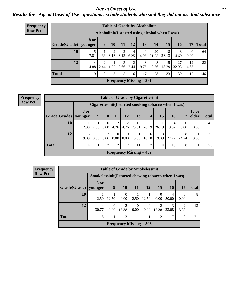#### *Age at Onset of Use* **27** *Results for "Age at Onset of Use" questions exclude students who said they did not use that substance*

| Frequency      |                        |             |                                                  |           |           |           | <b>Table of Grade by Alcoholinit</b> |                     |             |             |                  |              |  |
|----------------|------------------------|-------------|--------------------------------------------------|-----------|-----------|-----------|--------------------------------------|---------------------|-------------|-------------|------------------|--------------|--|
| <b>Row Pct</b> |                        |             | Alcoholinit (I started using alcohol when I was) |           |           |           |                                      |                     |             |             |                  |              |  |
|                | Grade(Grade)   younger | <b>8 or</b> | 9                                                | 10        | 11        | 12        | 13                                   | 14                  | 15          | 16          | 17               | <b>Total</b> |  |
|                | 10                     | 7.81        | $\bf{I}$<br>1.56                                 | 2<br>3.13 | 2<br>3.13 | 4<br>6.25 | 9<br>14.06                           | 20<br>31.25         | 18<br>28.13 | 3<br>4.69   | $\Omega$<br>0.00 | 64           |  |
|                | 12                     | 4<br>4.88   | $\overline{2}$<br>2.44                           | 1.22      | 3<br>3.66 | 2<br>2.44 | 8<br>9.76                            | $8^{\circ}$<br>9.76 | 15<br>18.29 | 27<br>32.93 | 12<br>14.63      | 82           |  |
|                | <b>Total</b>           | 9           | 3                                                | 3         | 5         | 6         | 17                                   | 28                  | 33          | 30          | 12               | 146          |  |
|                |                        |             |                                                  |           |           |           | Frequency Missing $= 381$            |                     |             |             |                  |              |  |

| <b>Frequency</b> |
|------------------|
| <b>Row Pct</b>   |

| <b>Table of Grade by Cigarettesinit</b> |                        |                                                       |                  |                      |                        |                           |             |             |            |            |                       |              |  |
|-----------------------------------------|------------------------|-------------------------------------------------------|------------------|----------------------|------------------------|---------------------------|-------------|-------------|------------|------------|-----------------------|--------------|--|
|                                         |                        | Cigarettesinit (I started smoking tobacco when I was) |                  |                      |                        |                           |             |             |            |            |                       |              |  |
| Grade(Grade)                            | <b>8 or</b><br>younger | 9                                                     | 10               | 11                   | 12                     | 13                        | 14          | 15          | 16         | 17         | <b>18 or</b><br>older | <b>Total</b> |  |
| 10                                      | 2.38                   | 2.38                                                  | $\Omega$<br>0.00 | 2<br>4.76            | 2<br>4.76              | 10<br>23.81               | 11<br>26.19 | 11<br>26.19 | 4<br>9.52  | 0<br>0.00  | $\Omega$<br>0.00      | 42           |  |
| 12                                      | 3<br>9.09              | $\Omega$<br>0.00                                      | 2<br>6.06        | $\mathbf{0}$<br>0.00 | $\overline{0}$<br>0.00 | 3.03                      | 6<br>18.18  | 3<br>9.09   | 9<br>27.27 | 8<br>24.24 | 3.03                  | 33           |  |
| <b>Total</b>                            | 4                      |                                                       | 2                | $\overline{2}$       | $\overline{2}$         | 11                        | 17          | 14          | 13         | 8          |                       | 75           |  |
|                                         |                        |                                                       |                  |                      |                        | Frequency Missing $= 452$ |             |             |            |            |                       |              |  |

| <b>Frequency</b> |                                                      |                 |                  | <b>Table of Grade by Smokelessinit</b> |                  |           |                  |            |            |              |  |
|------------------|------------------------------------------------------|-----------------|------------------|----------------------------------------|------------------|-----------|------------------|------------|------------|--------------|--|
| <b>Row Pct</b>   | Smokelessinit (I started chewing tobacco when I was) |                 |                  |                                        |                  |           |                  |            |            |              |  |
|                  | Grade(Grade)                                         | 8 or<br>younger | 9                | <b>10</b>                              | 11               | 12        | 15               | <b>16</b>  | 17         | <b>Total</b> |  |
|                  | 10                                                   | 12.50           | 12.50            | $\Omega$<br>0.00                       | 12.50            | 12.50     | $\theta$<br>0.00 | 4<br>50.00 | 0.00       | 8            |  |
|                  | 12                                                   | 4<br>30.77      | $\Omega$<br>0.00 | 2<br>15.38                             | $\theta$<br>0.00 | 0<br>0.00 | 15.38            | 3<br>23.08 | ↑<br>15.38 | 13           |  |
|                  | <b>Total</b>                                         | 5               |                  | 2                                      |                  |           | $\overline{2}$   | 7          | ↑          | 21           |  |
|                  |                                                      |                 |                  | Frequency Missing $= 506$              |                  |           |                  |            |            |              |  |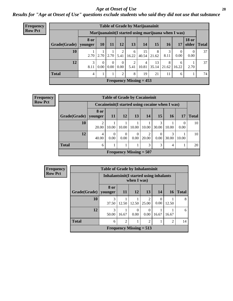#### *Age at Onset of Use* **28**

*Results for "Age at Onset of Use" questions exclude students who said they did not use that substance*

| <b>Frequency</b> | <b>Table of Grade by Marijuanainit</b>               |                       |                 |                      |                  |            |                           |                     |           |            |                       |              |  |  |
|------------------|------------------------------------------------------|-----------------------|-----------------|----------------------|------------------|------------|---------------------------|---------------------|-----------|------------|-----------------------|--------------|--|--|
| <b>Row Pct</b>   | Marijuanainit (I started using marijuana when I was) |                       |                 |                      |                  |            |                           |                     |           |            |                       |              |  |  |
|                  | Grade(Grade)   younger                               | <b>8 or</b>           | 10 <sup>1</sup> | <b>11</b>            | <b>12</b>        | 13         | 14                        | 15                  | 16        | 17         | <b>18 or</b><br>older | <b>Total</b> |  |  |
|                  | 10                                                   | 2.70                  | 2.70            | 2.70                 | 5.41             | 6<br>16.22 | 15<br>40.54               | 8<br>21.62          | 3<br>8.11 | 0.00       | 0.00                  | 37           |  |  |
|                  | 12                                                   | $\mathcal{R}$<br>8.11 | 0.00            | $\Omega$<br>$0.00\,$ | $\Omega$<br>0.00 | 2<br>5.41  | 4<br>10.81                | 13<br>$35.14$ 21.62 | 8         | 6<br>16.22 | 2.70                  | 37           |  |  |
|                  | <b>Total</b>                                         | $\overline{4}$        |                 |                      | າ                | 8          | 19                        | 21                  | 11        | 6          |                       | 74           |  |  |
|                  |                                                      |                       |                 |                      |                  |            | Frequency Missing $= 453$ |                     |           |            |                       |              |  |  |

| <b>Frequency</b> |                        | <b>Table of Grade by Cocaineinit</b> |                                                    |                  |                           |            |                  |            |       |              |  |  |  |  |
|------------------|------------------------|--------------------------------------|----------------------------------------------------|------------------|---------------------------|------------|------------------|------------|-------|--------------|--|--|--|--|
| <b>Row Pct</b>   |                        |                                      | Cocaine in it (I started using cocaine when I was) |                  |                           |            |                  |            |       |              |  |  |  |  |
|                  | Grade(Grade)   younger | 8 or                                 | <b>11</b>                                          | <b>12</b>        | 13                        | 14         | <b>15</b>        | 16         | 17    | <b>Total</b> |  |  |  |  |
|                  | 10                     | $\overline{c}$<br>20.00              | 10.00                                              | 10.00            | 10.00                     | 10.00      | 3<br>30.00       | 10.00      | 0.00  | 10           |  |  |  |  |
|                  | 12                     | 4<br>40.00                           | $\left($<br>0.00                                   | $\Omega$<br>0.00 | $\mathbf{0}$<br>0.00      | 2<br>20.00 | $\Omega$<br>0.00 | 3<br>30.00 | 10.00 | 10           |  |  |  |  |
|                  | <b>Total</b>           | 6                                    |                                                    |                  |                           | 3          | $\mathcal{F}$    | 4          |       | 20           |  |  |  |  |
|                  |                        |                                      |                                                    |                  | Frequency Missing $= 507$ |            |                  |            |       |              |  |  |  |  |

| <b>Frequency</b> |                        | <b>Table of Grade by Inhalantsinit</b>   |                |             |                                      |                  |       |              |
|------------------|------------------------|------------------------------------------|----------------|-------------|--------------------------------------|------------------|-------|--------------|
| <b>Row Pct</b>   |                        | Inhalantsinit (I started using inhalants |                | when I was) |                                      |                  |       |              |
|                  | Grade(Grade)   younger | 8 or                                     | <b>11</b>      | <b>12</b>   | 13                                   | 14               | 16    | <b>Total</b> |
|                  | 10                     | 3<br>37.50                               | 12.50          | 12.50       | $\mathcal{D}_{\mathcal{L}}$<br>25.00 | $\Omega$<br>0.00 | 12.50 | 8            |
|                  | 12                     | 3<br>50.00                               | 16.67          | 0.00        | 0.00                                 | 16.67            | 16.67 | 6            |
|                  | <b>Total</b>           | 6                                        | $\mathfrak{D}$ |             | 2                                    |                  | 2     | 14           |
|                  |                        |                                          |                |             | Frequency Missing $= 513$            |                  |       |              |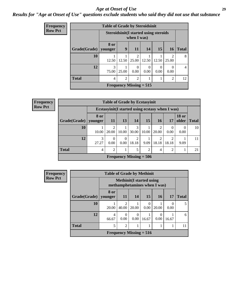#### *Age at Onset of Use* **29**

### *Results for "Age at Onset of Use" questions exclude students who said they did not use that substance*

| Frequency      |              | <b>Table of Grade by Steroidsinit</b> |                                                             |                           |                  |                  |                         |                |  |
|----------------|--------------|---------------------------------------|-------------------------------------------------------------|---------------------------|------------------|------------------|-------------------------|----------------|--|
| <b>Row Pct</b> |              |                                       | <b>Steroidsinit(I started using steroids</b><br>when I was) |                           |                  |                  |                         |                |  |
|                | Grade(Grade) | <b>8 or</b><br>younger                | 9                                                           | <b>11</b>                 | 14               | 15               | <b>16</b>               | <b>Total</b>   |  |
|                | 10           | 12.50                                 | 12.50                                                       | $\mathfrak{D}$<br>25.00   | 12.50            | 12.50            | $\overline{2}$<br>25.00 | 8              |  |
|                | 12           | 3<br>75.00                            | 25.00                                                       | $\theta$<br>0.00          | $\Omega$<br>0.00 | $\left($<br>0.00 | $\Omega$<br>0.00        | $\overline{4}$ |  |
|                | <b>Total</b> | 4                                     | $\overline{2}$                                              | $\overline{2}$            | 1                |                  | $\overline{2}$          | 12             |  |
|                |              |                                       |                                                             | Frequency Missing $= 515$ |                  |                  |                         |                |  |

| Frequency      |              |                                                  |                  |                  |                         | <b>Table of Grade by Ecstasyinit</b> |                         |                  |                       |              |
|----------------|--------------|--------------------------------------------------|------------------|------------------|-------------------------|--------------------------------------|-------------------------|------------------|-----------------------|--------------|
| <b>Row Pct</b> |              | Ecstasyinit (I started using ecstasy when I was) |                  |                  |                         |                                      |                         |                  |                       |              |
|                | Grade(Grade) | 8 or<br>younger                                  | <b>11</b>        | 13               | 14                      | <b>15</b>                            | <b>16</b>               | 17               | <b>18 or</b><br>older | <b>Total</b> |
|                | 10           | 10.00                                            | っ<br>20.00       | 10.00            | 3<br>30.00              | 10.00                                | $\mathfrak{D}$<br>20.00 | $\theta$<br>0.00 | $\theta$<br>0.00      | 10           |
|                | 12           | 3<br>27.27                                       | $\Omega$<br>0.00 | $\theta$<br>0.00 | $\overline{2}$<br>18.18 | 9.09                                 | 2<br>18.18              | 18.18            | 9.09                  | 11           |
|                | <b>Total</b> | 4                                                | $\mathfrak{D}$   |                  | 5                       | $\mathcal{D}$                        | 4                       | $\overline{2}$   |                       | 21           |
|                |              |                                                  |                  |                  |                         | Frequency Missing $= 506$            |                         |                  |                       |              |

| <b>Frequency</b> |              | <b>Table of Grade by Methinit</b> |                         |       |                                                                  |           |           |              |
|------------------|--------------|-----------------------------------|-------------------------|-------|------------------------------------------------------------------|-----------|-----------|--------------|
| <b>Row Pct</b>   |              |                                   |                         |       | <b>Methinit</b> (I started using<br>methamphetamines when I was) |           |           |              |
|                  | Grade(Grade) | 8 or<br>younger                   | <b>11</b>               | 14    | 15                                                               | <b>16</b> | 17        | <b>Total</b> |
|                  | 10           | 20.00                             | $\mathfrak{D}$<br>40.00 | 20.00 | $\Omega$<br>0.00                                                 | 20.00     | 0<br>0.00 | 5            |
|                  | 12           | 4<br>66.67                        | $\Omega$<br>0.00        | 0.00  | 16.67                                                            | 0<br>0.00 | 16.67     | 6            |
|                  | <b>Total</b> | 5                                 | $\overline{2}$          |       |                                                                  |           |           | 11           |
|                  |              |                                   |                         |       | Frequency Missing $= 516$                                        |           |           |              |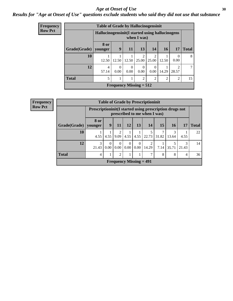#### Age at Onset of Use **30**

#### *Results for "Age at Onset of Use" questions exclude students who said they did not use that substance*

| Frequency      |              | <b>Table of Grade by Hallucinogensinit</b>      |                           |                  |                         |                         |           |                       |              |
|----------------|--------------|-------------------------------------------------|---------------------------|------------------|-------------------------|-------------------------|-----------|-----------------------|--------------|
| <b>Row Pct</b> |              | Hallucinogensinit(I started using hallucinogens |                           |                  | when I was)             |                         |           |                       |              |
|                | Grade(Grade) | 8 or<br>younger                                 | 9                         | <b>11</b>        | 13                      | 14                      | <b>16</b> | 17                    | <b>Total</b> |
|                | 10           | 12.50                                           | 12.50                     | 12.50            | $\mathfrak{D}$<br>25.00 | $\mathfrak{D}$<br>25.00 | 12.50     | $\mathcal{O}$<br>0.00 | 8            |
|                | 12           | 4<br>57.14                                      | $\Omega$<br>0.00          | $\Omega$<br>0.00 | $\Omega$<br>0.00        | 0<br>0.00               | 14.29     | っ<br>28.57            | ℸ            |
|                | <b>Total</b> | 5                                               |                           |                  | $\overline{2}$          | $\overline{2}$          | 2         | $\overline{2}$        | 15           |
|                |              |                                                 | Frequency Missing $= 512$ |                  |                         |                         |           |                       |              |

|              |                 |                                                                                         |                                     |      |                            | <b>Table of Grade by Prescriptioninit</b> |                 |                 |       |              |
|--------------|-----------------|-----------------------------------------------------------------------------------------|-------------------------------------|------|----------------------------|-------------------------------------------|-----------------|-----------------|-------|--------------|
|              |                 | Prescriptioninit(I started using prescription drugs not<br>prescribed to me when I was) |                                     |      |                            |                                           |                 |                 |       |              |
| Grade(Grade) | 8 or<br>vounger | 9                                                                                       | -11                                 | 12   | 13                         | 14                                        | 15 <sup>1</sup> | 16 <sup>1</sup> | 17    | <b>Total</b> |
| 10           | 4.55            | 4.55                                                                                    | $\mathcal{D}_{\mathcal{L}}$<br>9.09 | 4.55 | 4.55                       | 22.73                                     | 31.82           | 3<br>13.64      | 4.55  | 22           |
| 12           | 3<br>21.43      | 0.00                                                                                    | $\theta$<br>0.00                    | 0.00 | $\Omega$<br>$0.00^{\circ}$ | 14.29                                     | 7.14            | 35.71           | 21.43 | 14           |
| <b>Total</b> | $\overline{4}$  |                                                                                         | $\overline{2}$                      |      |                            |                                           | 8               | 8               | 4     | 36           |
|              |                 |                                                                                         |                                     |      | Frequency Missing $= 491$  |                                           |                 |                 |       |              |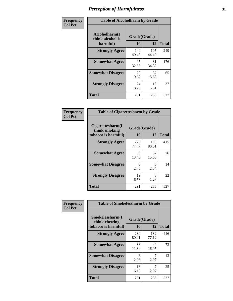| Frequency      | <b>Table of Alcoholharm by Grade</b>          |                    |              |              |  |  |  |
|----------------|-----------------------------------------------|--------------------|--------------|--------------|--|--|--|
| <b>Col Pct</b> | Alcoholharm(I<br>think alcohol is<br>harmful) | Grade(Grade)<br>10 | 12           | <b>Total</b> |  |  |  |
|                | <b>Strongly Agree</b>                         | 144<br>49.48       | 105<br>44.49 | 249          |  |  |  |
|                | <b>Somewhat Agree</b>                         | 95<br>32.65        | 81<br>34.32  | 176          |  |  |  |
|                | <b>Somewhat Disagree</b>                      | 28<br>9.62         | 37<br>15.68  | 65           |  |  |  |
|                | <b>Strongly Disagree</b>                      | 24<br>8.25         | 13<br>5.51   | 37           |  |  |  |
|                | <b>Total</b>                                  | 291                | 236          | 527          |  |  |  |

| <b>Table of Cigarettesharm by Grade</b>                  |                    |              |              |  |  |  |  |  |
|----------------------------------------------------------|--------------------|--------------|--------------|--|--|--|--|--|
| Cigarettesharm(I<br>think smoking<br>tobacco is harmful) | Grade(Grade)<br>10 | 12           | <b>Total</b> |  |  |  |  |  |
| <b>Strongly Agree</b>                                    | 225<br>77.32       | 190<br>80.51 | 415          |  |  |  |  |  |
| <b>Somewhat Agree</b>                                    | 39<br>13.40        | 37<br>15.68  | 76           |  |  |  |  |  |
| <b>Somewhat Disagree</b>                                 | 8<br>2.75          | 6<br>2.54    | 14           |  |  |  |  |  |
| <b>Strongly Disagree</b>                                 | 19<br>6.53         | 3<br>1.27    | 22           |  |  |  |  |  |
| <b>Total</b>                                             | 291                | 236          | 527          |  |  |  |  |  |

| Frequency      | <b>Table of Smokelessharm by Grade</b>                  |                    |              |     |
|----------------|---------------------------------------------------------|--------------------|--------------|-----|
| <b>Col Pct</b> | Smokelessharm(I<br>think chewing<br>tobacco is harmful) | Grade(Grade)<br>10 | <b>Total</b> |     |
|                | <b>Strongly Agree</b>                                   | 234<br>80.41       | 182<br>77.12 | 416 |
|                | <b>Somewhat Agree</b>                                   | 33<br>11.34        | 40<br>16.95  | 73  |
|                | <b>Somewhat Disagree</b>                                | 6<br>2.06          | 2.97         | 13  |
|                | <b>Strongly Disagree</b>                                | 18<br>6.19         | 2.97         | 25  |
|                | <b>Total</b>                                            | 291                | 236          | 527 |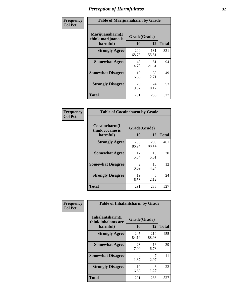| Frequency      |                                                   | <b>Table of Marijuanaharm by Grade</b> |              |              |  |  |  |  |  |
|----------------|---------------------------------------------------|----------------------------------------|--------------|--------------|--|--|--|--|--|
| <b>Col Pct</b> | Marijuanaharm(I<br>think marijuana is<br>harmful) | Grade(Grade)<br>10                     | 12           | <b>Total</b> |  |  |  |  |  |
|                | <b>Strongly Agree</b>                             | 200<br>68.73                           | 131<br>55.51 | 331          |  |  |  |  |  |
|                | <b>Somewhat Agree</b>                             | 43<br>14.78                            | 51<br>21.61  | 94           |  |  |  |  |  |
|                | <b>Somewhat Disagree</b>                          | 19<br>6.53                             | 30<br>12.71  | 49           |  |  |  |  |  |
|                | <b>Strongly Disagree</b>                          | 29<br>9.97                             | 24<br>10.17  | 53           |  |  |  |  |  |
|                | <b>Total</b>                                      | 291                                    | 236          | 527          |  |  |  |  |  |

| <b>Table of Cocaineharm by Grade</b>          |                        |              |              |
|-----------------------------------------------|------------------------|--------------|--------------|
| Cocaineharm(I<br>think cocaine is<br>harmful) | Grade(Grade)<br>10     | 12           | <b>Total</b> |
| <b>Strongly Agree</b>                         | 253<br>86.94           | 208<br>88.14 | 461          |
| <b>Somewhat Agree</b>                         | 17<br>5.84             | 13<br>5.51   | 30           |
| <b>Somewhat Disagree</b>                      | $\mathfrak{D}$<br>0.69 | 10<br>4.24   | 12           |
| <b>Strongly Disagree</b>                      | 19<br>6.53             | 5<br>2.12    | 24           |
| Total                                         | 291                    | 236          | 527          |

| Frequency      | <b>Table of Inhalantsharm by Grade</b>              |                    |              |     |
|----------------|-----------------------------------------------------|--------------------|--------------|-----|
| <b>Col Pct</b> | Inhalantsharm(I)<br>think inhalants are<br>harmful) | Grade(Grade)<br>10 | <b>Total</b> |     |
|                | <b>Strongly Agree</b>                               | 245<br>84.19       | 210<br>88.98 | 455 |
|                | <b>Somewhat Agree</b>                               | 23<br>7.90         | 16<br>6.78   | 39  |
|                | <b>Somewhat Disagree</b>                            | 4<br>1.37          | 2.97         | 11  |
|                | <b>Strongly Disagree</b>                            | 19<br>6.53         | 3<br>1.27    | 22  |
|                | <b>Total</b>                                        | 291                | 236          | 527 |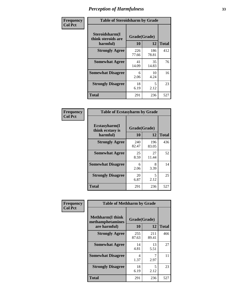| Frequency      | <b>Table of Steroidsharm by Grade</b>            |                    |              |              |
|----------------|--------------------------------------------------|--------------------|--------------|--------------|
| <b>Col Pct</b> | Steroidsharm(I<br>think steroids are<br>harmful) | Grade(Grade)<br>10 | 12           | <b>Total</b> |
|                | <b>Strongly Agree</b>                            | 226<br>77.66       | 186<br>78.81 | 412          |
|                | <b>Somewhat Agree</b>                            | 41<br>14.09        | 35<br>14.83  | 76           |
|                | <b>Somewhat Disagree</b>                         | 6<br>2.06          | 10<br>4.24   | 16           |
|                | <b>Strongly Disagree</b>                         | 18<br>6.19         | 5<br>2.12    | 23           |
|                | <b>Total</b>                                     | 291                | 236          | 527          |

| <b>Table of Ecstasyharm by Grade</b>          |                    |              |              |  |  |
|-----------------------------------------------|--------------------|--------------|--------------|--|--|
| Ecstasyharm(I<br>think ecstasy is<br>harmful) | Grade(Grade)<br>10 | 12           | <b>Total</b> |  |  |
| <b>Strongly Agree</b>                         | 240<br>82.47       | 196<br>83.05 | 436          |  |  |
| <b>Somewhat Agree</b>                         | 25<br>8.59         | 27<br>11.44  | 52           |  |  |
| <b>Somewhat Disagree</b>                      | 6<br>2.06          | 8<br>3.39    | 14           |  |  |
| <b>Strongly Disagree</b>                      | 20<br>6.87         | 5<br>2.12    | 25           |  |  |
| <b>Total</b>                                  | 291                | 236          | 527          |  |  |

| Frequency      | <b>Table of Methharm by Grade</b>                            |                    |              |              |
|----------------|--------------------------------------------------------------|--------------------|--------------|--------------|
| <b>Col Pct</b> | <b>Methharm</b> (I think<br>methamphetamines<br>are harmful) | Grade(Grade)<br>10 | 12           | <b>Total</b> |
|                | <b>Strongly Agree</b>                                        | 255<br>87.63       | 211<br>89.41 | 466          |
|                | <b>Somewhat Agree</b>                                        | 14<br>4.81         | 13<br>5.51   | 27           |
|                | <b>Somewhat Disagree</b>                                     | 4<br>1.37          | 2.97         | 11           |
|                | <b>Strongly Disagree</b>                                     | 18<br>6.19         | 5<br>2.12    | 23           |
|                | <b>Total</b>                                                 | 291                | 236          | 527          |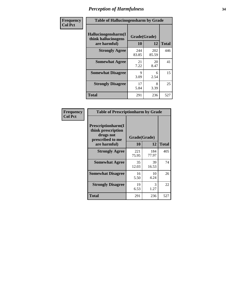| Frequency      | <b>Table of Hallucinogensharm by Grade</b>                 |                    |              |              |
|----------------|------------------------------------------------------------|--------------------|--------------|--------------|
| <b>Col Pct</b> | Hallucinogensharm(I<br>think hallucinogens<br>are harmful) | Grade(Grade)<br>10 | 12           | <b>Total</b> |
|                | <b>Strongly Agree</b>                                      | 244<br>83.85       | 202<br>85.59 | 446          |
|                | <b>Somewhat Agree</b>                                      | 21<br>7.22         | 20<br>8.47   | 41           |
|                | <b>Somewhat Disagree</b>                                   | 9<br>3.09          | 6<br>2.54    | 15           |
|                | <b>Strongly Disagree</b>                                   | 17<br>5.84         | 8<br>3.39    | 25           |
|                | <b>Total</b>                                               | 291                | 236          | 527          |

| <b>Table of Prescriptionharm by Grade</b>                                 |              |              |              |  |
|---------------------------------------------------------------------------|--------------|--------------|--------------|--|
| Prescriptionharm(I<br>think prescription<br>drugs not<br>prescribed to me | Grade(Grade) |              |              |  |
| are harmful)                                                              | 10           | 12           | <b>Total</b> |  |
| <b>Strongly Agree</b>                                                     | 221<br>75.95 | 184<br>77.97 | 405          |  |
| <b>Somewhat Agree</b>                                                     | 35<br>12.03  | 39<br>16.53  | 74           |  |
| <b>Somewhat Disagree</b>                                                  | 16<br>5.50   | 10<br>4.24   | 26           |  |
| <b>Strongly Disagree</b>                                                  | 19<br>6.53   | 3<br>1.27    | 22           |  |
| <b>Total</b>                                                              | 291          | 236          | 527          |  |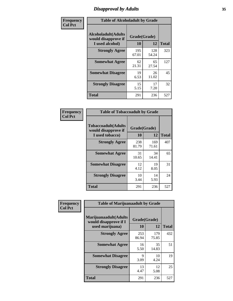# *Disapproval by Adults* **35**

| Frequency      | <b>Table of Alcoholadult by Grade</b>                                 |                    |              |              |
|----------------|-----------------------------------------------------------------------|--------------------|--------------|--------------|
| <b>Col Pct</b> | <b>Alcoholadult</b> (Adults<br>would disapprove if<br>I used alcohol) | Grade(Grade)<br>10 | 12           | <b>Total</b> |
|                | <b>Strongly Agree</b>                                                 | 195<br>67.01       | 128<br>54.24 | 323          |
|                | <b>Somewhat Agree</b>                                                 | 62<br>21.31        | 65<br>27.54  | 127          |
|                | <b>Somewhat Disagree</b>                                              | 19<br>6.53         | 26<br>11.02  | 45           |
|                | <b>Strongly Disagree</b>                                              | 15<br>5.15         | 17<br>7.20   | 32           |
|                | <b>Total</b>                                                          | 291                | 236          | 527          |

| <b>Table of Tobaccoadult by Grade</b>                                 |                    |              |              |  |  |
|-----------------------------------------------------------------------|--------------------|--------------|--------------|--|--|
| <b>Tobaccoadult</b> (Adults<br>would disapprove if<br>I used tobacco) | Grade(Grade)<br>10 | 12           | <b>Total</b> |  |  |
| <b>Strongly Agree</b>                                                 | 238<br>81.79       | 169<br>71.61 | 407          |  |  |
| <b>Somewhat Agree</b>                                                 | 31<br>10.65        | 34<br>14.41  | 65           |  |  |
| <b>Somewhat Disagree</b>                                              | 12<br>4.12         | 19<br>8.05   | 31           |  |  |
| <b>Strongly Disagree</b>                                              | 10<br>3.44         | 14<br>5.93   | 24           |  |  |
| Total                                                                 | 291                | 236          | 527          |  |  |

| Frequency<br><b>Col Pct</b> | <b>Table of Marijuanaadult by Grade</b>                           |                    |              |              |
|-----------------------------|-------------------------------------------------------------------|--------------------|--------------|--------------|
|                             | Marijuanaadult(Adults<br>would disapprove if I<br>used marijuana) | Grade(Grade)<br>10 | 12           | <b>Total</b> |
|                             | <b>Strongly Agree</b>                                             | 253<br>86.94       | 179<br>75.85 | 432          |
|                             | <b>Somewhat Agree</b>                                             | 16<br>5.50         | 35<br>14.83  | 51           |
|                             | <b>Somewhat Disagree</b>                                          | 9<br>3.09          | 10<br>4.24   | 19           |
|                             | <b>Strongly Disagree</b>                                          | 13<br>4.47         | 12<br>5.08   | 25           |
|                             | <b>Total</b>                                                      | 291                | 236          | 527          |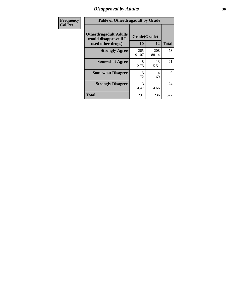### *Disapproval by Adults* **36**

| <b>Frequency</b> | <b>Table of Otherdrugadult by Grade</b>                                     |                    |              |              |
|------------------|-----------------------------------------------------------------------------|--------------------|--------------|--------------|
| <b>Col Pct</b>   | <b>Otherdrugadult</b> (Adults<br>would disapprove if I<br>used other drugs) | Grade(Grade)<br>10 | 12           | <b>Total</b> |
|                  | <b>Strongly Agree</b>                                                       | 265<br>91.07       | 208<br>88.14 | 473          |
|                  | <b>Somewhat Agree</b>                                                       | 8<br>2.75          | 13<br>5.51   | 21           |
|                  | <b>Somewhat Disagree</b>                                                    | 5<br>1.72          | 4<br>1.69    | 9            |
|                  | <b>Strongly Disagree</b>                                                    | 13<br>4.47         | 11<br>4.66   | 24           |
|                  | <b>Total</b>                                                                | 291                | 236          | 527          |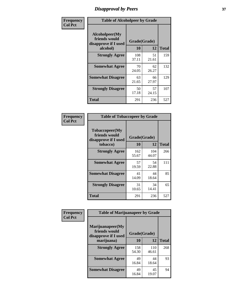## *Disapproval by Peers* **37**

| Frequency      | <b>Table of Alcoholpeer by Grade</b>                    |              |             |              |  |
|----------------|---------------------------------------------------------|--------------|-------------|--------------|--|
| <b>Col Pct</b> | Alcoholpeer(My<br>friends would<br>disapprove if I used | Grade(Grade) |             |              |  |
|                | alcohol)                                                | 10           | 12          | <b>Total</b> |  |
|                | <b>Strongly Agree</b>                                   | 108<br>37.11 | 51<br>21.61 | 159          |  |
|                | <b>Somewhat Agree</b>                                   | 70<br>24.05  | 62<br>26.27 | 132          |  |
|                | <b>Somewhat Disagree</b>                                | 63<br>21.65  | 66<br>27.97 | 129          |  |
|                | <b>Strongly Disagree</b>                                | 50<br>17.18  | 57<br>24.15 | 107          |  |
|                | Total                                                   | 291          | 236         | 527          |  |

| Frequency      | <b>Table of Tobaccopeer by Grade</b>                                |                    |              |              |  |
|----------------|---------------------------------------------------------------------|--------------------|--------------|--------------|--|
| <b>Col Pct</b> | Tobaccopeer(My<br>friends would<br>disapprove if I used<br>tobacco) | Grade(Grade)<br>10 | 12           | <b>Total</b> |  |
|                | <b>Strongly Agree</b>                                               | 162<br>55.67       | 104<br>44.07 | 266          |  |
|                | <b>Somewhat Agree</b>                                               | 57<br>19.59        | 54<br>22.88  | 111          |  |
|                | <b>Somewhat Disagree</b>                                            | 41<br>14.09        | 44<br>18.64  | 85           |  |
|                | <b>Strongly Disagree</b>                                            | 31<br>10.65        | 34<br>14.41  | 65           |  |
|                | Total                                                               | 291                | 236          | 527          |  |

| Frequency<br><b>Col Pct</b> | <b>Table of Marijuanapeer by Grade</b>                    |              |              |              |
|-----------------------------|-----------------------------------------------------------|--------------|--------------|--------------|
|                             | Marijuanapeer(My<br>friends would<br>disapprove if I used | Grade(Grade) |              |              |
|                             | marijuana)                                                | 10           | 12           | <b>Total</b> |
|                             | <b>Strongly Agree</b>                                     | 158<br>54.30 | 110<br>46.61 | 268          |
|                             | <b>Somewhat Agree</b>                                     | 49<br>16.84  | 44<br>18.64  | 93           |
|                             | <b>Somewhat Disagree</b>                                  | 49<br>16.84  | 45<br>19.07  | 94           |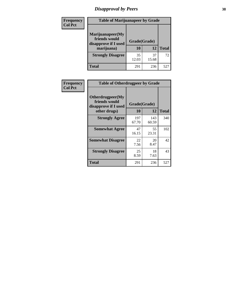# *Disapproval by Peers* **38**

| Frequency<br><b>Col Pct</b> | <b>Table of Marijuanapeer by Grade</b>                                  |                    |             |              |  |
|-----------------------------|-------------------------------------------------------------------------|--------------------|-------------|--------------|--|
|                             | Marijuanapeer(My<br>friends would<br>disapprove if I used<br>marijuana) | Grade(Grade)<br>10 | 12          | <b>Total</b> |  |
|                             | <b>Strongly Disagree</b>                                                | 35<br>12.03        | 37<br>15.68 | 72           |  |
|                             | Total                                                                   | 291                | 236         | 527          |  |

| Frequency      | <b>Table of Otherdrugpeer by Grade</b>                                    |                    |              |              |  |
|----------------|---------------------------------------------------------------------------|--------------------|--------------|--------------|--|
| <b>Col Pct</b> | Otherdrugpeer(My<br>friends would<br>disapprove if I used<br>other drugs) | Grade(Grade)<br>10 | 12           | <b>Total</b> |  |
|                | <b>Strongly Agree</b>                                                     | 197<br>67.70       | 143<br>60.59 | 340          |  |
|                | <b>Somewhat Agree</b>                                                     | 47<br>16.15        | 55<br>23.31  | 102          |  |
|                | <b>Somewhat Disagree</b>                                                  | 22<br>7.56         | 20<br>8.47   | 42           |  |
|                | <b>Strongly Disagree</b>                                                  | 25<br>8.59         | 18<br>7.63   | 43           |  |
|                | <b>Total</b>                                                              | 291                | 236          | 527          |  |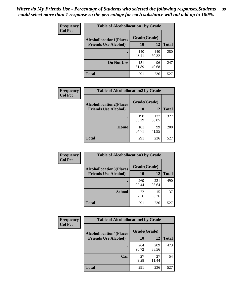| Frequency      | <b>Table of Alcohollocation1 by Grade</b> |              |              |              |  |
|----------------|-------------------------------------------|--------------|--------------|--------------|--|
| <b>Col Pct</b> | <b>Alcohollocation1(Places</b>            | Grade(Grade) |              |              |  |
|                | <b>Friends Use Alcohol)</b>               | 10           | 12           | <b>Total</b> |  |
|                |                                           | 140<br>48.11 | 140<br>59.32 | 280          |  |
|                | Do Not Use                                | 151<br>51.89 | 96<br>40.68  | 247          |  |
|                | <b>Total</b>                              | 291          | 236          | 527          |  |

| <b>Frequency</b> | <b>Table of Alcohollocation2 by Grade</b>                     |                    |              |              |
|------------------|---------------------------------------------------------------|--------------------|--------------|--------------|
| <b>Col Pct</b>   | <b>Alcohollocation2(Places</b><br><b>Friends Use Alcohol)</b> | Grade(Grade)<br>10 | 12           | <b>Total</b> |
|                  |                                                               |                    |              |              |
|                  |                                                               | 190<br>65.29       | 137<br>58.05 | 327          |
|                  | Home                                                          | 101<br>34.71       | 99<br>41.95  | 200          |
|                  | Total                                                         | 291                | 236          | 527          |

| Frequency<br><b>Col Pct</b> | <b>Table of Alcohollocation 3 by Grade</b>                    |              |              |              |
|-----------------------------|---------------------------------------------------------------|--------------|--------------|--------------|
|                             | <b>Alcohollocation3(Places</b><br><b>Friends Use Alcohol)</b> | Grade(Grade) |              |              |
|                             |                                                               | 10           | 12           | <b>Total</b> |
|                             |                                                               | 269<br>92.44 | 221<br>93.64 | 490          |
|                             | <b>School</b>                                                 | 22<br>7.56   | 15<br>6.36   | 37           |
|                             | <b>Total</b>                                                  | 291          | 236          | 527          |

| <b>Frequency</b> | <b>Table of Alcohollocation4 by Grade</b> |              |              |              |  |
|------------------|-------------------------------------------|--------------|--------------|--------------|--|
| <b>Col Pct</b>   | <b>Alcohollocation4(Places</b>            | Grade(Grade) |              |              |  |
|                  | <b>Friends Use Alcohol)</b>               | 10           | 12           | <b>Total</b> |  |
|                  |                                           | 264<br>90.72 | 209<br>88.56 | 473          |  |
|                  | Car                                       | 27<br>9.28   | 27<br>11.44  | 54           |  |
|                  | Total                                     | 291          | 236          | 527          |  |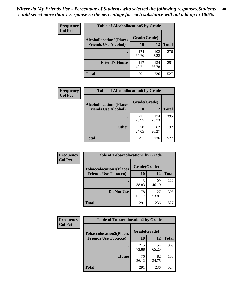| <b>Frequency</b><br><b>Col Pct</b> | <b>Table of Alcohollocation5 by Grade</b> |              |              |              |  |
|------------------------------------|-------------------------------------------|--------------|--------------|--------------|--|
|                                    | <b>Alcohollocation5(Places</b>            | Grade(Grade) |              |              |  |
|                                    | <b>Friends Use Alcohol)</b>               | 10           | 12           | <b>Total</b> |  |
|                                    |                                           | 174<br>59.79 | 102<br>43.22 | 276          |  |
|                                    | <b>Friend's House</b>                     | 117<br>40.21 | 134<br>56.78 | 251          |  |
|                                    | Total                                     | 291          | 236          | 527          |  |

| <b>Frequency</b> | <b>Table of Alcohollocation6 by Grade</b> |              |              |              |
|------------------|-------------------------------------------|--------------|--------------|--------------|
| <b>Col Pct</b>   | <b>Alcohollocation6(Places</b>            | Grade(Grade) |              |              |
|                  | <b>Friends Use Alcohol)</b>               | <b>10</b>    | 12           | <b>Total</b> |
|                  |                                           | 221<br>75.95 | 174<br>73.73 | 395          |
|                  | <b>Other</b>                              | 70<br>24.05  | 62<br>26.27  | 132          |
|                  | Total                                     | 291          | 236          | 527          |

| <b>Frequency</b> | <b>Table of Tobaccolocation1 by Grade</b> |              |              |              |
|------------------|-------------------------------------------|--------------|--------------|--------------|
| <b>Col Pct</b>   | <b>Tobaccolocation1(Places</b>            | Grade(Grade) |              |              |
|                  | <b>Friends Use Tobacco)</b>               | 10           | 12           | <b>Total</b> |
|                  |                                           | 113<br>38.83 | 109<br>46.19 | 222          |
|                  | <b>Do Not Use</b>                         | 178<br>61.17 | 127<br>53.81 | 305          |
|                  | <b>Total</b>                              | 291          | 236          | 527          |

| <b>Frequency</b> | <b>Table of Tobaccolocation2 by Grade</b> |              |              |              |
|------------------|-------------------------------------------|--------------|--------------|--------------|
| <b>Col Pct</b>   | <b>Tobaccolocation2(Places</b>            | Grade(Grade) |              |              |
|                  | <b>Friends Use Tobacco)</b>               | 10           | 12           | <b>Total</b> |
|                  |                                           | 215<br>73.88 | 154<br>65.25 | 369          |
|                  | Home                                      | 76<br>26.12  | 82<br>34.75  | 158          |
|                  | <b>Total</b>                              | 291          | 236          | 527          |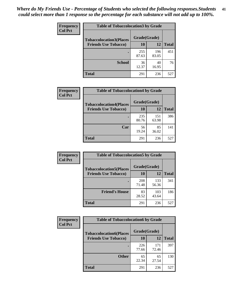| Frequency      | <b>Table of Tobaccolocation 3 by Grade</b> |              |              |              |
|----------------|--------------------------------------------|--------------|--------------|--------------|
| <b>Col Pct</b> | <b>Tobaccolocation3(Places</b>             | Grade(Grade) |              |              |
|                | <b>Friends Use Tobacco)</b>                | 10           | 12           | <b>Total</b> |
|                |                                            | 255<br>87.63 | 196<br>83.05 | 451          |
|                | <b>School</b>                              | 36<br>12.37  | 40<br>16.95  | 76           |
|                | <b>Total</b>                               | 291          | 236          | 527          |

| Frequency      | <b>Table of Tobaccolocation4 by Grade</b> |              |              |              |
|----------------|-------------------------------------------|--------------|--------------|--------------|
| <b>Col Pct</b> | <b>Tobaccolocation4(Places</b>            | Grade(Grade) |              |              |
|                | <b>Friends Use Tobacco)</b>               | 10           | 12           | <b>Total</b> |
|                |                                           | 235<br>80.76 | 151<br>63.98 | 386          |
|                | Car                                       | 56<br>19.24  | 85<br>36.02  | 141          |
|                | <b>Total</b>                              | 291          | 236          | 527          |

| Frequency      | <b>Table of Tobaccolocation5 by Grade</b>                     |                    |              |              |
|----------------|---------------------------------------------------------------|--------------------|--------------|--------------|
| <b>Col Pct</b> | <b>Tobaccolocation5(Places</b><br><b>Friends Use Tobacco)</b> | Grade(Grade)<br>10 | 12           | <b>Total</b> |
|                |                                                               | 208<br>71.48       | 133<br>56.36 | 341          |
|                | <b>Friend's House</b>                                         | 83<br>28.52        | 103<br>43.64 | 186          |
|                | <b>Total</b>                                                  | 291                | 236          | 527          |

| <b>Frequency</b> | <b>Table of Tobaccolocation6 by Grade</b> |              |              |              |
|------------------|-------------------------------------------|--------------|--------------|--------------|
| <b>Col Pct</b>   | <b>Tobaccolocation6(Places</b>            | Grade(Grade) |              |              |
|                  | <b>Friends Use Tobacco)</b>               | 10           | 12           | <b>Total</b> |
|                  |                                           | 226<br>77.66 | 171<br>72.46 | 397          |
|                  | <b>Other</b>                              | 65<br>22.34  | 65<br>27.54  | 130          |
|                  | <b>Total</b>                              | 291          | 236          | 527          |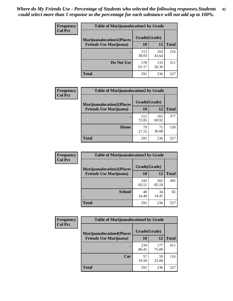| <b>Frequency</b> | <b>Table of Marijuanalocation1 by Grade</b> |              |              |              |
|------------------|---------------------------------------------|--------------|--------------|--------------|
| <b>Col Pct</b>   | <b>Marijuanalocation1(Places</b>            | Grade(Grade) |              |              |
|                  | <b>Friends Use Marijuana</b> )              | 10           | 12           | <b>Total</b> |
|                  |                                             | 113<br>38.83 | 103<br>43.64 | 216          |
|                  | Do Not Use                                  | 178<br>61.17 | 133<br>56.36 | 311          |
|                  | Total                                       | 291          | 236          | 527          |

| <b>Frequency</b> | <b>Table of Marijuanalocation2 by Grade</b>                        |                    |              |              |
|------------------|--------------------------------------------------------------------|--------------------|--------------|--------------|
| <b>Col Pct</b>   | <b>Marijuanalocation2(Places</b><br><b>Friends Use Marijuana</b> ) | Grade(Grade)<br>10 | 12           | <b>Total</b> |
|                  |                                                                    | 212<br>72.85       | 165<br>69.92 | 377          |
|                  | Home                                                               | 79<br>27.15        | 71<br>30.08  | 150          |
|                  | <b>Total</b>                                                       | 291                | 236          | 527          |

| <b>Frequency</b><br><b>Col Pct</b> | <b>Table of Marijuanalocation3 by Grade</b> |              |              |              |
|------------------------------------|---------------------------------------------|--------------|--------------|--------------|
|                                    | <b>Marijuanalocation3</b> (Places           | Grade(Grade) |              |              |
|                                    | <b>Friends Use Marijuana</b> )              | <b>10</b>    | 12           | <b>Total</b> |
|                                    |                                             | 243<br>83.51 | 202<br>85.59 | 445          |
|                                    | <b>School</b>                               | 48<br>16.49  | 34<br>14.41  | 82           |
|                                    | <b>Total</b>                                | 291          | 236          | 527          |

| <b>Frequency</b> | <b>Table of Marijuanalocation4 by Grade</b> |              |              |              |  |
|------------------|---------------------------------------------|--------------|--------------|--------------|--|
| <b>Col Pct</b>   | <b>Marijuanalocation4(Places</b>            | Grade(Grade) |              |              |  |
|                  | <b>Friends Use Marijuana</b> )              | <b>10</b>    | 12           | <b>Total</b> |  |
|                  |                                             | 234<br>80.41 | 177<br>75.00 | 411          |  |
|                  | Car                                         | 57<br>19.59  | 59<br>25.00  | 116          |  |
|                  | <b>Total</b>                                | 291          | 236          | 527          |  |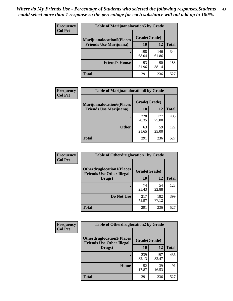| <b>Frequency</b>               | <b>Table of Marijuanalocation5 by Grade</b> |              |              |     |
|--------------------------------|---------------------------------------------|--------------|--------------|-----|
| <b>Col Pct</b>                 | <b>Marijuanalocation5</b> (Places           | Grade(Grade) |              |     |
| <b>Friends Use Marijuana</b> ) | 10                                          | 12           | <b>Total</b> |     |
|                                |                                             | 198<br>68.04 | 146<br>61.86 | 344 |
|                                | <b>Friend's House</b>                       | 93<br>31.96  | 90<br>38.14  | 183 |
|                                | <b>Total</b>                                | 291          | 236          | 527 |

| <b>Frequency</b> | <b>Table of Marijuanalocation6 by Grade</b>                        |                    |              |              |
|------------------|--------------------------------------------------------------------|--------------------|--------------|--------------|
| <b>Col Pct</b>   | <b>Marijuanalocation6(Places</b><br><b>Friends Use Marijuana</b> ) | Grade(Grade)<br>10 | 12           | <b>Total</b> |
|                  |                                                                    | 228<br>78.35       | 177<br>75.00 | 405          |
|                  | <b>Other</b>                                                       | 63<br>21.65        | 59<br>25.00  | 122          |
|                  | <b>Total</b>                                                       | 291                | 236          | 527          |

| <b>Frequency</b> | <b>Table of Otherdruglocation1 by Grade</b>                          |              |              |              |
|------------------|----------------------------------------------------------------------|--------------|--------------|--------------|
| <b>Col Pct</b>   | <b>Otherdruglocation1(Places</b><br><b>Friends Use Other Illegal</b> | Grade(Grade) |              |              |
|                  | Drugs)                                                               | 10           | 12           | <b>Total</b> |
|                  |                                                                      | 74<br>25.43  | 54<br>22.88  | 128          |
|                  | Do Not Use                                                           | 217<br>74.57 | 182<br>77.12 | 399          |
|                  | <b>Total</b>                                                         | 291          | 236          | 527          |

| <b>Frequency</b> | <b>Table of Otherdruglocation2 by Grade</b>                          |              |              |              |
|------------------|----------------------------------------------------------------------|--------------|--------------|--------------|
| <b>Col Pct</b>   | <b>Otherdruglocation2(Places</b><br><b>Friends Use Other Illegal</b> | Grade(Grade) |              |              |
|                  | Drugs)                                                               | 10           | 12           | <b>Total</b> |
|                  |                                                                      | 239<br>82.13 | 197<br>83.47 | 436          |
|                  | Home                                                                 | 52<br>17.87  | 39<br>16.53  | 91           |
|                  | <b>Total</b>                                                         | 291          | 236          | 527          |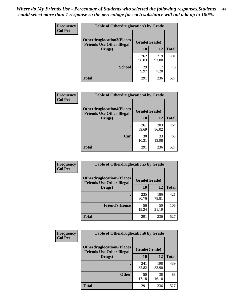| <b>Frequency</b> | <b>Table of Otherdruglocation 3 by Grade</b>                         |              |              |              |
|------------------|----------------------------------------------------------------------|--------------|--------------|--------------|
| <b>Col Pct</b>   | <b>Otherdruglocation3(Places</b><br><b>Friends Use Other Illegal</b> | Grade(Grade) |              |              |
|                  | Drugs)                                                               | 10           | 12           | <b>Total</b> |
|                  |                                                                      | 262<br>90.03 | 219<br>92.80 | 481          |
|                  | <b>School</b>                                                        | 29<br>9.97   | 17<br>7.20   | 46           |
|                  | <b>Total</b>                                                         | 291          | 236          | 527          |

| <b>Frequency</b> | <b>Table of Otherdruglocation4 by Grade</b>                          |              |              |              |
|------------------|----------------------------------------------------------------------|--------------|--------------|--------------|
| <b>Col Pct</b>   | <b>Otherdruglocation4(Places</b><br><b>Friends Use Other Illegal</b> | Grade(Grade) |              |              |
|                  | Drugs)                                                               | <b>10</b>    | 12           | <b>Total</b> |
|                  |                                                                      | 261<br>89.69 | 203<br>86.02 | 464          |
|                  | Car                                                                  | 30<br>10.31  | 33<br>13.98  | 63           |
|                  | <b>Total</b>                                                         | 291          | 236          | 527          |

| Frequency      | <b>Table of Otherdruglocation5 by Grade</b>                          |              |              |              |
|----------------|----------------------------------------------------------------------|--------------|--------------|--------------|
| <b>Col Pct</b> | <b>Otherdruglocation5(Places</b><br><b>Friends Use Other Illegal</b> | Grade(Grade) |              |              |
|                | Drugs)                                                               | 10           | 12           | <b>Total</b> |
|                |                                                                      | 235<br>80.76 | 186<br>78.81 | 421          |
|                | <b>Friend's House</b>                                                | 56<br>19.24  | 50<br>21.19  | 106          |
|                | <b>Total</b>                                                         | 291          | 236          | 527          |

| <b>Frequency</b> | <b>Table of Otherdruglocation6 by Grade</b>                          |              |              |              |
|------------------|----------------------------------------------------------------------|--------------|--------------|--------------|
| <b>Col Pct</b>   | <b>Otherdruglocation6(Places</b><br><b>Friends Use Other Illegal</b> | Grade(Grade) |              |              |
|                  | Drugs)                                                               | 10           | 12           | <b>Total</b> |
|                  |                                                                      | 241<br>82.82 | 198<br>83.90 | 439          |
|                  | <b>Other</b>                                                         | 50<br>17.18  | 38<br>16.10  | 88           |
|                  | <b>Total</b>                                                         | 291          | 236          | 527          |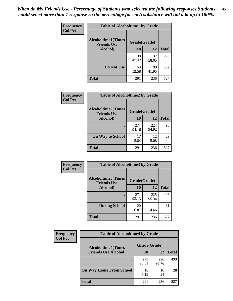| Frequency      | <b>Table of Alcoholtime1 by Grade</b>           |              |              |              |
|----------------|-------------------------------------------------|--------------|--------------|--------------|
| <b>Col Pct</b> | <b>Alcoholtime1(Times</b><br><b>Friends Use</b> | Grade(Grade) |              |              |
|                | Alcohol)                                        | 10           | <b>12</b>    | <b>Total</b> |
|                |                                                 | 138<br>47.42 | 137<br>58.05 | 275          |
|                | Do Not Use                                      | 153<br>52.58 | 99<br>41.95  | 252          |
|                | <b>Total</b>                                    | 291          | 236          | 527          |

| Frequency      | <b>Table of Alcoholtime2 by Grade</b>           |              |              |              |
|----------------|-------------------------------------------------|--------------|--------------|--------------|
| <b>Col Pct</b> | <b>Alcoholtime2(Times</b><br><b>Friends Use</b> | Grade(Grade) |              |              |
|                | Alcohol)                                        | 10           | 12           | <b>Total</b> |
|                |                                                 | 274<br>94.16 | 224<br>94.92 | 498          |
|                | <b>On Way to School</b>                         | 17<br>5.84   | 12<br>5.08   | 29           |
|                | <b>Total</b>                                    | 291          | 236          | 527          |

| Frequency<br><b>Col Pct</b> | <b>Table of Alcoholtime3 by Grade</b>                           |              |              |              |
|-----------------------------|-----------------------------------------------------------------|--------------|--------------|--------------|
|                             | <b>Alcoholtime3(Times</b><br>Grade(Grade)<br><b>Friends Use</b> |              |              |              |
|                             | Alcohol)                                                        | 10           | 12           | <b>Total</b> |
|                             |                                                                 | 271<br>93.13 | 225<br>95.34 | 496          |
|                             | <b>During School</b>                                            | 20<br>6.87   | 11<br>4.66   | 31           |
|                             | <b>Total</b>                                                    | 291          | 236          | 527          |

| <b>Frequency</b><br><b>Col Pct</b> | <b>Table of Alcoholtime4 by Grade</b> |              |              |              |
|------------------------------------|---------------------------------------|--------------|--------------|--------------|
|                                    | <b>Alcoholtime4(Times</b>             | Grade(Grade) |              |              |
|                                    | <b>Friends Use Alcohol)</b>           | 10           | 12           | <b>Total</b> |
|                                    |                                       | 273<br>93.81 | 226<br>95.76 | 499          |
|                                    | <b>On Way Home From School</b>        | 18<br>6.19   | 10<br>4.24   | 28           |
|                                    | <b>Total</b>                          | 291          | 236          | 527          |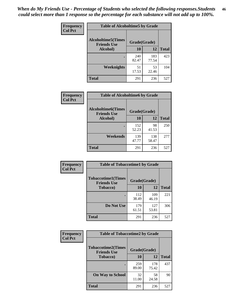*When do My Friends Use - Percentage of Students who selected the following responses.Students could select more than 1 response so the percentage for each substance will not add up to 100%.* **46**

| Frequency      | <b>Table of Alcoholtime5 by Grade</b>           |              |              |              |
|----------------|-------------------------------------------------|--------------|--------------|--------------|
| <b>Col Pct</b> | <b>Alcoholtime5(Times</b><br><b>Friends Use</b> | Grade(Grade) |              |              |
|                | Alcohol)                                        | 10           | <b>12</b>    | <b>Total</b> |
|                |                                                 | 240<br>82.47 | 183<br>77.54 | 423          |
|                | <b>Weeknights</b>                               | 51<br>17.53  | 53<br>22.46  | 104          |
|                | <b>Total</b>                                    | 291          | 236          | 527          |

| Frequency      | <b>Table of Alcoholtime6 by Grade</b>           |              |              |              |
|----------------|-------------------------------------------------|--------------|--------------|--------------|
| <b>Col Pct</b> | <b>Alcoholtime6(Times</b><br><b>Friends Use</b> | Grade(Grade) |              |              |
|                | Alcohol)                                        | 10           | 12           | <b>Total</b> |
|                |                                                 | 152<br>52.23 | 98<br>41.53  | 250          |
|                | Weekends                                        | 139<br>47.77 | 138<br>58.47 | 277          |
|                | <b>Total</b>                                    | 291          | 236          | 527          |

| Frequency      | <b>Table of Tobaccotime1 by Grade</b>           |              |              |              |
|----------------|-------------------------------------------------|--------------|--------------|--------------|
| <b>Col Pct</b> | <b>Tobaccotime1(Times</b><br><b>Friends Use</b> | Grade(Grade) |              |              |
|                | <b>Tobacco</b> )                                | 10           | 12           | <b>Total</b> |
|                | ٠                                               | 112<br>38.49 | 109<br>46.19 | 221          |
|                | Do Not Use                                      | 179<br>61.51 | 127<br>53.81 | 306          |
|                | <b>Total</b>                                    | 291          | 236          | 527          |

| <b>Frequency</b> | <b>Table of Tobaccotime2 by Grade</b>                           |              |              |              |
|------------------|-----------------------------------------------------------------|--------------|--------------|--------------|
| <b>Col Pct</b>   | <b>Tobaccotime2(Times</b><br>Grade(Grade)<br><b>Friends Use</b> |              |              |              |
| <b>Tobacco</b> ) |                                                                 | 10           | 12           | <b>Total</b> |
|                  |                                                                 | 259<br>89.00 | 178<br>75.42 | 437          |
|                  | <b>On Way to School</b>                                         | 32<br>11.00  | 58<br>24.58  | 90           |
|                  | Total                                                           | 291          | 236          | 527          |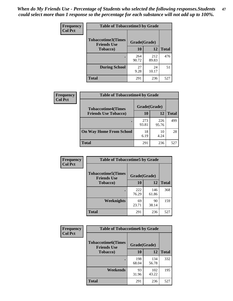*When do My Friends Use - Percentage of Students who selected the following responses.Students could select more than 1 response so the percentage for each substance will not add up to 100%.* **47**

| <b>Frequency</b> | <b>Table of Tobaccotime3 by Grade</b>           |              |              |              |
|------------------|-------------------------------------------------|--------------|--------------|--------------|
| <b>Col Pct</b>   | <b>Tobaccotime3(Times</b><br><b>Friends Use</b> | Grade(Grade) |              |              |
|                  | <b>Tobacco</b> )                                | 10           | 12           | <b>Total</b> |
|                  |                                                 | 264<br>90.72 | 212<br>89.83 | 476          |
|                  | <b>During School</b>                            | 27<br>9.28   | 24<br>10.17  | 51           |
|                  | <b>Total</b>                                    | 291          | 236          | 527          |

| <b>Frequency</b><br><b>Col Pct</b> | <b>Table of Tobaccotime4 by Grade</b> |              |              |              |
|------------------------------------|---------------------------------------|--------------|--------------|--------------|
|                                    | <b>Tobaccotime4(Times</b>             | Grade(Grade) |              |              |
|                                    | <b>Friends Use Tobacco)</b>           | 10           | 12           | <b>Total</b> |
|                                    |                                       | 273<br>93.81 | 226<br>95.76 | 499          |
|                                    | <b>On Way Home From School</b>        | 18<br>6.19   | 10<br>4.24   | 28           |
|                                    | <b>Total</b>                          | 291          | 236          | 527          |

| <b>Frequency</b> | <b>Table of Tobaccotime5 by Grade</b>           |              |              |              |
|------------------|-------------------------------------------------|--------------|--------------|--------------|
| <b>Col Pct</b>   | <b>Tobaccotime5(Times</b><br><b>Friends Use</b> | Grade(Grade) |              |              |
|                  | <b>Tobacco</b> )                                | 10           | 12           | <b>Total</b> |
|                  |                                                 | 222<br>76.29 | 146<br>61.86 | 368          |
|                  | Weeknights                                      | 69<br>23.71  | 90<br>38.14  | 159          |
|                  | <b>Total</b>                                    | 291          | 236          | 527          |

| Frequency      | <b>Table of Tobaccotime6 by Grade</b>           |              |              |              |  |
|----------------|-------------------------------------------------|--------------|--------------|--------------|--|
| <b>Col Pct</b> | <b>Tobaccotime6(Times</b><br><b>Friends Use</b> | Grade(Grade) |              |              |  |
|                | <b>Tobacco</b> )                                | 10           | <b>12</b>    | <b>Total</b> |  |
|                |                                                 | 198<br>68.04 | 134<br>56.78 | 332          |  |
|                | Weekends                                        | 93<br>31.96  | 102<br>43.22 | 195          |  |
|                | <b>Total</b>                                    | 291          | 236          | 527          |  |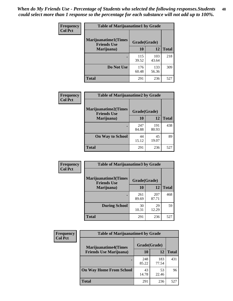| Frequency      | <b>Table of Marijuanatime1 by Grade</b>           |              |              |              |
|----------------|---------------------------------------------------|--------------|--------------|--------------|
| <b>Col Pct</b> | <b>Marijuanatime1(Times</b><br><b>Friends Use</b> | Grade(Grade) |              |              |
|                | Marijuana)                                        | 10           | 12           | <b>Total</b> |
|                |                                                   | 115<br>39.52 | 103<br>43.64 | 218          |
|                | Do Not Use                                        | 176<br>60.48 | 133<br>56.36 | 309          |
|                | <b>Total</b>                                      | 291          | 236          | 527          |

| Frequency      | <b>Table of Marijuanatime2 by Grade</b>                           |              |              |              |
|----------------|-------------------------------------------------------------------|--------------|--------------|--------------|
| <b>Col Pct</b> | <b>Marijuanatime2(Times</b><br>Grade(Grade)<br><b>Friends Use</b> |              |              |              |
|                | Marijuana)                                                        | 10           | 12           | <b>Total</b> |
|                |                                                                   | 247<br>84.88 | 191<br>80.93 | 438          |
|                | <b>On Way to School</b>                                           | 44<br>15.12  | 45<br>19.07  | 89           |
|                | <b>Total</b>                                                      | 291          | 236          | 527          |

| Frequency      | <b>Table of Marijuanatime3 by Grade</b>    |              |              |              |
|----------------|--------------------------------------------|--------------|--------------|--------------|
| <b>Col Pct</b> | Marijuanatime3(Times<br><b>Friends Use</b> | Grade(Grade) |              |              |
|                | Marijuana)                                 | 10           | 12           | <b>Total</b> |
|                |                                            | 261<br>89.69 | 207<br>87.71 | 468          |
|                | <b>During School</b>                       | 30<br>10.31  | 29<br>12.29  | 59           |
|                | <b>Total</b>                               | 291          | 236          | 527          |

| <b>Frequency</b> | <b>Table of Marijuanatime4 by Grade</b> |              |              |       |
|------------------|-----------------------------------------|--------------|--------------|-------|
| <b>Col Pct</b>   | <b>Marijuanatime4(Times</b>             | Grade(Grade) |              |       |
|                  | <b>Friends Use Marijuana</b> )          | 10           | 12           | Total |
|                  |                                         | 248<br>85.22 | 183<br>77.54 | 431   |
|                  | <b>On Way Home From School</b>          | 43<br>14.78  | 53<br>22.46  | 96    |
|                  | <b>Total</b>                            | 291          | 236          | 527   |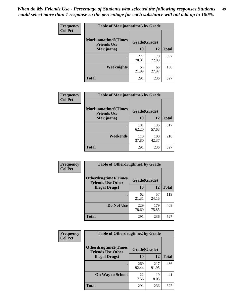| <b>Frequency</b><br><b>Col Pct</b> | <b>Table of Marijuanatime5 by Grade</b>            |              |              |              |
|------------------------------------|----------------------------------------------------|--------------|--------------|--------------|
|                                    | <b>Marijuanatime5</b> (Times<br><b>Friends Use</b> | Grade(Grade) |              |              |
|                                    | Marijuana)                                         | 10           | 12           | <b>Total</b> |
|                                    |                                                    | 227<br>78.01 | 170<br>72.03 | 397          |
|                                    | Weeknights                                         | 64<br>21.99  | 66<br>27.97  | 130          |
|                                    | <b>Total</b>                                       | 291          | 236          | 527          |

| Frequency      | <b>Table of Marijuanatime6 by Grade</b>    |              |              |              |
|----------------|--------------------------------------------|--------------|--------------|--------------|
| <b>Col Pct</b> | Marijuanatime6(Times<br><b>Friends Use</b> | Grade(Grade) |              |              |
|                | Marijuana)                                 | 10           | 12           | <b>Total</b> |
|                |                                            | 181<br>62.20 | 136<br>57.63 | 317          |
|                | Weekends                                   | 110<br>37.80 | 100<br>42.37 | 210          |
|                | <b>Total</b>                               | 291          | 236          | 527          |

| <b>Frequency</b> | <b>Table of Otherdrugtime1 by Grade</b>                 |              |              |              |
|------------------|---------------------------------------------------------|--------------|--------------|--------------|
| <b>Col Pct</b>   | <b>Otherdrugtime1(Times</b><br><b>Friends Use Other</b> | Grade(Grade) |              |              |
|                  | <b>Illegal Drugs</b> )                                  | 10           | 12           | <b>Total</b> |
|                  |                                                         | 62<br>21.31  | 57<br>24.15  | 119          |
|                  | Do Not Use                                              | 229<br>78.69 | 179<br>75.85 | 408          |
|                  | <b>Total</b>                                            | 291          | 236          | 527          |

| Frequency      | <b>Table of Otherdrugtime2 by Grade</b>                 |              |              |              |  |  |  |
|----------------|---------------------------------------------------------|--------------|--------------|--------------|--|--|--|
| <b>Col Pct</b> | <b>Otherdrugtime2(Times</b><br><b>Friends Use Other</b> | Grade(Grade) |              |              |  |  |  |
|                | <b>Illegal Drugs</b> )                                  | 10           | 12           | <b>Total</b> |  |  |  |
|                |                                                         | 269<br>92.44 | 217<br>91.95 | 486          |  |  |  |
|                | <b>On Way to School</b>                                 | 22<br>7.56   | 19<br>8.05   | 41           |  |  |  |
|                | Total                                                   | 291          | 236          | 527          |  |  |  |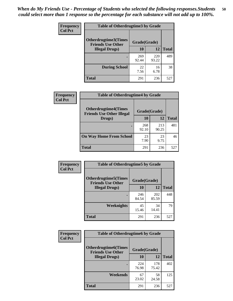| <b>Frequency</b> | <b>Table of Otherdrugtime3 by Grade</b>          |              |              |              |  |  |
|------------------|--------------------------------------------------|--------------|--------------|--------------|--|--|
| <b>Col Pct</b>   | Otherdrugtime3(Times<br><b>Friends Use Other</b> | Grade(Grade) |              |              |  |  |
|                  | <b>Illegal Drugs</b> )                           | 10           | 12           | <b>Total</b> |  |  |
|                  |                                                  | 269<br>92.44 | 220<br>93.22 | 489          |  |  |
|                  | <b>During School</b>                             | 22<br>7.56   | 16<br>6.78   | 38           |  |  |
|                  | Total                                            | 291          | 236          | 527          |  |  |

| Frequency      | <b>Table of Otherdrugtime4 by Grade</b>                         |              |              |              |  |  |
|----------------|-----------------------------------------------------------------|--------------|--------------|--------------|--|--|
| <b>Col Pct</b> | <b>Otherdrugtime4(Times</b><br><b>Friends Use Other Illegal</b> | Grade(Grade) |              |              |  |  |
|                | Drugs)                                                          | 10           | 12           | <b>Total</b> |  |  |
|                | ٠                                                               | 268<br>92.10 | 213<br>90.25 | 481          |  |  |
|                | <b>On Way Home From School</b>                                  | 23<br>7.90   | 23<br>9.75   | 46           |  |  |
|                | Total                                                           | 291          | 236          | 527          |  |  |

| <b>Frequency</b> | <b>Table of Otherdrugtime5 by Grade</b>                  |              |              |              |  |  |  |
|------------------|----------------------------------------------------------|--------------|--------------|--------------|--|--|--|
| <b>Col Pct</b>   | <b>Otherdrugtime5</b> (Times<br><b>Friends Use Other</b> | Grade(Grade) |              |              |  |  |  |
|                  | <b>Illegal Drugs</b> )                                   | 10           | 12           | <b>Total</b> |  |  |  |
|                  |                                                          | 246<br>84.54 | 202<br>85.59 | 448          |  |  |  |
|                  | Weeknights                                               | 45<br>15.46  | 34<br>14.41  | 79           |  |  |  |
|                  | <b>Total</b>                                             | 291          | 236          | 527          |  |  |  |

| <b>Frequency</b> | <b>Table of Otherdrugtime6 by Grade</b>                 |              |              |              |  |  |
|------------------|---------------------------------------------------------|--------------|--------------|--------------|--|--|
| <b>Col Pct</b>   | <b>Otherdrugtime6(Times</b><br><b>Friends Use Other</b> | Grade(Grade) |              |              |  |  |
|                  | <b>Illegal Drugs</b> )                                  | 10           | 12           | <b>Total</b> |  |  |
|                  |                                                         | 224<br>76.98 | 178<br>75.42 | 402          |  |  |
|                  | Weekends                                                | 67<br>23.02  | 58<br>24.58  | 125          |  |  |
|                  | <b>Total</b>                                            | 291          | 236          | 527          |  |  |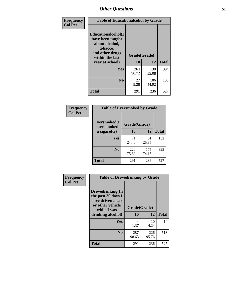| Frequency      | <b>Table of Educationalcohol by Grade</b>                                                                  |              |              |              |  |  |
|----------------|------------------------------------------------------------------------------------------------------------|--------------|--------------|--------------|--|--|
| <b>Col Pct</b> | Educationalcohol(I<br>have been taught<br>about alcohol,<br>tobacco,<br>and other drugs<br>within the last | Grade(Grade) |              |              |  |  |
|                | year at school)                                                                                            | 10           | 12           | <b>Total</b> |  |  |
|                | Yes                                                                                                        | 264<br>90.72 | 130<br>55.08 | 394          |  |  |
|                | N <sub>0</sub>                                                                                             | 27<br>9.28   | 106<br>44.92 | 133          |  |  |
|                | <b>Total</b>                                                                                               | 291          | 236          | 527          |  |  |

| Frequency      | <b>Table of Eversmoked by Grade</b> |              |              |              |  |  |  |
|----------------|-------------------------------------|--------------|--------------|--------------|--|--|--|
| <b>Col Pct</b> | Eversmoked(I<br>have smoked         | Grade(Grade) |              |              |  |  |  |
|                | a cigarette)                        | 10           | 12           | <b>Total</b> |  |  |  |
|                | <b>Yes</b>                          | 71<br>24.40  | 61<br>25.85  | 132          |  |  |  |
|                | N <sub>0</sub>                      | 220<br>75.60 | 175<br>74.15 | 395          |  |  |  |
|                | <b>Total</b>                        | 291          | 236          | 527          |  |  |  |

| Frequency      | <b>Table of Drovedrinking by Grade</b>                                                                              |                    |              |     |  |  |  |
|----------------|---------------------------------------------------------------------------------------------------------------------|--------------------|--------------|-----|--|--|--|
| <b>Col Pct</b> | Drovedrinking(In<br>the past 30 days I<br>have driven a car<br>or other vehicle<br>while I was<br>drinking alcohol) | Grade(Grade)<br>10 | <b>Total</b> |     |  |  |  |
|                | <b>Yes</b>                                                                                                          | 4<br>1.37          | 10<br>4.24   | 14  |  |  |  |
|                | N <sub>0</sub>                                                                                                      | 287<br>98.63       | 226<br>95.76 | 513 |  |  |  |
|                | <b>Total</b>                                                                                                        | 291                | 236          | 527 |  |  |  |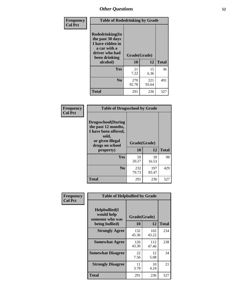| Frequency<br><b>Col Pct</b> | <b>Table of Rodedrinking by Grade</b>                                                                             |              |              |              |  |  |
|-----------------------------|-------------------------------------------------------------------------------------------------------------------|--------------|--------------|--------------|--|--|
|                             | <b>Rodedrinking(In</b><br>the past 30 days<br>I have ridden in<br>a car with a<br>driver who had<br>been drinking | Grade(Grade) |              |              |  |  |
|                             | alcohol)                                                                                                          | 10           | 12           | <b>Total</b> |  |  |
|                             | <b>Yes</b>                                                                                                        | 21<br>7.22   | 15<br>6.36   | 36           |  |  |
|                             | N <sub>0</sub>                                                                                                    | 270<br>92.78 | 221<br>93.64 | 491          |  |  |
|                             | <b>Total</b>                                                                                                      | 291          | 236          | 527          |  |  |

#### **Frequency Col Pct**

| <b>Table of Drugsschool by Grade</b>                                                                                      |              |              |              |  |  |  |
|---------------------------------------------------------------------------------------------------------------------------|--------------|--------------|--------------|--|--|--|
| <b>Drugsschool</b> (During<br>the past 12 months,<br>I have been offered,<br>sold,<br>or given illegal<br>drugs on school | Grade(Grade) |              |              |  |  |  |
| property)                                                                                                                 | 10           | 12           | <b>Total</b> |  |  |  |
| Yes                                                                                                                       | 59<br>20.27  | 39<br>16.53  | 98           |  |  |  |
| N <sub>0</sub>                                                                                                            | 232<br>79.73 | 197<br>83.47 | 429          |  |  |  |
| <b>Total</b>                                                                                                              | 291          | 236          | 527          |  |  |  |

| Frequency      | <b>Table of Helpbullied by Grade</b>                                   |                    |              |              |  |  |  |
|----------------|------------------------------------------------------------------------|--------------------|--------------|--------------|--|--|--|
| <b>Col Pct</b> | $Helpb$ ullied $(I$<br>would help<br>someone who was<br>being bullied) | Grade(Grade)<br>10 | 12           | <b>Total</b> |  |  |  |
|                |                                                                        |                    |              |              |  |  |  |
|                | <b>Strongly Agree</b>                                                  | 132<br>45.36       | 102<br>43.22 | 234          |  |  |  |
|                | <b>Somewhat Agree</b>                                                  | 126<br>43.30       | 112<br>47.46 | 238          |  |  |  |
|                | <b>Somewhat Disagree</b>                                               | 22<br>7.56         | 12<br>5.08   | 34           |  |  |  |
|                | <b>Strongly Disagree</b>                                               | 11<br>3.78         | 10<br>4.24   | 21           |  |  |  |
|                | <b>Total</b>                                                           | 291                | 236          | 527          |  |  |  |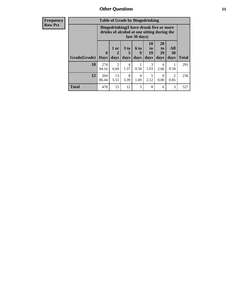| <b>Frequency</b> | <b>Table of Grade by Bingedrinking</b> |                                                                                                         |                |      |      |                           |                 |      |              |
|------------------|----------------------------------------|---------------------------------------------------------------------------------------------------------|----------------|------|------|---------------------------|-----------------|------|--------------|
| <b>Row Pct</b>   |                                        | Bingedrinking(I have drunk five or more<br>drinks of alcohol at one sitting during the<br>last 30 days) |                |      |      |                           |                 |      |              |
|                  |                                        |                                                                                                         | 1 or           | 3 to | 6 to | <b>10</b><br>$\mathbf{t}$ | <b>20</b><br>to | All  |              |
|                  |                                        | $\mathbf{0}$                                                                                            | $\mathbf{2}$   | 5    | 9    | 19                        | 29              | 30   |              |
|                  | <b>Grade</b> (Grade)   Days            |                                                                                                         | days           | days | days | days                      | days            | days | <b>Total</b> |
|                  | 10                                     | 274                                                                                                     | $\overline{2}$ | 4    |      | 3                         | 6               |      | 291          |
|                  |                                        | 94.16                                                                                                   | 0.69           | 1.37 | 0.34 | 1.03                      | 2.06            | 0.34 |              |
|                  | 12                                     | 204                                                                                                     | 13             | 8    | 4    |                           |                 | 2    | 236          |
|                  |                                        | 86.44                                                                                                   | 5.51           | 3.39 | 1.69 | 2.12                      | 0.00            | 0.85 |              |

**Total** 478 | 15 | 12 | 5 | 8 | 6 | 3 | 527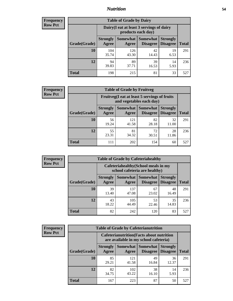### *Nutrition* **54**

| <b>Frequency</b><br>Row Pct |
|-----------------------------|
|                             |

| <b>Table of Grade by Dairy</b> |                          |                                                                 |                                    |                                    |              |  |  |  |
|--------------------------------|--------------------------|-----------------------------------------------------------------|------------------------------------|------------------------------------|--------------|--|--|--|
|                                |                          | Dairy (I eat at least 3 servings of dairy<br>products each day) |                                    |                                    |              |  |  |  |
| Grade(Grade)                   | <b>Strongly</b><br>Agree | <b>Somewhat</b><br>Agree                                        | <b>Somewhat</b><br><b>Disagree</b> | <b>Strongly</b><br><b>Disagree</b> | <b>Total</b> |  |  |  |
| 10                             | 104<br>35.74             | 126<br>43.30                                                    | 42<br>14.43                        | 19<br>6.53                         | 291          |  |  |  |
| 12                             | 94<br>39.83              | 89<br>37.71                                                     | 39<br>16.53                        | 14<br>5.93                         | 236          |  |  |  |
| <b>Total</b>                   | 198                      | 215                                                             | 81                                 | 33                                 | 527          |  |  |  |

| <b>Frequency</b> |  |
|------------------|--|
| <b>Row Pct</b>   |  |

| <b>Table of Grade by Fruitveg</b> |                                                                          |              |                               |                                    |              |  |  |
|-----------------------------------|--------------------------------------------------------------------------|--------------|-------------------------------|------------------------------------|--------------|--|--|
|                                   | Fruitveg(I eat at least 5 servings of fruits<br>and vegetables each day) |              |                               |                                    |              |  |  |
| Grade(Grade)                      | <b>Strongly</b><br>Agree                                                 | Agree        | Somewhat Somewhat<br>Disagree | <b>Strongly</b><br><b>Disagree</b> | <b>Total</b> |  |  |
| 10                                | 56<br>19.24                                                              | 121<br>41.58 | 82<br>28.18                   | 32<br>11.00                        | 291          |  |  |
| 12                                | 55<br>23.31                                                              | 81<br>34.32  | 72<br>30.51                   | 28<br>11.86                        | 236          |  |  |
| <b>Total</b>                      | 111                                                                      | 202          | 154                           | 60                                 | 527          |  |  |

| <b>Frequency</b> | <b>Table of Grade by Cafeteriahealthy</b> |                          |                     |                                                                       |                                    |              |  |  |
|------------------|-------------------------------------------|--------------------------|---------------------|-----------------------------------------------------------------------|------------------------------------|--------------|--|--|
| <b>Row Pct</b>   |                                           |                          |                     | Cafeteriahealthy (School meals in my<br>school cafeteria are healthy) |                                    |              |  |  |
|                  | Grade(Grade)                              | <b>Strongly</b><br>Agree | Somewhat  <br>Agree | Somewhat<br><b>Disagree</b>                                           | <b>Strongly</b><br><b>Disagree</b> | <b>Total</b> |  |  |
|                  | 10                                        | 39<br>13.40              | 137<br>47.08        | 67<br>23.02                                                           | 48<br>16.49                        | 291          |  |  |
|                  | 12                                        | 43<br>18.22              | 105<br>44.49        | 53<br>22.46                                                           | 35<br>14.83                        | 236          |  |  |
|                  | Total                                     | 82                       | 242                 | 120                                                                   | 83                                 | 527          |  |  |

| <b>Frequency</b> |
|------------------|
| <b>Row Pct</b>   |

| <b>Table of Grade by Cafeterianutrition</b> |                                                                                           |                     |                      |                                    |              |  |  |
|---------------------------------------------|-------------------------------------------------------------------------------------------|---------------------|----------------------|------------------------------------|--------------|--|--|
|                                             | <b>Cafeterianutrition</b> (Facts about nutrition<br>are available in my school cafeteria) |                     |                      |                                    |              |  |  |
| Grade(Grade)                                | <b>Strongly</b><br>Agree                                                                  | Somewhat  <br>Agree | Somewhat<br>Disagree | <b>Strongly</b><br><b>Disagree</b> | <b>Total</b> |  |  |
| 10                                          | 85<br>29.21                                                                               | 121<br>41.58        | 49<br>16.84          | 36<br>12.37                        | 291          |  |  |
| 12                                          | 82<br>34.75                                                                               | 102<br>43.22        | 38<br>16.10          | 14<br>5.93                         | 236          |  |  |
| <b>Total</b>                                | 167                                                                                       | 223                 | 87                   | 50                                 | 527          |  |  |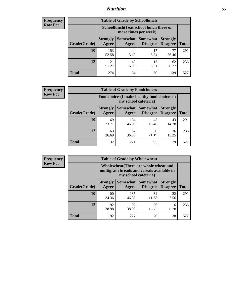### *Nutrition* **55**

| Frequency |
|-----------|
| Row Pct   |

| <b>Table of Grade by Schoollunch</b> |                          |                                                                 |                                    |                                    |              |  |  |  |
|--------------------------------------|--------------------------|-----------------------------------------------------------------|------------------------------------|------------------------------------|--------------|--|--|--|
|                                      |                          | Schoollunch(I eat school lunch three or<br>more times per week) |                                    |                                    |              |  |  |  |
| Grade(Grade)                         | <b>Strongly</b><br>Agree | <b>Somewhat</b><br>Agree                                        | <b>Somewhat</b><br><b>Disagree</b> | <b>Strongly</b><br><b>Disagree</b> | <b>Total</b> |  |  |  |
| 10                                   | 153<br>52.58             | 44<br>15.12                                                     | 17<br>5.84                         | 77<br>26.46                        | 291          |  |  |  |
| 12                                   | 121<br>51.27             | 40<br>16.95                                                     | 13<br>5.51                         | 62<br>26.27                        | 236          |  |  |  |
| <b>Total</b>                         | 274                      | 84                                                              | 30                                 | 139                                | 527          |  |  |  |

| <b>Frequency</b> |  |
|------------------|--|
| <b>Row Pct</b>   |  |

| <b>Table of Grade by Foodchoices</b>                                |                          |              |                     |                                        |              |  |  |
|---------------------------------------------------------------------|--------------------------|--------------|---------------------|----------------------------------------|--------------|--|--|
| Foodchoices (I make healthy food choices in<br>my school cafeteria) |                          |              |                     |                                        |              |  |  |
| Grade(Grade)                                                        | <b>Strongly</b><br>Agree | Agree        | Somewhat   Somewhat | <b>Strongly</b><br>Disagree   Disagree | <b>Total</b> |  |  |
| 10                                                                  | 69<br>23.71              | 134<br>46.05 | 45<br>15.46         | 43<br>14.78                            | 291          |  |  |
| 12                                                                  | 63<br>26.69              | 87<br>36.86  | 50<br>21.19         | 36<br>15.25                            | 236          |  |  |
| <b>Total</b>                                                        | 132                      | 221          | 95                  | 79                                     | 527          |  |  |

| <b>Frequency</b> | <b>Table of Grade by Wholewheat</b> |                                                                                                             |              |                               |                                    |              |  |  |
|------------------|-------------------------------------|-------------------------------------------------------------------------------------------------------------|--------------|-------------------------------|------------------------------------|--------------|--|--|
| <b>Row Pct</b>   |                                     | Wholewheat (There are whole wheat and<br>multigrain breads and cereals available in<br>my school cafeteria) |              |                               |                                    |              |  |  |
|                  | Grade(Grade)                        | <b>Strongly</b><br>Agree                                                                                    | Agree        | Somewhat Somewhat<br>Disagree | <b>Strongly</b><br><b>Disagree</b> | <b>Total</b> |  |  |
|                  | 10                                  | 100<br>34.36                                                                                                | 135<br>46.39 | 34<br>11.68                   | 22<br>7.56                         | 291          |  |  |
|                  | 12                                  | 92<br>38.98                                                                                                 | 92<br>38.98  | 36<br>15.25                   | 16<br>6.78                         | 236          |  |  |
|                  | <b>Total</b>                        | 192                                                                                                         | 227          | 70                            | 38                                 | 527          |  |  |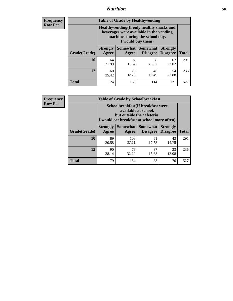### *Nutrition* **56**

**Frequency Row Pct**

| <b>Table of Grade by Healthyvending</b> |                                                                                                                                               |                          |                                    |                                    |              |  |
|-----------------------------------------|-----------------------------------------------------------------------------------------------------------------------------------------------|--------------------------|------------------------------------|------------------------------------|--------------|--|
|                                         | Healthyvending (If only healthy snacks and<br>beverages were available in the vending<br>machines during the school day,<br>I would buy them) |                          |                                    |                                    |              |  |
| Grade(Grade)                            | <b>Strongly</b><br>Agree                                                                                                                      | <b>Somewhat</b><br>Agree | <b>Somewhat</b><br><b>Disagree</b> | <b>Strongly</b><br><b>Disagree</b> | <b>Total</b> |  |
| 10                                      | 64<br>21.99                                                                                                                                   | 92<br>31.62              | 68<br>23.37                        | 67<br>23.02                        | 291          |  |
| 12                                      | 60<br>25.42                                                                                                                                   | 76<br>32.20              | 46<br>19.49                        | 54<br>22.88                        | 236          |  |
| Total                                   | 124                                                                                                                                           | 168                      | 114                                | 121                                | 527          |  |

**Frequency Row Pct**

| <b>Table of Grade by Schoolbreakfast</b> |                                                                                                                                        |              |             |             |     |  |
|------------------------------------------|----------------------------------------------------------------------------------------------------------------------------------------|--------------|-------------|-------------|-----|--|
|                                          | Schoolbreakfast(If breakfast were<br>available at school,<br>but outside the cafeteria,<br>I would eat breakfast at school more often) |              |             |             |     |  |
| Grade(Grade)                             | Somewhat   Somewhat<br><b>Strongly</b><br><b>Strongly</b><br><b>Disagree</b><br><b>Total</b><br>Agree<br>Disagree<br>Agree             |              |             |             |     |  |
| 10                                       | 89<br>30.58                                                                                                                            | 108<br>37.11 | 51<br>17.53 | 43<br>14.78 | 291 |  |
| 12                                       | 37<br>76<br>90<br>33<br>38.14<br>13.98<br>32.20<br>15.68                                                                               |              |             |             |     |  |
| <b>Total</b>                             | 179                                                                                                                                    | 184          | 88          | 76          | 527 |  |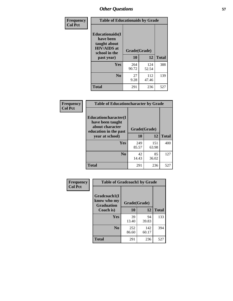| Frequency<br><b>Col Pct</b> | <b>Table of Educationaids by Grade</b>                                                                    |                    |              |              |
|-----------------------------|-----------------------------------------------------------------------------------------------------------|--------------------|--------------|--------------|
|                             | <b>Educationaids</b> (I<br>have been<br>taught about<br><b>HIV/AIDS</b> at<br>school in the<br>past year) | Grade(Grade)<br>10 | 12           | <b>Total</b> |
|                             | Yes                                                                                                       | 264<br>90.72       | 124<br>52.54 | 388          |
|                             | N <sub>0</sub>                                                                                            | 27<br>9.28         | 112<br>47.46 | 139          |
|                             | <b>Total</b>                                                                                              | 291                | 236          | 527          |

| Frequency<br><b>Col Pct</b> | <b>Table of Educationcharacter by Grade</b>                 |              |              |              |  |
|-----------------------------|-------------------------------------------------------------|--------------|--------------|--------------|--|
|                             | Educationcharacter(I<br>have been taught<br>about character |              |              |              |  |
|                             | education in the past                                       | Grade(Grade) |              |              |  |
|                             | year at school)                                             | 10           | 12           | <b>Total</b> |  |
|                             | Yes                                                         | 249<br>85.57 | 151<br>63.98 | 400          |  |
|                             | N <sub>0</sub>                                              | 42<br>14.43  | 85<br>36.02  | 127          |  |
|                             | <b>Total</b>                                                | 291          | 236          | 527          |  |

| Frequency<br><b>Col Pct</b> | <b>Table of Gradcoach1 by Grade</b> |              |              |              |
|-----------------------------|-------------------------------------|--------------|--------------|--------------|
|                             | Gradcoach1(I<br>know who my         | Grade(Grade) |              |              |
|                             | <b>Graduation</b><br>Coach is)      | 10           | 12           | <b>Total</b> |
|                             | Yes                                 | 39<br>13.40  | 94<br>39.83  | 133          |
|                             | N <sub>0</sub>                      | 252<br>86.60 | 142<br>60.17 | 394          |
|                             | <b>Total</b>                        | 291          | 236          | 527          |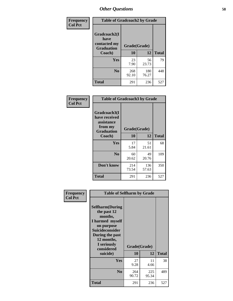| Frequency      | <b>Table of Gradcoach2 by Grade</b>  |              |              |              |
|----------------|--------------------------------------|--------------|--------------|--------------|
| <b>Col Pct</b> | Gradcoach2(I<br>have<br>contacted my |              |              |              |
|                | <b>Graduation</b>                    | Grade(Grade) |              |              |
|                | Coach)                               | 10           | 12           | <b>Total</b> |
|                | Yes                                  | 23<br>7.90   | 56<br>23.73  | 79           |
|                | N <sub>0</sub>                       | 268<br>92.10 | 180<br>76.27 | 448          |
|                | <b>Total</b>                         | 291          | 236          | 527          |

| <b>Frequency</b><br><b>Col Pct</b> | <b>Table of Gradcoach3 by Grade</b>                                         |              |              |              |  |
|------------------------------------|-----------------------------------------------------------------------------|--------------|--------------|--------------|--|
|                                    | Gradcoach3(I<br>have received<br>assistance<br>from my<br><b>Graduation</b> | Grade(Grade) |              |              |  |
|                                    | Coach)                                                                      | 10           | 12           | <b>Total</b> |  |
|                                    | Yes                                                                         | 17<br>5.84   | 51<br>21.61  | 68           |  |
|                                    | N <sub>0</sub>                                                              | 60<br>20.62  | 49<br>20.76  | 109          |  |
|                                    | Don't know                                                                  | 214<br>73.54 | 136<br>57.63 | 350          |  |
|                                    | <b>Total</b>                                                                | 291          | 236          | 527          |  |

| Frequency      | <b>Table of Selfharm by Grade</b>                                                                                                                                                      |                    |              |              |
|----------------|----------------------------------------------------------------------------------------------------------------------------------------------------------------------------------------|--------------------|--------------|--------------|
| <b>Col Pct</b> | <b>Selfharm</b> (During<br>the past 12<br>months,<br>I harmed myself<br>on purpose<br><b>Suicideconsider</b><br>During the past<br>12 months,<br>I seriously<br>considered<br>suicide) | Grade(Grade)<br>10 | 12           | <b>Total</b> |
|                | Yes                                                                                                                                                                                    | 27<br>9.28         | 11<br>4.66   | 38           |
|                | N <sub>0</sub>                                                                                                                                                                         | 264<br>90.72       | 225<br>95.34 | 489          |
|                | <b>Total</b>                                                                                                                                                                           | 291                | 236          | 527          |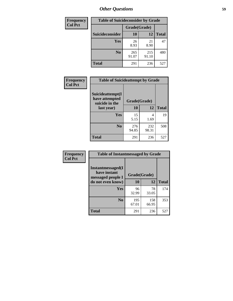| <b>Frequency</b> | <b>Table of Suicideconsider by Grade</b> |              |              |              |
|------------------|------------------------------------------|--------------|--------------|--------------|
| <b>Col Pct</b>   |                                          | Grade(Grade) |              |              |
|                  | Suicideconsider                          | <b>10</b>    | 12           | <b>Total</b> |
|                  | Yes                                      | 26<br>8.93   | 21<br>8.90   | 47           |
|                  | N <sub>0</sub>                           | 265<br>91.07 | 215<br>91.10 | 480          |
|                  | <b>Total</b>                             | 291          | 236          | 527          |

| Frequency      | <b>Table of Suicideattempt by Grade</b>              |              |              |              |
|----------------|------------------------------------------------------|--------------|--------------|--------------|
| <b>Col Pct</b> | Suicideattempt(I<br>have attempted<br>suicide in the | Grade(Grade) |              |              |
|                | last year)                                           | 10           | 12           | <b>Total</b> |
|                | Yes                                                  | 15<br>5.15   | 4<br>1.69    | 19           |
|                | N <sub>0</sub>                                       | 276<br>94.85 | 232<br>98.31 | 508          |
|                | <b>Total</b>                                         | 291          | 236          | 527          |

| Frequency      | <b>Table of Instantmessaged by Grade</b>                       |              |              |              |
|----------------|----------------------------------------------------------------|--------------|--------------|--------------|
| <b>Col Pct</b> | <b>Instantmessaged</b> (I<br>have instant<br>messaged people I | Grade(Grade) |              |              |
|                | do not even know)                                              | 10           | 12           | <b>Total</b> |
|                | Yes                                                            | 96<br>32.99  | 78<br>33.05  | 174          |
|                | N <sub>0</sub>                                                 | 195<br>67.01 | 158<br>66.95 | 353          |
|                | <b>Total</b>                                                   | 291          | 236          | 527          |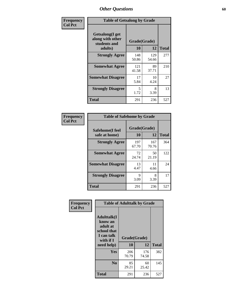| Frequency      | <b>Table of Getsalong by Grade</b>                          |              |              |              |
|----------------|-------------------------------------------------------------|--------------|--------------|--------------|
| <b>Col Pct</b> | <b>Getsalong</b> (I get<br>along with other<br>students and |              | Grade(Grade) |              |
|                | adults)                                                     | 10           | 12           | <b>Total</b> |
|                | <b>Strongly Agree</b>                                       | 148<br>50.86 | 129<br>54.66 | 277          |
|                | <b>Somewhat Agree</b>                                       | 121<br>41.58 | 89<br>37.71  | 210          |
|                | <b>Somewhat Disagree</b>                                    | 17<br>5.84   | 10<br>4.24   | 27           |
|                | <b>Strongly Disagree</b>                                    | 5<br>1.72    | 8<br>3.39    | 13           |
|                | <b>Total</b>                                                | 291          | 236          | 527          |

| Frequency      | <b>Table of Safehome by Grade</b> |              |                    |              |
|----------------|-----------------------------------|--------------|--------------------|--------------|
| <b>Col Pct</b> | Safehome(I feel<br>safe at home)  | 10           | Grade(Grade)<br>12 | <b>Total</b> |
|                | <b>Strongly Agree</b>             | 197<br>67.70 | 167<br>70.76       | 364          |
|                | <b>Somewhat Agree</b>             | 72<br>24.74  | 50<br>21.19        | 122          |
|                | <b>Somewhat Disagree</b>          | 13<br>4.47   | 11<br>4.66         | 24           |
|                | <b>Strongly Disagree</b>          | 9<br>3.09    | 8<br>3.39          | 17           |
|                | <b>Total</b>                      | 291          | 236                | 527          |

| Frequency<br><b>Col Pct</b> |                                                                                                    |                    | <b>Table of Adulttalk by Grade</b> |              |  |  |  |
|-----------------------------|----------------------------------------------------------------------------------------------------|--------------------|------------------------------------|--------------|--|--|--|
|                             | <b>Adulttalk</b> (I<br>know an<br>adult at<br>school that<br>I can talk<br>with if I<br>need help) | Grade(Grade)<br>10 | 12                                 | <b>Total</b> |  |  |  |
|                             |                                                                                                    |                    |                                    |              |  |  |  |
|                             | <b>Yes</b>                                                                                         | 206<br>70.79       | 176<br>74.58                       | 382          |  |  |  |
|                             | $\bf No$                                                                                           | 85<br>29.21        | 60<br>25.42                        | 145          |  |  |  |
|                             | <b>Total</b>                                                                                       | 291                | 236                                | 527          |  |  |  |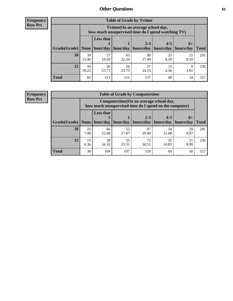**Frequency Row Pct**

| <b>Table of Grade by Tytime</b> |             |                                                                                         |                            |             |            |            |              |  |  |  |
|---------------------------------|-------------|-----------------------------------------------------------------------------------------|----------------------------|-------------|------------|------------|--------------|--|--|--|
|                                 |             | Tytime (On an average school day,<br>how much unsupervised time do I spend watching TV) |                            |             |            |            |              |  |  |  |
|                                 |             | <b>Less that</b>                                                                        | $2 - 3$<br>$4 - 5$<br>$6+$ |             |            |            |              |  |  |  |
| Grade(Grade)   None             |             | hour/day                                                                                | hour/day                   | hours/day   | hours/day  | hours/day  | <b>Total</b> |  |  |  |
| 10                              | 39<br>13.40 | 57<br>19.59                                                                             | 65<br>22.34                | 80<br>27.49 | 25<br>8.59 | 25<br>8.59 | 291          |  |  |  |
| 12                              | 43<br>18.22 | 56<br>23.73                                                                             | 56<br>23.73                | 57<br>24.15 | 15<br>6.36 | 9<br>3.81  | 236          |  |  |  |
| <b>Total</b>                    | 82          | 113                                                                                     | 121                        | 137         | 40         | 34         | 527          |  |  |  |

**Frequency Row Pct**

| <b>Table of Grade by Computertime</b> |            |                                                                                                                               |             |             |             |            |     |  |  |
|---------------------------------------|------------|-------------------------------------------------------------------------------------------------------------------------------|-------------|-------------|-------------|------------|-----|--|--|
|                                       |            | Computertime (On an average school day,<br>how much unsupervised time do I spend on the computer)                             |             |             |             |            |     |  |  |
| Grade(Grade)                          | None       | <b>Less that</b><br>$4 - 5$<br>$2 - 3$<br>$6+$<br>hour/day<br>hours/day<br>hour/day<br>hours/day<br>hours/day<br><b>Total</b> |             |             |             |            |     |  |  |
| 10                                    | 23<br>7.90 | 66<br>22.68                                                                                                                   | 52<br>17.87 | 87<br>29.90 | 34<br>11.68 | 29<br>9.97 | 291 |  |  |
| 12                                    | 15<br>6.36 | 38<br>16.10                                                                                                                   | 55<br>23.31 | 72<br>30.51 | 35<br>14.83 | 21<br>8.90 | 236 |  |  |
| <b>Total</b>                          | 38         | 104                                                                                                                           | 107         | 159         | 69          | 50         | 527 |  |  |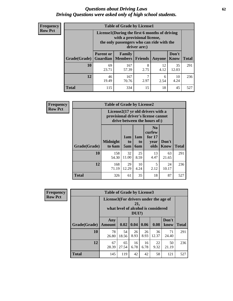#### *Questions about Driving Laws* **62** *Driving Questions were asked only of high school students.*

| <b>Frequency</b> |
|------------------|
| <b>Row Pct</b>   |

| <b>Table of Grade by License1</b> |                                                                |                                                                                                                                           |                |            |                      |              |  |  |  |
|-----------------------------------|----------------------------------------------------------------|-------------------------------------------------------------------------------------------------------------------------------------------|----------------|------------|----------------------|--------------|--|--|--|
|                                   |                                                                | License1(During the first 6 months of driving<br>with a provisional license,<br>the only passengers who can ride with the<br>driver are:) |                |            |                      |              |  |  |  |
| Grade(Grade)                      | <b>Parent or</b><br><b>Guardian</b>                            | Family<br><b>Members</b>                                                                                                                  | <b>Friends</b> | Anyone     | Don't<br><b>Know</b> | <b>Total</b> |  |  |  |
| 10                                | 69<br>23.71                                                    | 167<br>57.39                                                                                                                              | 8<br>2.75      | 12<br>4.12 | 35<br>12.03          | 291          |  |  |  |
| 12                                | 167<br>46<br>10<br>6<br>19.49<br>2.97<br>4.24<br>2.54<br>70.76 |                                                                                                                                           |                |            |                      |              |  |  |  |
| <b>Total</b>                      | 115                                                            | 334                                                                                                                                       | 15             | 18         | 45                   | 527          |  |  |  |

| Frequency      |              | <b>Table of Grade by License2</b>                                                                        |                  |                  |                                                      |                      |              |  |  |
|----------------|--------------|----------------------------------------------------------------------------------------------------------|------------------|------------------|------------------------------------------------------|----------------------|--------------|--|--|
| <b>Row Pct</b> |              | License2(17 yr old drivers with a<br>provisional driver's license cannot<br>drive between the hours of:) |                  |                  |                                                      |                      |              |  |  |
|                | Grade(Grade) | <b>Midnight</b><br>to 6am                                                                                | 1am<br>to<br>5am | 1am<br>to<br>6am | N <sub>0</sub><br>curfew<br>for $17$<br>year<br>olds | Don't<br><b>Know</b> | <b>Total</b> |  |  |
|                | 10           | 158<br>54.30                                                                                             | 32<br>11.00      | 25<br>8.59       | 13<br>4.47                                           | 63<br>21.65          | 291          |  |  |
|                | 12           | 168<br>71.19                                                                                             | 29<br>12.29      | 10<br>4.24       | 5<br>2.12                                            | 24<br>10.17          | 236          |  |  |
|                | <b>Total</b> | 326                                                                                                      | 61               | 35               | 18                                                   | 87                   | 527          |  |  |

| Frequency      | <b>Table of Grade by License3</b> |                                       |             |              |            |                                     |               |              |
|----------------|-----------------------------------|---------------------------------------|-------------|--------------|------------|-------------------------------------|---------------|--------------|
| <b>Row Pct</b> |                                   | License3(For drivers under the age of |             | 21,<br>DUI?) |            | what level of alcohol is considered |               |              |
|                | Grade(Grade)                      | Any<br><b>Amount</b>                  | 0.02        | 0.04         | 0.06       | 0.08                                | Don't<br>know | <b>Total</b> |
|                | <b>10</b>                         | 78<br>26.80                           | 54<br>18.56 | 26<br>8.93   | 26<br>8.93 | 36<br>12.37                         | 71<br>24.40   | 291          |
|                | 12                                | 67<br>28.39                           | 65<br>27.54 | 16<br>6.78   | 16<br>6.78 | 22<br>9.32                          | 50<br>21.19   | 236          |
|                | <b>Total</b>                      | 145                                   | 119         | 42           | 42         | 58                                  | 121           | 527          |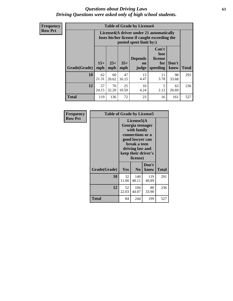#### *Questions about Driving Laws* **63** *Driving Questions were asked only of high school students.*

**Frequency Row Pct**

| <b>Table of Grade by License4</b> |              |                                                                                                                                               |             |            |            |             |     |  |
|-----------------------------------|--------------|-----------------------------------------------------------------------------------------------------------------------------------------------|-------------|------------|------------|-------------|-----|--|
|                                   |              | License4(A driver under 21 automatically<br>loses his/her license if caught exceeding the<br>posted speet limit by:)                          |             |            |            |             |     |  |
| Grade(Grade)                      | $15+$<br>mph | Can't<br>lose<br><b>Depends</b><br>license<br>$25+$<br>$35+$<br>Don't<br>for<br>on<br><b>Total</b><br>mph<br>speeding<br>know<br>mph<br>judge |             |            |            |             |     |  |
| 10                                | 62<br>21.31  | 60<br>20.62                                                                                                                                   | 47<br>16.15 | 13<br>4.47 | 11<br>3.78 | 98<br>33.68 | 291 |  |
| 12                                | 57<br>24.15  | 76<br>32.20                                                                                                                                   | 25<br>10.59 | 10<br>4.24 | 5<br>2.12  | 63<br>26.69 | 236 |  |
| <b>Total</b>                      | 119          | 136                                                                                                                                           | 72          | 23         | 16         | 161         | 527 |  |

| Frequency      | <b>Table of Grade by License5</b> |             |                                                                                                                                      |                     |       |
|----------------|-----------------------------------|-------------|--------------------------------------------------------------------------------------------------------------------------------------|---------------------|-------|
| <b>Row Pct</b> |                                   |             | License5(A)<br>Georgia teenager<br>with family<br>connections or a<br>good lawyer can<br>break a teen<br>driving law and<br>license) | keep their driver's |       |
|                | Grade(Grade)                      | <b>Yes</b>  | N <sub>0</sub>                                                                                                                       | Don't<br>know       | Total |
|                | 10                                | 32<br>11.00 | 140<br>48.11                                                                                                                         | 119<br>40.89        | 291   |
|                | 12                                | 52<br>22.03 | 104<br>44.07                                                                                                                         | 80<br>33.90         | 236   |
|                | Total                             | 84          | 244                                                                                                                                  | 199                 | 527   |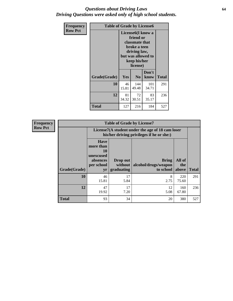#### *Questions about Driving Laws* **64** *Driving Questions were asked only of high school students.*

| <b>Frequency</b> | <b>Table of Grade by License6</b> |             |                                                                                                                           |                    |              |  |
|------------------|-----------------------------------|-------------|---------------------------------------------------------------------------------------------------------------------------|--------------------|--------------|--|
| <b>Row Pct</b>   |                                   |             | License <sub>6</sub> (I know a<br>friend or<br>classmate that<br>broke a teen<br>driving law,<br>keep his/her<br>license) | but was allowed to |              |  |
|                  | Grade(Grade)                      | <b>Yes</b>  | N <sub>0</sub>                                                                                                            | Don't<br>know      | <b>Total</b> |  |
|                  | 10                                | 46<br>15.81 | 144<br>49.48                                                                                                              | 101<br>34.71       | 291          |  |
|                  | 12                                | 81<br>34.32 | 72<br>30.51                                                                                                               | 83<br>35.17        | 236          |  |
|                  | <b>Total</b>                      | 127         | 216                                                                                                                       | 184                | 527          |  |

| <b>Frequency</b> |              |                                                                             | <b>Table of Grade by License7</b>                                                             |                                                   |                        |              |  |  |  |
|------------------|--------------|-----------------------------------------------------------------------------|-----------------------------------------------------------------------------------------------|---------------------------------------------------|------------------------|--------------|--|--|--|
| <b>Row Pct</b>   |              |                                                                             | License7(A student under the age of 18 cam loser<br>his/her driving privileges if he or she:) |                                                   |                        |              |  |  |  |
|                  | Grade(Grade) | <b>Have</b><br>more than<br>10<br>unexcused<br>absences<br>per school<br>yr | Drop out<br>without  <br>graduating                                                           | <b>Bring</b><br>alcohol/drugs/weapon<br>to school | All of<br>the<br>above | <b>Total</b> |  |  |  |
|                  | 10           | 46<br>15.81                                                                 | 17<br>5.84                                                                                    | 8<br>2.75                                         | 220<br>75.60           | 291          |  |  |  |
|                  | 12           | 47<br>19.92                                                                 | 17<br>7.20                                                                                    | 12<br>5.08                                        | 160<br>67.80           | 236          |  |  |  |
|                  | <b>Total</b> | 93                                                                          | 34                                                                                            | 20                                                | 380                    | 527          |  |  |  |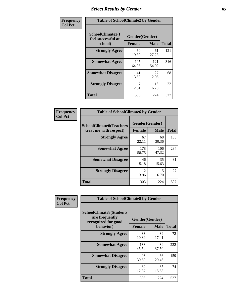## *Select Results by Gender* **65**

| Frequency      | <b>Table of SchoolClimate2 by Gender</b>          |                                 |              |              |
|----------------|---------------------------------------------------|---------------------------------|--------------|--------------|
| <b>Col Pct</b> | SchoolClimate2(I<br>feel successful at<br>school) | Gender(Gender)<br><b>Female</b> | <b>Male</b>  | <b>Total</b> |
|                | <b>Strongly Agree</b>                             | 60<br>19.80                     | 61<br>27.23  | 121          |
|                | <b>Somewhat Agree</b>                             | 195<br>64.36                    | 121<br>54.02 | 316          |
|                | <b>Somewhat Disagree</b>                          | 41<br>13.53                     | 27<br>12.05  | 68           |
|                | <b>Strongly Disagree</b>                          | 7<br>2.31                       | 15<br>6.70   | 22           |
|                | <b>Total</b>                                      | 303                             | 224          | 527          |

| Frequency      | <b>Table of SchoolClimate6 by Gender</b>                 |                                 |              |              |  |
|----------------|----------------------------------------------------------|---------------------------------|--------------|--------------|--|
| <b>Col Pct</b> | <b>SchoolClimate6(Teachers</b><br>treat me with respect) | Gender(Gender)<br><b>Female</b> | <b>Male</b>  | <b>Total</b> |  |
|                | <b>Strongly Agree</b>                                    | 67<br>22.11                     | 68<br>30.36  | 135          |  |
|                | <b>Somewhat Agree</b>                                    | 178<br>58.75                    | 106<br>47.32 | 284          |  |
|                | <b>Somewhat Disagree</b>                                 | 46<br>15.18                     | 35<br>15.63  | 81           |  |
|                | <b>Strongly Disagree</b>                                 | 12<br>3.96                      | 15<br>6.70   | 27           |  |
|                | Total                                                    | 303                             | 224          | 527          |  |

| Frequency      | <b>Table of SchoolClimate8 by Gender</b>                                |               |                |              |
|----------------|-------------------------------------------------------------------------|---------------|----------------|--------------|
| <b>Col Pct</b> | <b>SchoolClimate8(Students</b><br>are frequently<br>recognized for good |               | Gender(Gender) |              |
|                | behavior)                                                               | <b>Female</b> | <b>Male</b>    | <b>Total</b> |
|                | <b>Strongly Agree</b>                                                   | 33<br>10.89   | 39<br>17.41    | 72           |
|                | <b>Somewhat Agree</b>                                                   | 138<br>45.54  | 84<br>37.50    | 222          |
|                | <b>Somewhat Disagree</b>                                                | 93<br>30.69   | 66<br>29.46    | 159          |
|                | <b>Strongly Disagree</b>                                                | 39<br>12.87   | 35<br>15.63    | 74           |
|                | Total                                                                   | 303           | 224            | 527          |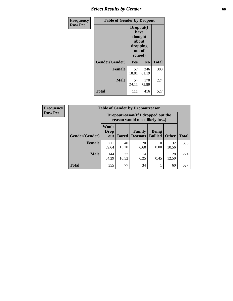## *Select Results by Gender* **66**

| Frequency      | <b>Table of Gender by Dropout</b> |                                                                        |                |              |
|----------------|-----------------------------------|------------------------------------------------------------------------|----------------|--------------|
| <b>Row Pct</b> |                                   | Dropout(I<br>have<br>thought<br>about<br>dropping<br>out of<br>school) |                |              |
|                | Gender(Gender)                    | <b>Yes</b>                                                             | N <sub>0</sub> | <b>Total</b> |
|                | <b>Female</b>                     | 57<br>18.81                                                            | 246<br>81.19   | 303          |
|                | <b>Male</b>                       | 54<br>24.11                                                            | 170<br>75.89   | 224          |
|                | <b>Total</b>                      | 111                                                                    | 416            | 527          |

| <b>Frequency</b> |                | <b>Table of Gender by Dropoutreason</b>                            |              |                          |                                |              |              |
|------------------|----------------|--------------------------------------------------------------------|--------------|--------------------------|--------------------------------|--------------|--------------|
| <b>Row Pct</b>   |                | Dropoutreason(If I dropped out the<br>reason would most likely be) |              |                          |                                |              |              |
|                  | Gender(Gender) | Won't<br><b>Drop</b><br>out                                        | <b>Bored</b> | Family<br><b>Reasons</b> | <b>Being</b><br><b>Bullied</b> | <b>Other</b> | <b>Total</b> |
|                  | <b>Female</b>  | 211<br>69.64                                                       | 40<br>13.20  | 20<br>6.60               | 0.00                           | 32<br>10.56  | 303          |
|                  | <b>Male</b>    | 144<br>64.29                                                       | 37<br>16.52  | 14<br>6.25               | 0.45                           | 28<br>12.50  | 224          |
|                  | <b>Total</b>   | 355                                                                | 77           | 34                       |                                | 60           | 527          |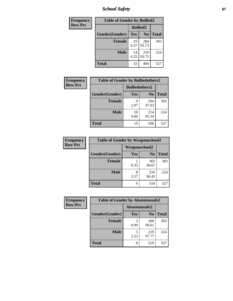*School Safety* **67**

| Frequency      | <b>Table of Gender by Bullied2</b> |                 |                |              |
|----------------|------------------------------------|-----------------|----------------|--------------|
| <b>Row Pct</b> |                                    | <b>Bullied2</b> |                |              |
|                | Gender(Gender)                     | Yes             | N <sub>0</sub> | <b>Total</b> |
|                | <b>Female</b>                      | 19<br>6.27      | 284<br>93.73   | 303          |
|                | <b>Male</b>                        | 14<br>6.25      | 210<br>93.75   | 224          |
|                | Total                              | 33              | 494            | 527          |

| Frequency      | <b>Table of Gender by Bulliedothers2</b> |                       |                |              |
|----------------|------------------------------------------|-----------------------|----------------|--------------|
| <b>Row Pct</b> |                                          | <b>Bulliedothers2</b> |                |              |
|                | Gender(Gender)                           | Yes                   | N <sub>0</sub> | <b>Total</b> |
|                | <b>Female</b>                            | q<br>2.97             | 294<br>97.03   | 303          |
|                | Male                                     | 10<br>4.46            | 214<br>95.54   | 224          |
|                | <b>Total</b>                             | 19                    | 508            | 527          |

| Frequency      | <b>Table of Gender by Weaponschool2</b> |               |                |              |
|----------------|-----------------------------------------|---------------|----------------|--------------|
| <b>Row Pct</b> |                                         | Weaponschool2 |                |              |
|                | Gender(Gender)                          | <b>Yes</b>    | N <sub>0</sub> | <b>Total</b> |
|                | <b>Female</b>                           | 0.33          | 302<br>99.67   | 303          |
|                | <b>Male</b>                             | 8<br>3.57     | 216<br>96.43   | 224          |
|                | <b>Total</b>                            | Q             | 518            | 527          |

| Frequency      | <b>Table of Gender by Absentunsafe2</b> |               |                |              |
|----------------|-----------------------------------------|---------------|----------------|--------------|
| <b>Row Pct</b> |                                         | Absentunsafe2 |                |              |
|                | Gender(Gender)                          | Yes           | N <sub>0</sub> | <b>Total</b> |
|                | <b>Female</b>                           | 0.99          | 300<br>99.01   | 303          |
|                | <b>Male</b>                             | 2.23          | 219<br>97.77   | 224          |
|                | <b>Total</b>                            | 8             | 519            | 527          |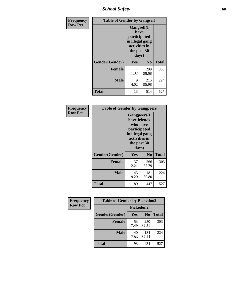*School Safety* **68**

| Frequency      | <b>Table of Gender by Gangself</b> |                                                                                                |                |              |
|----------------|------------------------------------|------------------------------------------------------------------------------------------------|----------------|--------------|
| <b>Row Pct</b> |                                    | Gangself(I<br>have<br>participated<br>in illegal gang<br>activities in<br>the past 30<br>days) |                |              |
|                | Gender(Gender)                     | Yes                                                                                            | N <sub>0</sub> | <b>Total</b> |
|                | <b>Female</b>                      | 4<br>1.32                                                                                      | 299<br>98.68   | 303          |
|                | <b>Male</b>                        | 9<br>4.02                                                                                      | 215<br>95.98   | 224          |
|                | <b>Total</b>                       | 13                                                                                             | 514            | 527          |

| Frequency      | <b>Table of Gender by Gangpeers</b> |                                                                                                                             |                |              |
|----------------|-------------------------------------|-----------------------------------------------------------------------------------------------------------------------------|----------------|--------------|
| <b>Row Pct</b> |                                     | <b>Gangpeers</b> (I<br>have friends<br>who have<br>participated<br>in illegal gang<br>activities in<br>the past 30<br>days) |                |              |
|                | Gender(Gender)                      | Yes                                                                                                                         | N <sub>0</sub> | <b>Total</b> |
|                | <b>Female</b>                       | 37<br>12.21                                                                                                                 | 266<br>87.79   | 303          |
|                | <b>Male</b>                         | 43<br>19.20                                                                                                                 | 181<br>80.80   | 224          |
|                | Total                               | 80                                                                                                                          | 447            | 527          |

| Frequency      | <b>Table of Gender by Pickedon2</b> |             |                |              |
|----------------|-------------------------------------|-------------|----------------|--------------|
| <b>Row Pct</b> |                                     | Pickedon2   |                |              |
|                | Gender(Gender)                      | <b>Yes</b>  | N <sub>0</sub> | <b>Total</b> |
|                | <b>Female</b>                       | 53<br>17.49 | 250<br>82.51   | 303          |
|                | <b>Male</b>                         | 40<br>17.86 | 184<br>82.14   | 224          |
|                | <b>Total</b>                        | 93          | 434            | 527          |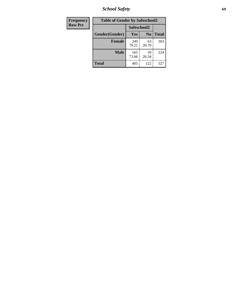*School Safety* **69**

| Frequency      | <b>Table of Gender by Safeschool2</b> |              |                |              |  |
|----------------|---------------------------------------|--------------|----------------|--------------|--|
| <b>Row Pct</b> |                                       | Safeschool2  |                |              |  |
|                | Gender(Gender)                        | Yes          | N <sub>0</sub> | <b>Total</b> |  |
|                | <b>Female</b>                         | 240<br>79.21 | 63<br>20.79    | 303          |  |
|                | <b>Male</b>                           | 165<br>73.66 | 59<br>26.34    | 224          |  |
|                | <b>Total</b>                          | 405          | 122            | 527          |  |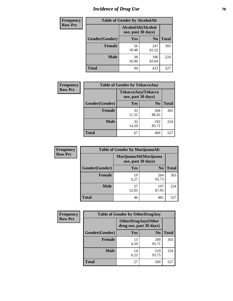# *Incidence of Drug Use* **70**

| <b>Frequency</b> | <b>Table of Gender by AlcoholAlt</b> |             |                                          |              |  |
|------------------|--------------------------------------|-------------|------------------------------------------|--------------|--|
| <b>Row Pct</b>   |                                      |             | AlcoholAlt(Alcohol<br>use, past 30 days) |              |  |
|                  | Gender(Gender)                       | Yes         | N <sub>0</sub>                           | <b>Total</b> |  |
|                  | <b>Female</b>                        | 56<br>18.48 | 247<br>81.52                             | 303          |  |
|                  | <b>Male</b>                          | 38<br>16.96 | 186<br>83.04                             | 224          |  |
|                  | <b>Total</b>                         | 94          | 433                                      | 527          |  |

| Frequency      | <b>Table of Gender by TobaccoAny</b> |                    |                    |              |  |
|----------------|--------------------------------------|--------------------|--------------------|--------------|--|
| <b>Row Pct</b> |                                      | use, past 30 days) | TobaccoAny(Tobacco |              |  |
|                | Gender(Gender)                       | Yes                | N <sub>0</sub>     | <b>Total</b> |  |
|                | <b>Female</b>                        | 35<br>11.55        | 268<br>88.45       | 303          |  |
|                | <b>Male</b>                          | 32<br>14.29        | 192<br>85.71       | 224          |  |
|                | Total                                | 67                 | 460                | 527          |  |

| <b>Frequency</b> | <b>Table of Gender by MarijuanaAlt</b> |                                              |                |              |
|------------------|----------------------------------------|----------------------------------------------|----------------|--------------|
| <b>Row Pct</b>   |                                        | MarijuanaAlt(Marijuana<br>use, past 30 days) |                |              |
|                  | Gender(Gender)                         | <b>Yes</b>                                   | N <sub>0</sub> | <b>Total</b> |
|                  | <b>Female</b>                          | 19<br>6.27                                   | 284<br>93.73   | 303          |
|                  | <b>Male</b>                            | 27<br>12.05                                  | 197<br>87.95   | 224          |
|                  | <b>Total</b>                           | 46                                           | 481            | 527          |

| <b>Frequency</b> | <b>Table of Gender by OtherDrugAny</b> |                         |                           |              |
|------------------|----------------------------------------|-------------------------|---------------------------|--------------|
| <b>Row Pct</b>   |                                        | drug use, past 30 days) | <b>OtherDrugAny(Other</b> |              |
|                  | Gender(Gender)                         | <b>Yes</b>              | N <sub>0</sub>            | <b>Total</b> |
|                  | <b>Female</b>                          | 13<br>4.29              | 290<br>95.71              | 303          |
|                  | <b>Male</b>                            | 14<br>6.25              | 210<br>93.75              | 224          |
|                  | <b>Total</b>                           | 27                      | 500                       | 527          |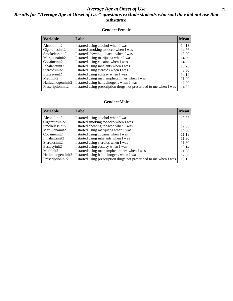#### *Average Age at Onset of Use* **71** *Results for "Average Age at Onset of Use" questions exclude students who said they did not use that substance*

#### **Gender=Female**

| <b>Variable</b>    | <b>Label</b>                                                       | <b>Mean</b> |
|--------------------|--------------------------------------------------------------------|-------------|
| Alcoholinit2       | I started using alcohol when I was                                 | 14.13       |
| Cigarettesinit2    | I started smoking tobacco when I was                               | 14.56       |
| Smokelessinit2     | I started chewing tobacco when I was                               | 13.20       |
| Marijuanainit2     | I started using marijuana when I was                               | 14.59       |
| Cocaineinit2       | I started using cocaine when I was                                 | 14.33       |
| Inhalantsinit2     | I started using inhalants when I was                               | 10.25       |
| Steroidsinit2      | I started using steroids when I was                                | 8.50        |
| Ecstasyinit2       | I started using ecstasy when I was                                 | 14.14       |
| Methinit2          | I started using methamphetamines when I was                        | 11.00       |
| Hallucinogensinit2 | I started using hallucinogens when I was                           | 12.00       |
| Prescription in t2 | I started using prescription drugs not prescribed to me when I was | 14.52       |

#### **Gender=Male**

| <b>Variable</b>                 | Label                                                              | <b>Mean</b> |
|---------------------------------|--------------------------------------------------------------------|-------------|
| Alcoholinit2                    | I started using alcohol when I was                                 | 13.85       |
| Cigarettesinit2                 | I started smoking tobacco when I was                               | 13.50       |
| Smokelessinit2                  | I started chewing tobacco when I was                               | 12.63       |
| Marijuanainit2                  | I started using marijuana when I was                               | 14.00       |
| Cocaineinit2                    | I started using cocaine when I was                                 | 11.18       |
| Inhalantsinit2                  | I started using inhalants when I was                               | 11.30       |
| Steroidsinit2                   | I started using steroids when I was                                | 11.60       |
| Ecstasyinit2                    | I started using ecstasy when I was                                 | 13.14       |
| Methinit2                       | I started using methamphetamines when I was                        | 11.38       |
| Hallucinogensinit2              | I started using hallucinogens when I was                           | 12.00       |
| Prescription in it <sub>2</sub> | I started using prescription drugs not prescribed to me when I was | 13.13       |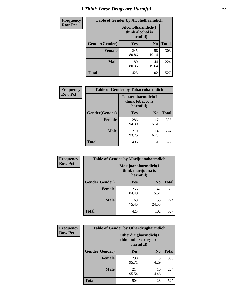# *I Think These Drugs are Harmful* **72**

| Frequency      | <b>Table of Gender by Alcoholharmdich</b> |                                                   |                |              |
|----------------|-------------------------------------------|---------------------------------------------------|----------------|--------------|
| <b>Row Pct</b> |                                           | Alcoholharmdich(I<br>think alcohol is<br>harmful) |                |              |
|                | Gender(Gender)                            | Yes                                               | N <sub>0</sub> | <b>Total</b> |
|                | <b>Female</b>                             | 245<br>80.86                                      | 58<br>19.14    | 303          |
|                | <b>Male</b>                               | 180<br>80.36                                      | 44<br>19.64    | 224          |
|                | Total                                     | 425                                               | 102            | 527          |

| Frequency      | <b>Table of Gender by Tobaccoharmdich</b> |                  |                               |              |  |
|----------------|-------------------------------------------|------------------|-------------------------------|--------------|--|
| <b>Row Pct</b> |                                           | think tobacco is | Tobaccoharmdich(I<br>harmful) |              |  |
|                | Gender(Gender)                            | <b>Yes</b>       | N <sub>0</sub>                | <b>Total</b> |  |
|                | <b>Female</b>                             | 286<br>94.39     | 17<br>5.61                    | 303          |  |
|                | <b>Male</b>                               | 210<br>93.75     | 14<br>6.25                    | 224          |  |
|                | <b>Total</b>                              | 496              | 31                            | 527          |  |

| Frequency      | <b>Table of Gender by Marijuanaharmdich</b> |                                                       |                |              |  |
|----------------|---------------------------------------------|-------------------------------------------------------|----------------|--------------|--|
| <b>Row Pct</b> |                                             | Marijuanaharmdich(I<br>think marijuana is<br>harmful) |                |              |  |
|                | Gender(Gender)                              | <b>Yes</b>                                            | N <sub>0</sub> | <b>Total</b> |  |
|                | <b>Female</b>                               | 256<br>84.49                                          | 47<br>15.51    | 303          |  |
|                | <b>Male</b>                                 | 169<br>75.45                                          | 55<br>24.55    | 224          |  |
|                | <b>Total</b>                                | 425                                                   | 102            | 527          |  |

| Frequency      | <b>Table of Gender by Otherdrugharmdich</b> |                                                          |                |              |  |
|----------------|---------------------------------------------|----------------------------------------------------------|----------------|--------------|--|
| <b>Row Pct</b> |                                             | Otherdrugharmdich(I<br>think other drugs are<br>harmful) |                |              |  |
|                | Gender(Gender)                              | <b>Yes</b>                                               | N <sub>0</sub> | <b>Total</b> |  |
|                | <b>Female</b>                               | 290<br>95.71                                             | 13<br>4.29     | 303          |  |
|                | <b>Male</b>                                 | 214<br>95.54                                             | 10<br>4.46     | 224          |  |
|                | <b>Total</b>                                | 504                                                      | 23             | 527          |  |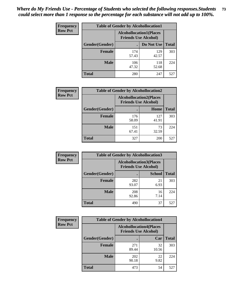| <b>Frequency</b> | <b>Table of Gender by Alcohollocation1</b> |                                                               |              |              |
|------------------|--------------------------------------------|---------------------------------------------------------------|--------------|--------------|
| <b>Row Pct</b>   |                                            | <b>Alcohollocation1(Places</b><br><b>Friends Use Alcohol)</b> |              |              |
|                  | Gender(Gender)                             |                                                               | Do Not Use   | <b>Total</b> |
|                  | <b>Female</b>                              | 174<br>57.43                                                  | 129<br>42.57 | 303          |
|                  | <b>Male</b>                                | 106<br>47.32                                                  | 118<br>52.68 | 224          |
|                  | <b>Total</b>                               | 280                                                           | 247          | 527          |

| <b>Frequency</b> | <b>Table of Gender by Alcohollocation2</b> |                                                               |              |              |
|------------------|--------------------------------------------|---------------------------------------------------------------|--------------|--------------|
| <b>Row Pct</b>   |                                            | <b>Alcohollocation2(Places</b><br><b>Friends Use Alcohol)</b> |              |              |
|                  | Gender(Gender)                             |                                                               | Home         | <b>Total</b> |
|                  | <b>Female</b>                              | 176<br>58.09                                                  | 127<br>41.91 | 303          |
|                  | <b>Male</b>                                | 151<br>67.41                                                  | 73<br>32.59  | 224          |
|                  | <b>Total</b>                               | 327                                                           | 200          | 527          |

| Frequency      | <b>Table of Gender by Alcohollocation3</b> |                                                               |               |              |
|----------------|--------------------------------------------|---------------------------------------------------------------|---------------|--------------|
| <b>Row Pct</b> |                                            | <b>Alcohollocation3(Places</b><br><b>Friends Use Alcohol)</b> |               |              |
|                | Gender(Gender)                             |                                                               | <b>School</b> | <b>Total</b> |
|                | <b>Female</b>                              | 282<br>93.07                                                  | 21<br>6.93    | 303          |
|                | <b>Male</b>                                | 208<br>92.86                                                  | 16<br>7.14    | 224          |
|                | <b>Total</b>                               | 490                                                           | 37            | 527          |

| <b>Frequency</b> | <b>Table of Gender by Alcohollocation4</b> |                                                               |             |              |  |
|------------------|--------------------------------------------|---------------------------------------------------------------|-------------|--------------|--|
| <b>Row Pct</b>   |                                            | <b>Alcohollocation4(Places</b><br><b>Friends Use Alcohol)</b> |             |              |  |
|                  | Gender(Gender)                             |                                                               | Car         | <b>Total</b> |  |
|                  | <b>Female</b>                              | 271<br>89.44                                                  | 32<br>10.56 | 303          |  |
|                  | <b>Male</b>                                | 202<br>90.18                                                  | 22<br>9.82  | 224          |  |
|                  | <b>Total</b>                               | 473                                                           | 54          | 527          |  |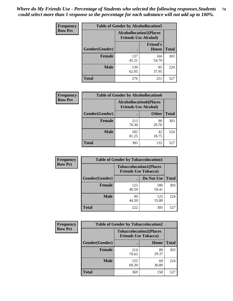| <b>Frequency</b> | <b>Table of Gender by Alcohollocation5</b> |                                                               |                                 |              |
|------------------|--------------------------------------------|---------------------------------------------------------------|---------------------------------|--------------|
| <b>Row Pct</b>   |                                            | <b>Alcohollocation5(Places</b><br><b>Friends Use Alcohol)</b> |                                 |              |
|                  | Gender(Gender)                             |                                                               | <b>Friend's</b><br><b>House</b> | <b>Total</b> |
|                  | <b>Female</b>                              | 137<br>45.21                                                  | 166<br>54.79                    | 303          |
|                  | <b>Male</b>                                | 139<br>62.05                                                  | 85<br>37.95                     | 224          |
|                  | <b>Total</b>                               | 276                                                           | 251                             | 527          |

| Frequency      | <b>Table of Gender by Alcohollocation6</b> |                                                               |              |              |  |
|----------------|--------------------------------------------|---------------------------------------------------------------|--------------|--------------|--|
| <b>Row Pct</b> |                                            | <b>Alcohollocation6(Places</b><br><b>Friends Use Alcohol)</b> |              |              |  |
|                | Gender(Gender)                             |                                                               | <b>Other</b> | <b>Total</b> |  |
|                | Female                                     | 213<br>70.30                                                  | 90<br>29.70  | 303          |  |
|                | <b>Male</b>                                | 182<br>81.25                                                  | 42<br>18.75  | 224          |  |
|                | <b>Total</b>                               | 395                                                           | 132          | 527          |  |

| Frequency      | <b>Table of Gender by Tobaccolocation1</b> |                                                               |              |              |  |
|----------------|--------------------------------------------|---------------------------------------------------------------|--------------|--------------|--|
| <b>Row Pct</b> |                                            | <b>Tobaccolocation1(Places</b><br><b>Friends Use Tobacco)</b> |              |              |  |
|                | Gender(Gender)                             |                                                               | Do Not Use   | <b>Total</b> |  |
|                | Female                                     | 123<br>40.59                                                  | 180<br>59.41 | 303          |  |
|                | <b>Male</b>                                | 99<br>44.20                                                   | 125<br>55.80 | 224          |  |
|                | <b>Total</b>                               | 222                                                           | 305          | 527          |  |

| <b>Frequency</b> | <b>Table of Gender by Tobaccolocation2</b> |                                                               |             |              |
|------------------|--------------------------------------------|---------------------------------------------------------------|-------------|--------------|
| <b>Row Pct</b>   |                                            | <b>Tobaccolocation2(Places</b><br><b>Friends Use Tobacco)</b> |             |              |
|                  | Gender(Gender)                             |                                                               | Home        | <b>Total</b> |
|                  | <b>Female</b>                              | 214<br>70.63                                                  | 89<br>29.37 | 303          |
|                  | <b>Male</b>                                | 155<br>69.20                                                  | 69<br>30.80 | 224          |
|                  | <b>Total</b>                               | 369                                                           | 158         | 527          |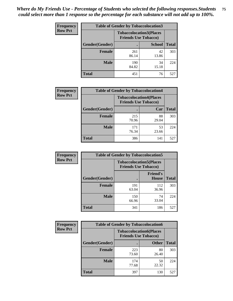| <b>Frequency</b> | <b>Table of Gender by Tobaccolocation3</b> |                                                               |               |              |
|------------------|--------------------------------------------|---------------------------------------------------------------|---------------|--------------|
| <b>Row Pct</b>   |                                            | <b>Tobaccolocation3(Places</b><br><b>Friends Use Tobacco)</b> |               |              |
|                  | Gender(Gender)                             |                                                               | <b>School</b> | <b>Total</b> |
|                  | <b>Female</b>                              | 261<br>86.14                                                  | 42<br>13.86   | 303          |
|                  | <b>Male</b>                                | 190<br>84.82                                                  | 34<br>15.18   | 224          |
|                  | <b>Total</b>                               | 451                                                           | 76            | 527          |

| <b>Frequency</b> | <b>Table of Gender by Tobaccolocation4</b> |                                                               |             |              |
|------------------|--------------------------------------------|---------------------------------------------------------------|-------------|--------------|
| <b>Row Pct</b>   |                                            | <b>Tobaccolocation4(Places</b><br><b>Friends Use Tobacco)</b> |             |              |
|                  | Gender(Gender)                             |                                                               | Car         | <b>Total</b> |
|                  | <b>Female</b>                              | 215<br>70.96                                                  | 88<br>29.04 | 303          |
|                  | <b>Male</b>                                | 171<br>76.34                                                  | 53<br>23.66 | 224          |
|                  | <b>Total</b>                               | 386                                                           | 141         | 527          |

| <b>Frequency</b> | <b>Table of Gender by Tobaccolocation5</b> |                                                               |                                 |              |
|------------------|--------------------------------------------|---------------------------------------------------------------|---------------------------------|--------------|
| <b>Row Pct</b>   |                                            | <b>Tobaccolocation5(Places</b><br><b>Friends Use Tobacco)</b> |                                 |              |
|                  | Gender(Gender)                             |                                                               | <b>Friend's</b><br><b>House</b> | <b>Total</b> |
|                  | <b>Female</b>                              | 191<br>63.04                                                  | 112<br>36.96                    | 303          |
|                  | <b>Male</b>                                | 150<br>66.96                                                  | 74<br>33.04                     | 224          |
|                  | <b>Total</b>                               | 341                                                           | 186                             | 527          |

| <b>Frequency</b> | <b>Table of Gender by Tobaccolocation6</b> |                                                               |              |              |
|------------------|--------------------------------------------|---------------------------------------------------------------|--------------|--------------|
| <b>Row Pct</b>   |                                            | <b>Tobaccolocation6(Places</b><br><b>Friends Use Tobacco)</b> |              |              |
|                  | Gender(Gender)                             |                                                               | <b>Other</b> | <b>Total</b> |
|                  | Female                                     | 223<br>73.60                                                  | 80<br>26.40  | 303          |
|                  | <b>Male</b>                                | 174<br>77.68                                                  | 50<br>22.32  | 224          |
|                  | <b>Total</b>                               | 397                                                           | 130          | 527          |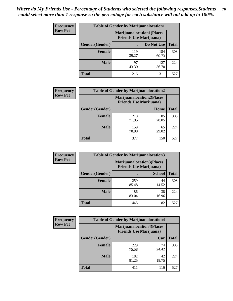| <b>Frequency</b> | <b>Table of Gender by Marijuanalocation1</b> |                                                                    |              |              |  |
|------------------|----------------------------------------------|--------------------------------------------------------------------|--------------|--------------|--|
| <b>Row Pct</b>   |                                              | <b>Marijuanalocation1(Places</b><br><b>Friends Use Marijuana</b> ) |              |              |  |
|                  | Gender(Gender)                               |                                                                    | Do Not Use   | <b>Total</b> |  |
|                  | <b>Female</b>                                | 119<br>39.27                                                       | 184<br>60.73 | 303          |  |
|                  | <b>Male</b>                                  | 97<br>43.30                                                        | 127<br>56.70 | 224          |  |
|                  | <b>Total</b>                                 | 216                                                                | 311          | 527          |  |

| <b>Frequency</b> | <b>Table of Gender by Marijuanalocation2</b> |                                                                    |             |              |  |
|------------------|----------------------------------------------|--------------------------------------------------------------------|-------------|--------------|--|
| <b>Row Pct</b>   |                                              | <b>Marijuanalocation2(Places</b><br><b>Friends Use Marijuana</b> ) |             |              |  |
|                  | Gender(Gender)                               |                                                                    | Home        | <b>Total</b> |  |
|                  | Female                                       | 218<br>71.95                                                       | 85<br>28.05 | 303          |  |
|                  | <b>Male</b>                                  | 159<br>70.98                                                       | 65<br>29.02 | 224          |  |
|                  | <b>Total</b>                                 | 377                                                                | 150         | 527          |  |

| Frequency      | <b>Table of Gender by Marijuanalocation3</b> |              |                                                                    |              |
|----------------|----------------------------------------------|--------------|--------------------------------------------------------------------|--------------|
| <b>Row Pct</b> |                                              |              | <b>Marijuanalocation3(Places</b><br><b>Friends Use Marijuana</b> ) |              |
|                | Gender(Gender)                               |              | <b>School</b>                                                      | <b>Total</b> |
|                | Female                                       | 259<br>85.48 | 44<br>14.52                                                        | 303          |
|                | <b>Male</b>                                  | 186<br>83.04 | 38<br>16.96                                                        | 224          |
|                | <b>Total</b>                                 | 445          | 82                                                                 | 527          |

| <b>Frequency</b> | <b>Table of Gender by Marijuanalocation4</b> |                                |                                   |              |  |
|------------------|----------------------------------------------|--------------------------------|-----------------------------------|--------------|--|
| <b>Row Pct</b>   |                                              | <b>Friends Use Marijuana</b> ) | <b>Marijuanalocation4(Places)</b> |              |  |
|                  | Gender(Gender)                               |                                | Car                               | <b>Total</b> |  |
|                  | <b>Female</b>                                | 229<br>75.58                   | 74<br>24.42                       | 303          |  |
|                  | <b>Male</b>                                  | 182<br>81.25                   | 42<br>18.75                       | 224          |  |
|                  | <b>Total</b>                                 | 411                            | 116                               | 527          |  |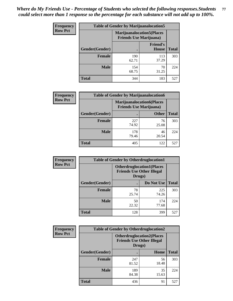| <b>Frequency</b> | <b>Table of Gender by Marijuanalocation5</b> |                                                                     |                                 |              |
|------------------|----------------------------------------------|---------------------------------------------------------------------|---------------------------------|--------------|
| <b>Row Pct</b>   |                                              | <b>Marijuanalocation5</b> (Places<br><b>Friends Use Marijuana</b> ) |                                 |              |
|                  | Gender(Gender)                               |                                                                     | <b>Friend's</b><br><b>House</b> | <b>Total</b> |
|                  | <b>Female</b>                                | 190<br>62.71                                                        | 113<br>37.29                    | 303          |
|                  | <b>Male</b>                                  | 154<br>68.75                                                        | 70<br>31.25                     | 224          |
|                  | <b>Total</b>                                 | 344                                                                 | 183                             | 527          |

| <b>Frequency</b> | <b>Table of Gender by Marijuanalocation6</b> |                                |                                  |              |
|------------------|----------------------------------------------|--------------------------------|----------------------------------|--------------|
| <b>Row Pct</b>   |                                              | <b>Friends Use Marijuana</b> ) | <b>Marijuanalocation6(Places</b> |              |
|                  | <b>Gender</b> (Gender)                       |                                | <b>Other</b>                     | <b>Total</b> |
|                  | Female                                       | 227<br>74.92                   | 76<br>25.08                      | 303          |
|                  | <b>Male</b>                                  | 178<br>79.46                   | 46<br>20.54                      | 224          |
|                  | Total                                        | 405                            | 122                              | 527          |

| Frequency      | <b>Table of Gender by Otherdruglocation1</b> |                                                                                |              |              |
|----------------|----------------------------------------------|--------------------------------------------------------------------------------|--------------|--------------|
| <b>Row Pct</b> |                                              | <b>Otherdruglocation1(Places</b><br><b>Friends Use Other Illegal</b><br>Drugs) |              |              |
|                | Gender(Gender)                               |                                                                                | Do Not Use   | <b>Total</b> |
|                | Female                                       | 78<br>25.74                                                                    | 225<br>74.26 | 303          |
|                | <b>Male</b>                                  | 50<br>22.32                                                                    | 174<br>77.68 | 224          |
|                | <b>Total</b>                                 | 128                                                                            | 399          | 527          |

| <b>Frequency</b> | <b>Table of Gender by Otherdruglocation2</b> |              |                                                                                |              |
|------------------|----------------------------------------------|--------------|--------------------------------------------------------------------------------|--------------|
| <b>Row Pct</b>   |                                              |              | <b>Otherdruglocation2(Places</b><br><b>Friends Use Other Illegal</b><br>Drugs) |              |
|                  | Gender(Gender)                               |              | Home                                                                           | <b>Total</b> |
|                  | <b>Female</b>                                | 247<br>81.52 | 56<br>18.48                                                                    | 303          |
|                  | <b>Male</b>                                  | 189<br>84.38 | 35<br>15.63                                                                    | 224          |
|                  | <b>Total</b>                                 | 436          | 91                                                                             | 527          |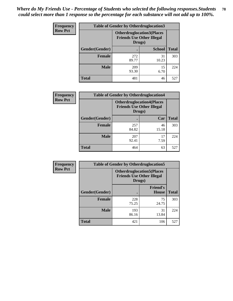| <b>Frequency</b> | <b>Table of Gender by Otherdruglocation3</b> |              |                                                                      |              |
|------------------|----------------------------------------------|--------------|----------------------------------------------------------------------|--------------|
| <b>Row Pct</b>   |                                              | Drugs)       | <b>Otherdruglocation3(Places</b><br><b>Friends Use Other Illegal</b> |              |
|                  | <b>Gender</b> (Gender)                       |              | <b>School</b>                                                        | <b>Total</b> |
|                  | <b>Female</b>                                | 272<br>89.77 | 31<br>10.23                                                          | 303          |
|                  | <b>Male</b>                                  | 209<br>93.30 | 15<br>6.70                                                           | 224          |
|                  | <b>Total</b>                                 | 481          | 46                                                                   | 527          |

| Frequency      | <b>Table of Gender by Otherdruglocation4</b> |                                                                                 |             |              |
|----------------|----------------------------------------------|---------------------------------------------------------------------------------|-------------|--------------|
| <b>Row Pct</b> |                                              | <b>Otherdruglocation4(Places)</b><br><b>Friends Use Other Illegal</b><br>Drugs) |             |              |
|                | <b>Gender</b> (Gender)                       |                                                                                 | Car         | <b>Total</b> |
|                | <b>Female</b>                                | 257<br>84.82                                                                    | 46<br>15.18 | 303          |
|                | <b>Male</b>                                  | 207<br>92.41                                                                    | 17<br>7.59  | 224          |
|                | <b>Total</b>                                 | 464                                                                             | 63          | 527          |

| Frequency      | <b>Table of Gender by Otherdruglocation5</b> |                                                                                |                                 |              |
|----------------|----------------------------------------------|--------------------------------------------------------------------------------|---------------------------------|--------------|
| <b>Row Pct</b> |                                              | <b>Otherdruglocation5(Places</b><br><b>Friends Use Other Illegal</b><br>Drugs) |                                 |              |
|                | Gender(Gender)                               |                                                                                | <b>Friend's</b><br><b>House</b> | <b>Total</b> |
|                | <b>Female</b>                                | 228<br>75.25                                                                   | 75<br>24.75                     | 303          |
|                | <b>Male</b>                                  | 193<br>86.16                                                                   | 31<br>13.84                     | 224          |
|                | <b>Total</b>                                 | 421                                                                            | 106                             | 527          |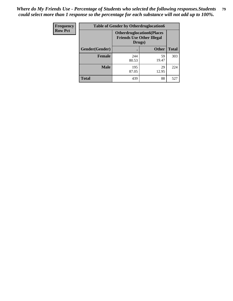| Frequency      | <b>Table of Gender by Otherdruglocation6</b> |                                                                                |              |              |
|----------------|----------------------------------------------|--------------------------------------------------------------------------------|--------------|--------------|
| <b>Row Pct</b> |                                              | <b>Otherdruglocation6(Places</b><br><b>Friends Use Other Illegal</b><br>Drugs) |              |              |
|                | Gender(Gender)                               |                                                                                | <b>Other</b> | <b>Total</b> |
|                | Female                                       | 244<br>80.53                                                                   | 59<br>19.47  | 303          |
|                | <b>Male</b>                                  | 195<br>87.05                                                                   | 29<br>12.95  | 224          |
|                | <b>Total</b>                                 | 439                                                                            | 88           | 527          |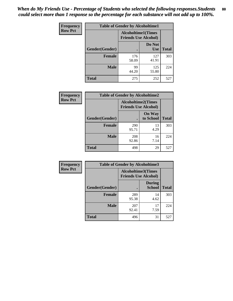| <b>Frequency</b> | <b>Table of Gender by Alcoholtime1</b> |                                                          |                      |              |
|------------------|----------------------------------------|----------------------------------------------------------|----------------------|--------------|
| <b>Row Pct</b>   |                                        | <b>Alcoholtime1(Times</b><br><b>Friends Use Alcohol)</b> |                      |              |
|                  | Gender(Gender)                         |                                                          | Do Not<br><b>Use</b> | <b>Total</b> |
|                  | <b>Female</b>                          | 176<br>58.09                                             | 127<br>41.91         | 303          |
|                  | <b>Male</b>                            | 99<br>44.20                                              | 125<br>55.80         | 224          |
|                  | <b>Total</b>                           | 275                                                      | 252                  | 527          |

| <b>Frequency</b> | <b>Table of Gender by Alcoholtime2</b> |                                                          |                            |              |
|------------------|----------------------------------------|----------------------------------------------------------|----------------------------|--------------|
| <b>Row Pct</b>   |                                        | <b>Alcoholtime2(Times</b><br><b>Friends Use Alcohol)</b> |                            |              |
|                  | Gender(Gender)                         |                                                          | <b>On Way</b><br>to School | <b>Total</b> |
|                  | <b>Female</b>                          | 290<br>95.71                                             | 13<br>4.29                 | 303          |
|                  | <b>Male</b>                            | 208<br>92.86                                             | 16<br>7.14                 | 224          |
|                  | <b>Total</b>                           | 498                                                      | 29                         | 527          |

| Frequency      | <b>Table of Gender by Alcoholtime3</b> |                                                   |                                |              |
|----------------|----------------------------------------|---------------------------------------------------|--------------------------------|--------------|
| <b>Row Pct</b> |                                        | Alcoholtime3(Times<br><b>Friends Use Alcohol)</b> |                                |              |
|                | Gender(Gender)                         |                                                   | <b>During</b><br><b>School</b> | <b>Total</b> |
|                | Female                                 | 289<br>95.38                                      | 14<br>4.62                     | 303          |
|                | <b>Male</b>                            | 207<br>92.41                                      | 17<br>7.59                     | 224          |
|                | <b>Total</b>                           | 496                                               | 31                             | 527          |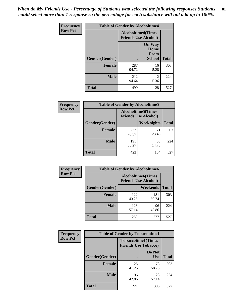*When do My Friends Use - Percentage of Students who selected the following responses.Students could select more than 1 response so the percentage for each substance will not add up to 100%.* **81**

| <b>Frequency</b> | <b>Table of Gender by Alcoholtime4</b> |                                                          |                                                       |              |
|------------------|----------------------------------------|----------------------------------------------------------|-------------------------------------------------------|--------------|
| <b>Row Pct</b>   |                                        | <b>Alcoholtime4(Times</b><br><b>Friends Use Alcohol)</b> |                                                       |              |
|                  | Gender(Gender)                         |                                                          | <b>On Way</b><br>Home<br><b>From</b><br><b>School</b> | <b>Total</b> |
|                  | <b>Female</b>                          | 287<br>94.72                                             | 16<br>5.28                                            | 303          |
|                  | <b>Male</b>                            | 212<br>94.64                                             | 12<br>5.36                                            | 224          |
|                  | <b>Total</b>                           | 499                                                      | 28                                                    | 527          |

| <b>Frequency</b> | <b>Table of Gender by Alcoholtime5</b> |                                                           |                   |              |  |
|------------------|----------------------------------------|-----------------------------------------------------------|-------------------|--------------|--|
| <b>Row Pct</b>   |                                        | <b>Alcoholtime5</b> (Times<br><b>Friends Use Alcohol)</b> |                   |              |  |
|                  | Gender(Gender)                         |                                                           | <b>Weeknights</b> | <b>Total</b> |  |
|                  | <b>Female</b>                          | 232<br>76.57                                              | 71<br>23.43       | 303          |  |
|                  | <b>Male</b>                            | 191<br>85.27                                              | 33<br>14.73       | 224          |  |
|                  | <b>Total</b>                           | 423                                                       | 104               | 527          |  |

| <b>Frequency</b> |                | <b>Table of Gender by Alcoholtime6</b> |                                                          |              |
|------------------|----------------|----------------------------------------|----------------------------------------------------------|--------------|
| <b>Row Pct</b>   |                |                                        | <b>Alcoholtime6(Times</b><br><b>Friends Use Alcohol)</b> |              |
|                  | Gender(Gender) |                                        | <b>Weekends</b>                                          | <b>Total</b> |
|                  | <b>Female</b>  | 122<br>40.26                           | 181<br>59.74                                             | 303          |
|                  | <b>Male</b>    | 128<br>57.14                           | 96<br>42.86                                              | 224          |
|                  | <b>Total</b>   | 250                                    | 277                                                      | 527          |

| Frequency      | <b>Table of Gender by Tobaccotime1</b> |                                                          |                      |              |
|----------------|----------------------------------------|----------------------------------------------------------|----------------------|--------------|
| <b>Row Pct</b> |                                        | <b>Tobaccotime1(Times</b><br><b>Friends Use Tobacco)</b> |                      |              |
|                | Gender(Gender)                         |                                                          | Do Not<br><b>Use</b> | <b>Total</b> |
|                | <b>Female</b>                          | 125<br>41.25                                             | 178<br>58.75         | 303          |
|                | <b>Male</b>                            | 96<br>42.86                                              | 128<br>57.14         | 224          |
|                | <b>Total</b>                           | 221                                                      | 306                  | 527          |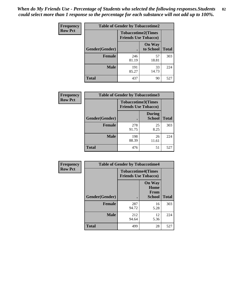*When do My Friends Use - Percentage of Students who selected the following responses.Students could select more than 1 response so the percentage for each substance will not add up to 100%.* **82**

| Frequency      | <b>Table of Gender by Tobaccotime2</b> |                                                          |                            |              |
|----------------|----------------------------------------|----------------------------------------------------------|----------------------------|--------------|
| <b>Row Pct</b> |                                        | <b>Tobaccotime2(Times</b><br><b>Friends Use Tobacco)</b> |                            |              |
|                | Gender(Gender)                         | $\bullet$                                                | <b>On Way</b><br>to School | <b>Total</b> |
|                | <b>Female</b>                          | 246<br>81.19                                             | 57<br>18.81                | 303          |
|                | <b>Male</b>                            | 191<br>85.27                                             | 33<br>14.73                | 224          |
|                | <b>Total</b>                           | 437                                                      | 90                         | 527          |

| <b>Frequency</b> | <b>Table of Gender by Tobaccotime3</b>                   |              |                                |              |
|------------------|----------------------------------------------------------|--------------|--------------------------------|--------------|
| <b>Row Pct</b>   | <b>Tobaccotime3(Times</b><br><b>Friends Use Tobacco)</b> |              |                                |              |
|                  | Gender(Gender)                                           |              | <b>During</b><br><b>School</b> | <b>Total</b> |
|                  | <b>Female</b>                                            | 278<br>91.75 | 25<br>8.25                     | 303          |
|                  | <b>Male</b>                                              | 198<br>88.39 | 26<br>11.61                    | 224          |
|                  | <b>Total</b>                                             | 476          | 51                             | 527          |

| <b>Frequency</b> | <b>Table of Gender by Tobaccotime4</b> |                                                          |                                                |              |
|------------------|----------------------------------------|----------------------------------------------------------|------------------------------------------------|--------------|
| <b>Row Pct</b>   |                                        | <b>Tobaccotime4(Times</b><br><b>Friends Use Tobacco)</b> |                                                |              |
|                  | Gender(Gender)                         |                                                          | <b>On Way</b><br>Home<br>From<br><b>School</b> | <b>Total</b> |
|                  | <b>Female</b>                          | 287<br>94.72                                             | 16<br>5.28                                     | 303          |
|                  | <b>Male</b>                            | 212<br>94.64                                             | 12<br>5.36                                     | 224          |
|                  | <b>Total</b>                           | 499                                                      | 28                                             | 527          |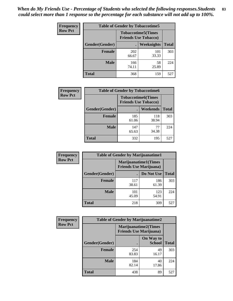| <b>Frequency</b> | <b>Table of Gender by Tobaccotime5</b> |              |                                                          |              |  |
|------------------|----------------------------------------|--------------|----------------------------------------------------------|--------------|--|
| <b>Row Pct</b>   |                                        |              | <b>Tobaccotime5(Times</b><br><b>Friends Use Tobacco)</b> |              |  |
|                  | Gender(Gender)                         |              | Weeknights                                               | <b>Total</b> |  |
|                  | Female                                 | 202<br>66.67 | 101<br>33.33                                             | 303          |  |
|                  | <b>Male</b>                            | 166<br>74.11 | 58<br>25.89                                              | 224          |  |
|                  | <b>Total</b>                           | 368          | 159                                                      | 527          |  |

| Frequency      | <b>Table of Gender by Tobaccotime6</b> |                                                          |              |              |
|----------------|----------------------------------------|----------------------------------------------------------|--------------|--------------|
| <b>Row Pct</b> |                                        | <b>Tobaccotime6(Times</b><br><b>Friends Use Tobacco)</b> |              |              |
|                | Gender(Gender)                         |                                                          | Weekends     | <b>Total</b> |
|                | Female                                 | 185<br>61.06                                             | 118<br>38.94 | 303          |
|                | <b>Male</b>                            | 147<br>65.63                                             | 77<br>34.38  | 224          |
|                | <b>Total</b>                           | 332                                                      | 195          | 527          |

| Frequency      | <b>Table of Gender by Marijuanatime1</b> |              |                                                        |              |
|----------------|------------------------------------------|--------------|--------------------------------------------------------|--------------|
| <b>Row Pct</b> |                                          |              | Marijuanatime1(Times<br><b>Friends Use Marijuana</b> ) |              |
|                | Gender(Gender)                           |              | Do Not Use                                             | <b>Total</b> |
|                | <b>Female</b>                            | 117<br>38.61 | 186<br>61.39                                           | 303          |
|                | <b>Male</b>                              | 101<br>45.09 | 123<br>54.91                                           | 224          |
|                | <b>Total</b>                             | 218          | 309                                                    | 527          |

| <b>Frequency</b> | <b>Table of Gender by Marijuanatime2</b> |                                                               |                            |              |
|------------------|------------------------------------------|---------------------------------------------------------------|----------------------------|--------------|
| <b>Row Pct</b>   |                                          | <b>Marijuanatime2(Times</b><br><b>Friends Use Marijuana</b> ) |                            |              |
|                  | Gender(Gender)                           |                                                               | On Way to<br><b>School</b> | <b>Total</b> |
|                  | <b>Female</b>                            | 254<br>83.83                                                  | 49<br>16.17                | 303          |
|                  | <b>Male</b>                              | 184<br>82.14                                                  | 40<br>17.86                | 224          |
|                  | <b>Total</b>                             | 438                                                           | 89                         | 527          |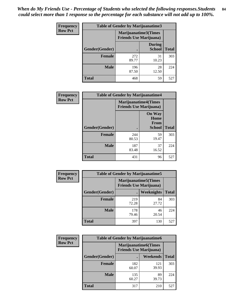*When do My Friends Use - Percentage of Students who selected the following responses.Students could select more than 1 response so the percentage for each substance will not add up to 100%.* **84**

| <b>Frequency</b> | Table of Gender by Marijuanatime3 |                                                        |                                |              |
|------------------|-----------------------------------|--------------------------------------------------------|--------------------------------|--------------|
| <b>Row Pct</b>   |                                   | Marijuanatime3(Times<br><b>Friends Use Marijuana</b> ) |                                |              |
|                  | Gender(Gender)                    |                                                        | <b>During</b><br><b>School</b> | <b>Total</b> |
|                  | <b>Female</b>                     | 272<br>89.77                                           | 31<br>10.23                    | 303          |
|                  | <b>Male</b>                       | 196<br>87.50                                           | 28<br>12.50                    | 224          |
|                  | <b>Total</b>                      | 468                                                    | 59                             | 527          |

| Frequency      | <b>Table of Gender by Marijuanatime4</b> |              |                                                                |              |
|----------------|------------------------------------------|--------------|----------------------------------------------------------------|--------------|
| <b>Row Pct</b> |                                          |              | <b>Marijuanatime4</b> (Times<br><b>Friends Use Marijuana</b> ) |              |
|                | Gender(Gender)                           |              | <b>On Way</b><br>Home<br><b>From</b><br><b>School</b>          | <b>Total</b> |
|                | <b>Female</b>                            | 244<br>80.53 | 59<br>19.47                                                    | 303          |
|                | <b>Male</b>                              | 187<br>83.48 | 37<br>16.52                                                    | 224          |
|                | <b>Total</b>                             | 431          | 96                                                             | 527          |

| Frequency      | <b>Table of Gender by Marijuanatime5</b> |                                                                |                   |              |  |
|----------------|------------------------------------------|----------------------------------------------------------------|-------------------|--------------|--|
| <b>Row Pct</b> |                                          | <b>Marijuanatime5</b> (Times<br><b>Friends Use Marijuana</b> ) |                   |              |  |
|                | Gender(Gender)                           |                                                                | <b>Weeknights</b> | <b>Total</b> |  |
|                | <b>Female</b>                            | 219<br>72.28                                                   | 84<br>27.72       | 303          |  |
|                | <b>Male</b>                              | 178<br>79.46                                                   | 46<br>20.54       | 224          |  |
|                | <b>Total</b>                             | 397                                                            | 130               | 527          |  |

| <b>Frequency</b> | <b>Table of Gender by Marijuanatime6</b> |                                |                             |              |
|------------------|------------------------------------------|--------------------------------|-----------------------------|--------------|
| <b>Row Pct</b>   |                                          | <b>Friends Use Marijuana</b> ) | <b>Marijuanatime6(Times</b> |              |
|                  | Gender(Gender)                           |                                | Weekends                    | <b>Total</b> |
|                  | <b>Female</b>                            | 182<br>60.07                   | 121<br>39.93                | 303          |
|                  | <b>Male</b>                              | 135<br>60.27                   | 89<br>39.73                 | 224          |
|                  | <b>Total</b>                             | 317                            | 210                         | 527          |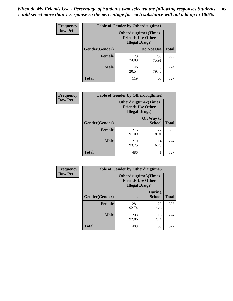| <b>Frequency</b> | <b>Table of Gender by Otherdrugtime1</b> |                                                                                    |              |              |
|------------------|------------------------------------------|------------------------------------------------------------------------------------|--------------|--------------|
| <b>Row Pct</b>   |                                          | <b>Otherdrugtime1</b> (Times<br><b>Friends Use Other</b><br><b>Illegal Drugs</b> ) |              |              |
|                  | <b>Gender</b> (Gender)                   |                                                                                    | Do Not Use   | <b>Total</b> |
|                  | <b>Female</b>                            | 73<br>24.09                                                                        | 230<br>75.91 | 303          |
|                  | <b>Male</b>                              | 46<br>20.54                                                                        | 178<br>79.46 | 224          |
|                  | <b>Total</b>                             | 119                                                                                | 408          | 527          |

| Frequency      | <b>Table of Gender by Otherdrugtime2</b> |                                                                                   |                            |              |
|----------------|------------------------------------------|-----------------------------------------------------------------------------------|----------------------------|--------------|
| <b>Row Pct</b> |                                          | <b>Otherdrugtime2(Times</b><br><b>Friends Use Other</b><br><b>Illegal Drugs</b> ) |                            |              |
|                | <b>Gender</b> (Gender)                   |                                                                                   | On Way to<br><b>School</b> | <b>Total</b> |
|                | <b>Female</b>                            | 276<br>91.09                                                                      | 27<br>8.91                 | 303          |
|                | <b>Male</b>                              | 210<br>93.75                                                                      | 14<br>6.25                 | 224          |
|                | <b>Total</b>                             | 486                                                                               | 41                         | 527          |

| Frequency      | <b>Table of Gender by Otherdrugtime3</b> |                       |                                                         |              |  |
|----------------|------------------------------------------|-----------------------|---------------------------------------------------------|--------------|--|
| <b>Row Pct</b> |                                          | <b>Illegal Drugs)</b> | <b>Otherdrugtime3(Times</b><br><b>Friends Use Other</b> |              |  |
|                | Gender(Gender)                           |                       | <b>During</b><br><b>School</b>                          | <b>Total</b> |  |
|                | <b>Female</b>                            | 281<br>92.74          | 22<br>7.26                                              | 303          |  |
|                | <b>Male</b>                              | 208<br>92.86          | 16<br>7.14                                              | 224          |  |
|                | <b>Total</b>                             | 489                   | 38                                                      | 527          |  |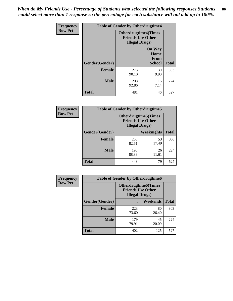*When do My Friends Use - Percentage of Students who selected the following responses.Students could select more than 1 response so the percentage for each substance will not add up to 100%.* **86**

| <b>Frequency</b> | <b>Table of Gender by Otherdrugtime4</b> |                                                    |                                                       |              |
|------------------|------------------------------------------|----------------------------------------------------|-------------------------------------------------------|--------------|
| <b>Row Pct</b>   |                                          | <b>Friends Use Other</b><br><b>Illegal Drugs</b> ) | <b>Otherdrugtime4(Times</b>                           |              |
|                  | Gender(Gender)                           |                                                    | <b>On Way</b><br>Home<br><b>From</b><br><b>School</b> | <b>Total</b> |
|                  | <b>Female</b>                            | 273<br>90.10                                       | 30<br>9.90                                            | 303          |
|                  | <b>Male</b>                              | 208<br>92.86                                       | 16<br>7.14                                            | 224          |
|                  | <b>Total</b>                             | 481                                                | 46                                                    | 527          |

| Frequency      | <b>Table of Gender by Otherdrugtime5</b> |                                                                                    |                   |              |
|----------------|------------------------------------------|------------------------------------------------------------------------------------|-------------------|--------------|
| <b>Row Pct</b> |                                          | <b>Otherdrugtime5</b> (Times<br><b>Friends Use Other</b><br><b>Illegal Drugs</b> ) |                   |              |
|                | Gender(Gender)                           |                                                                                    | <b>Weeknights</b> | <b>Total</b> |
|                | <b>Female</b>                            | 250<br>82.51                                                                       | 53<br>17.49       | 303          |
|                | <b>Male</b>                              | 198<br>88.39                                                                       | 26<br>11.61       | 224          |
|                | <b>Total</b>                             | 448                                                                                | 79                | 527          |

| <b>Frequency</b> | <b>Table of Gender by Otherdrugtime6</b> |                                                                                   |             |              |
|------------------|------------------------------------------|-----------------------------------------------------------------------------------|-------------|--------------|
| <b>Row Pct</b>   |                                          | <b>Otherdrugtime6(Times</b><br><b>Friends Use Other</b><br><b>Illegal Drugs</b> ) |             |              |
|                  | Gender(Gender)                           |                                                                                   | Weekends    | <b>Total</b> |
|                  | <b>Female</b>                            | 223<br>73.60                                                                      | 80<br>26.40 | 303          |
|                  | <b>Male</b>                              | 179<br>79.91                                                                      | 45<br>20.09 | 224          |
|                  | <b>Total</b>                             | 402                                                                               | 125         | 527          |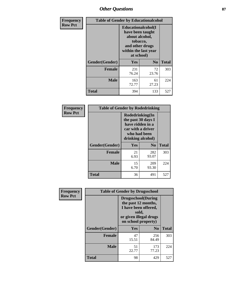# *Other Questions* **87**

| <b>Frequency</b> | <b>Table of Gender by Educationalcohol</b> |                                                                                                                                       |                |              |  |
|------------------|--------------------------------------------|---------------------------------------------------------------------------------------------------------------------------------------|----------------|--------------|--|
| <b>Row Pct</b>   |                                            | <b>Educationalcohol</b> (I<br>have been taught<br>about alcohol,<br>tobacco,<br>and other drugs<br>within the last year<br>at school) |                |              |  |
|                  | Gender(Gender)                             | <b>Yes</b>                                                                                                                            | N <sub>0</sub> | <b>Total</b> |  |
|                  | <b>Female</b>                              | 231<br>76.24                                                                                                                          | 72<br>23.76    | 303          |  |
|                  | <b>Male</b>                                | 163<br>72.77                                                                                                                          | 61<br>27.23    | 224          |  |
|                  | <b>Total</b>                               | 394                                                                                                                                   | 133            | 527          |  |

| Frequency      | <b>Table of Gender by Rodedrinking</b> |                                                                                                                     |                |              |  |  |
|----------------|----------------------------------------|---------------------------------------------------------------------------------------------------------------------|----------------|--------------|--|--|
| <b>Row Pct</b> |                                        | Rodedrinking(In<br>the past 30 days I<br>have ridden in a<br>car with a driver<br>who had been<br>drinking alcohol) |                |              |  |  |
|                | Gender(Gender)                         | Yes                                                                                                                 | N <sub>0</sub> | <b>Total</b> |  |  |
|                | Female                                 | 21<br>6.93                                                                                                          | 282<br>93.07   | 303          |  |  |
|                | <b>Male</b>                            | 15<br>6.70                                                                                                          | 209<br>93.30   | 224          |  |  |
|                | <b>Total</b>                           | 36                                                                                                                  | 491            | 527          |  |  |

| Frequency      | <b>Table of Gender by Drugsschool</b> |                                                                                                                                     |                |              |  |
|----------------|---------------------------------------|-------------------------------------------------------------------------------------------------------------------------------------|----------------|--------------|--|
| <b>Row Pct</b> |                                       | <b>Drugsschool</b> (During<br>the past 12 months,<br>I have been offered,<br>sold,<br>or given illegal drugs<br>on school property) |                |              |  |
|                | Gender(Gender)                        | <b>Yes</b>                                                                                                                          | N <sub>0</sub> | <b>Total</b> |  |
|                | <b>Female</b>                         | 47<br>15.51                                                                                                                         | 256<br>84.49   | 303          |  |
|                | <b>Male</b>                           | 51<br>22.77                                                                                                                         | 173<br>77.23   | 224          |  |
|                | <b>Total</b>                          | 98                                                                                                                                  | 429            | 527          |  |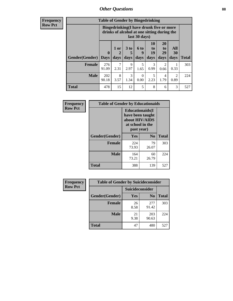# *Other Questions* **88**

**Frequency Row Pct**

| <b>Table of Gender by Bingedrinking</b> |                         |                                                                                                         |                              |                   |                               |                               |                        |              |
|-----------------------------------------|-------------------------|---------------------------------------------------------------------------------------------------------|------------------------------|-------------------|-------------------------------|-------------------------------|------------------------|--------------|
|                                         |                         | Bingedrinking(I have drunk five or more<br>drinks of alcohol at one sitting during the<br>last 30 days) |                              |                   |                               |                               |                        |              |
| <b>Gender</b> (Gender)                  | $\bf{0}$<br><b>Days</b> | $1$ or<br>days                                                                                          | 3 <sub>to</sub><br>5<br>days | 6 to<br>9<br>days | <b>10</b><br>to<br>19<br>days | <b>20</b><br>to<br>29<br>days | All<br>30<br>days      | <b>Total</b> |
| <b>Female</b>                           | 276<br>91.09            | 2.31                                                                                                    | 9<br>2.97                    | 5<br>1.65         | 3<br>0.99                     | 2<br>0.66                     | 0.33                   | 303          |
| <b>Male</b>                             | 202<br>90.18            | 8<br>3.57                                                                                               | 3<br>1.34                    | 0<br>0.00         | 5<br>2.23                     | 4<br>1.79                     | $\mathfrak{D}$<br>0.89 | 224          |
|                                         |                         |                                                                                                         |                              |                   |                               |                               |                        |              |

| Frequency      | <b>Table of Gender by Educationaids</b> |                                                                                                 |                |              |  |  |
|----------------|-----------------------------------------|-------------------------------------------------------------------------------------------------|----------------|--------------|--|--|
| <b>Row Pct</b> |                                         | <b>Educationaids</b> (I<br>have been taught<br>about HIV/AIDS<br>at school in the<br>past year) |                |              |  |  |
|                | Gender(Gender)                          | Yes                                                                                             | $\mathbf{N_0}$ | <b>Total</b> |  |  |
|                | <b>Female</b>                           | 224<br>73.93                                                                                    | 79<br>26.07    | 303          |  |  |
|                | <b>Male</b>                             | 164<br>73.21                                                                                    | 60<br>26.79    | 224          |  |  |
|                | <b>Total</b>                            | 388                                                                                             | 139            | 527          |  |  |

| <b>Frequency</b> | <b>Table of Gender by Suicideconsider</b> |                 |                |              |  |
|------------------|-------------------------------------------|-----------------|----------------|--------------|--|
| <b>Row Pct</b>   |                                           | Suicideconsider |                |              |  |
|                  | Gender(Gender)                            | Yes             | N <sub>0</sub> | <b>Total</b> |  |
|                  | <b>Female</b>                             | 26<br>8.58      | 277<br>91.42   | 303          |  |
|                  | <b>Male</b>                               | 21<br>9.38      | 203<br>90.63   | 224          |  |
|                  | Total                                     | 47              | 480            | 527          |  |